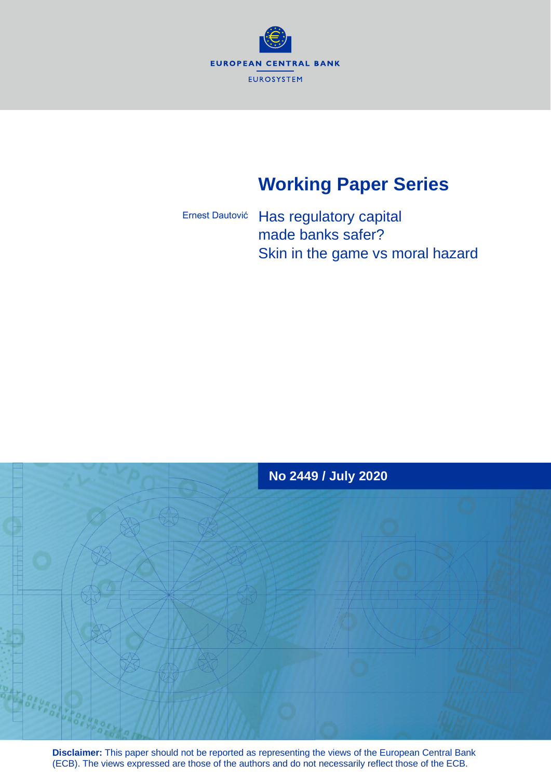

# **Working Paper Series**

Has regulatory capital made banks safer? Skin in the game vs moral hazard Ernest Dautović



**Disclaimer:** This paper should not be reported as representing the views of the European Central Bank (ECB). The views expressed are those of the authors and do not necessarily reflect those of the ECB.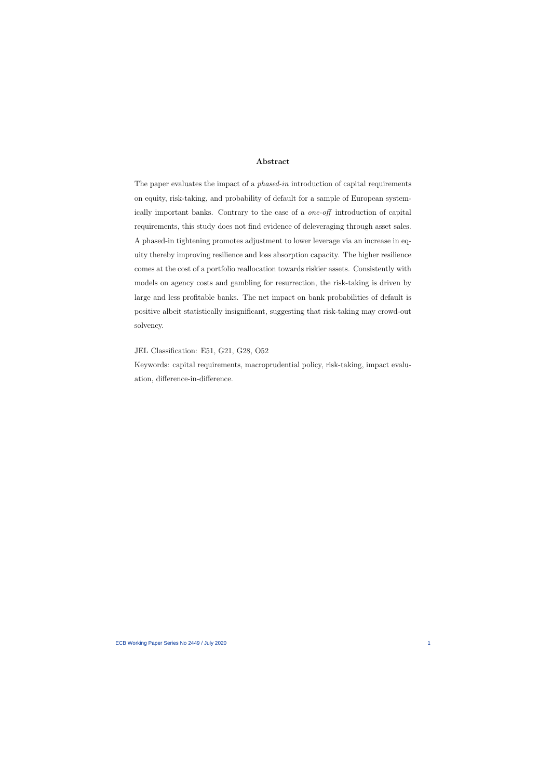#### Abstract

The paper evaluates the impact of a *phased-in* introduction of capital requirements on equity, risk-taking, and probability of default for a sample of European systemically important banks. Contrary to the case of a one-off introduction of capital requirements, this study does not find evidence of deleveraging through asset sales. A phased-in tightening promotes adjustment to lower leverage via an increase in equity thereby improving resilience and loss absorption capacity. The higher resilience comes at the cost of a portfolio reallocation towards riskier assets. Consistently with models on agency costs and gambling for resurrection, the risk-taking is driven by large and less profitable banks. The net impact on bank probabilities of default is positive albeit statistically insignificant, suggesting that risk-taking may crowd-out solvency.

JEL Classification: E51, G21, G28, O52

Keywords: capital requirements, macroprudential policy, risk-taking, impact evaluation, difference-in-difference.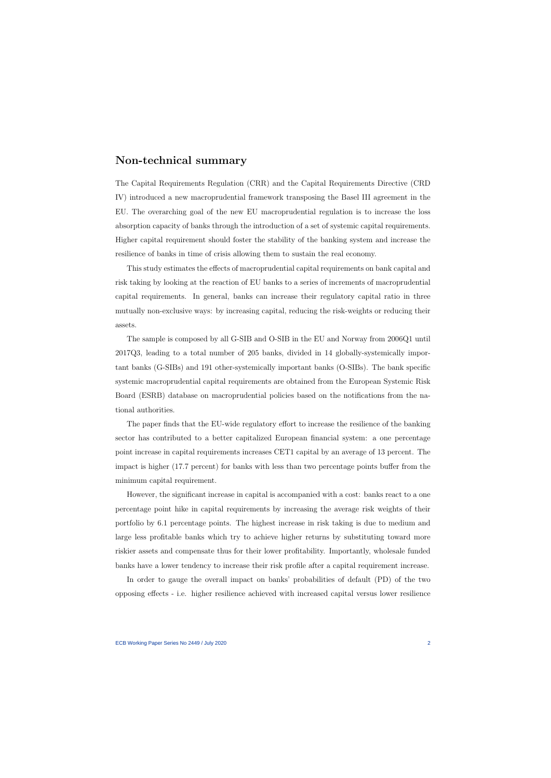### Non-technical summary

The Capital Requirements Regulation (CRR) and the Capital Requirements Directive (CRD IV) introduced a new macroprudential framework transposing the Basel III agreement in the EU. The overarching goal of the new EU macroprudential regulation is to increase the loss absorption capacity of banks through the introduction of a set of systemic capital requirements. Higher capital requirement should foster the stability of the banking system and increase the resilience of banks in time of crisis allowing them to sustain the real economy.

This study estimates the effects of macroprudential capital requirements on bank capital and risk taking by looking at the reaction of EU banks to a series of increments of macroprudential capital requirements. In general, banks can increase their regulatory capital ratio in three mutually non-exclusive ways: by increasing capital, reducing the risk-weights or reducing their assets.

The sample is composed by all G-SIB and O-SIB in the EU and Norway from 2006Q1 until 2017Q3, leading to a total number of 205 banks, divided in 14 globally-systemically important banks (G-SIBs) and 191 other-systemically important banks (O-SIBs). The bank specific systemic macroprudential capital requirements are obtained from the European Systemic Risk Board (ESRB) database on macroprudential policies based on the notifications from the national authorities.

The paper finds that the EU-wide regulatory effort to increase the resilience of the banking sector has contributed to a better capitalized European financial system: a one percentage point increase in capital requirements increases CET1 capital by an average of 13 percent. The impact is higher (17.7 percent) for banks with less than two percentage points buffer from the minimum capital requirement.

However, the significant increase in capital is accompanied with a cost: banks react to a one percentage point hike in capital requirements by increasing the average risk weights of their portfolio by 6.1 percentage points. The highest increase in risk taking is due to medium and large less profitable banks which try to achieve higher returns by substituting toward more riskier assets and compensate thus for their lower profitability. Importantly, wholesale funded banks have a lower tendency to increase their risk profile after a capital requirement increase.

In order to gauge the overall impact on banks' probabilities of default (PD) of the two opposing effects - i.e. higher resilience achieved with increased capital versus lower resilience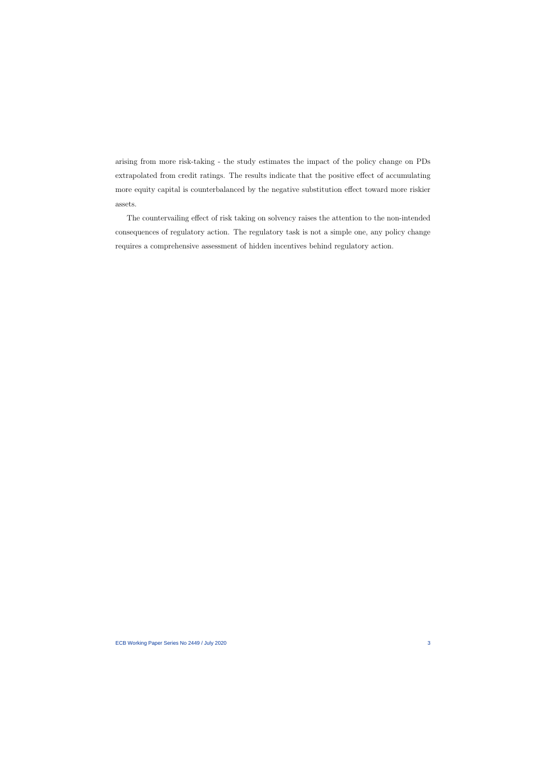arising from more risk-taking - the study estimates the impact of the policy change on PDs extrapolated from credit ratings. The results indicate that the positive effect of accumulating more equity capital is counterbalanced by the negative substitution effect toward more riskier assets.

The countervailing effect of risk taking on solvency raises the attention to the non-intended consequences of regulatory action. The regulatory task is not a simple one, any policy change requires a comprehensive assessment of hidden incentives behind regulatory action.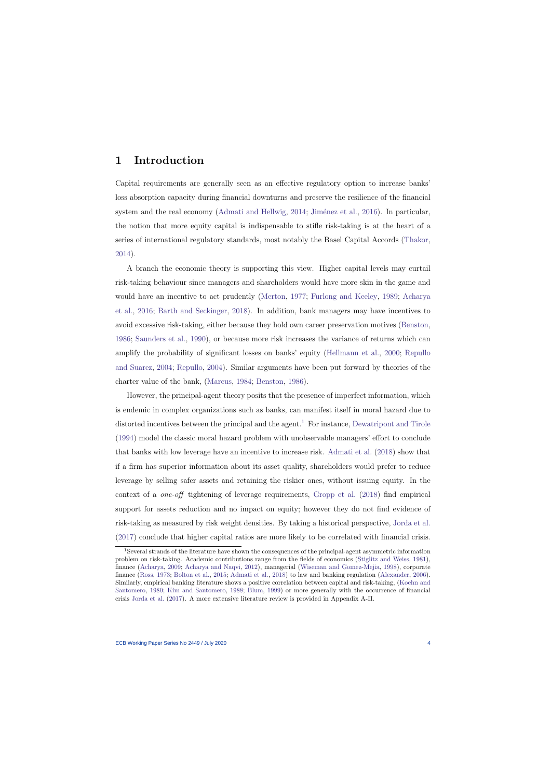## 1 Introduction

Capital requirements are generally seen as an effective regulatory option to increase banks' loss absorption capacity during financial downturns and preserve the resilience of the financial system and the real economy [\(Admati and Hellwig,](#page-41-0)  $2014$ ; Jiménez et al., [2016\)](#page-44-0). In particular, the notion that more equity capital is indispensable to stifle risk-taking is at the heart of a series of international regulatory standards, most notably the Basel Capital Accords [\(Thakor,](#page-47-0) [2014\)](#page-47-0).

A branch the economic theory is supporting this view. Higher capital levels may curtail risk-taking behaviour since managers and shareholders would have more skin in the game and would have an incentive to act prudently [\(Merton,](#page-45-0) [1977;](#page-45-0) [Furlong and Keeley,](#page-43-0) [1989;](#page-43-0) [Acharya](#page-41-1) [et al.,](#page-41-1) [2016;](#page-41-1) [Barth and Seckinger,](#page-41-2) [2018\)](#page-41-2). In addition, bank managers may have incentives to avoid excessive risk-taking, either because they hold own career preservation motives [\(Benston,](#page-42-0) [1986;](#page-42-0) [Saunders et al.,](#page-47-1) [1990\)](#page-47-1), or because more risk increases the variance of returns which can amplify the probability of significant losses on banks' equity [\(Hellmann et al.,](#page-44-1) [2000;](#page-44-1) [Repullo](#page-46-0) [and Suarez,](#page-46-0) [2004;](#page-46-0) [Repullo,](#page-46-1) [2004\)](#page-46-1). Similar arguments have been put forward by theories of the charter value of the bank, [\(Marcus,](#page-45-1) [1984;](#page-45-1) [Benston,](#page-42-0) [1986\)](#page-42-0).

However, the principal-agent theory posits that the presence of imperfect information, which is endemic in complex organizations such as banks, can manifest itself in moral hazard due to distorted incentives between the principal and the agent.<sup>[1](#page-4-0)</sup> For instance, [Dewatripont and Tirole](#page-43-1) [\(1994\)](#page-43-1) model the classic moral hazard problem with unobservable managers' effort to conclude that banks with low leverage have an incentive to increase risk. [Admati et al.](#page-41-3) [\(2018\)](#page-41-3) show that if a firm has superior information about its asset quality, shareholders would prefer to reduce leverage by selling safer assets and retaining the riskier ones, without issuing equity. In the context of a one-off tightening of leverage requirements, [Gropp et al.](#page-43-2) [\(2018\)](#page-43-2) find empirical support for assets reduction and no impact on equity; however they do not find evidence of risk-taking as measured by risk weight densities. By taking a historical perspective, [Jorda et al.](#page-45-2) [\(2017\)](#page-45-2) conclude that higher capital ratios are more likely to be correlated with financial crisis.

<span id="page-4-0"></span><sup>1</sup>Several strands of the literature have shown the consequences of the principal-agent asymmetric information problem on risk-taking. Academic contributions range from the fields of economics [\(Stiglitz and Weiss,](#page-47-2) [1981\)](#page-47-2), finance [\(Acharya,](#page-41-4) [2009;](#page-41-4) [Acharya and Naqvi,](#page-41-5) [2012\)](#page-41-5), managerial [\(Wiseman and Gomez-Mejia,](#page-47-3) [1998\)](#page-47-3), corporate finance [\(Ross,](#page-46-2) [1973;](#page-46-2) [Bolton et al.,](#page-42-1) [2015;](#page-42-1) [Admati et al.,](#page-41-3) [2018\)](#page-41-3) to law and banking regulation [\(Alexander,](#page-41-6) [2006\)](#page-41-6). Similarly, empirical banking literature shows a positive correlation between capital and risk-taking, [\(Koehn and](#page-45-3) [Santomero,](#page-45-3) [1980;](#page-45-3) [Kim and Santomero,](#page-45-4) [1988;](#page-45-4) [Blum,](#page-42-2) [1999\)](#page-42-2) or more generally with the occurrence of financial crisis [Jorda et al.](#page-45-2) [\(2017\)](#page-45-2). A more extensive literature review is provided in Appendix A-II.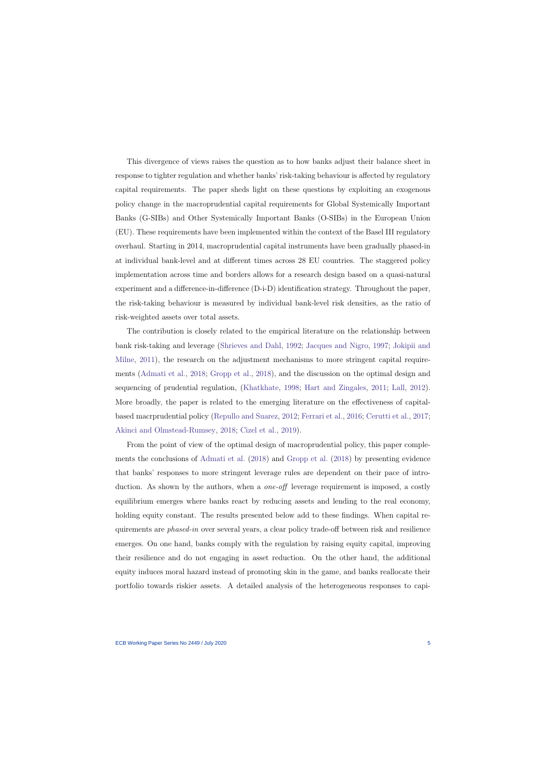This divergence of views raises the question as to how banks adjust their balance sheet in response to tighter regulation and whether banks' risk-taking behaviour is affected by regulatory capital requirements. The paper sheds light on these questions by exploiting an exogenous policy change in the macroprudential capital requirements for Global Systemically Important Banks (G-SIBs) and Other Systemically Important Banks (O-SIBs) in the European Union (EU). These requirements have been implemented within the context of the Basel III regulatory overhaul. Starting in 2014, macroprudential capital instruments have been gradually phased-in at individual bank-level and at different times across 28 EU countries. The staggered policy implementation across time and borders allows for a research design based on a quasi-natural experiment and a difference-in-difference (D-i-D) identification strategy. Throughout the paper, the risk-taking behaviour is measured by individual bank-level risk densities, as the ratio of risk-weighted assets over total assets.

The contribution is closely related to the empirical literature on the relationship between bank risk-taking and leverage [\(Shrieves and Dahl,](#page-47-4) [1992;](#page-47-4) [Jacques and Nigro,](#page-44-2) [1997;](#page-44-2) [Jokipii and](#page-45-5) [Milne,](#page-45-5) [2011\)](#page-45-5), the research on the adjustment mechanisms to more stringent capital requirements [\(Admati et al.,](#page-41-3) [2018;](#page-41-3) [Gropp et al.,](#page-43-2) [2018\)](#page-43-2), and the discussion on the optimal design and sequencing of prudential regulation, [\(Khatkhate,](#page-45-6) [1998;](#page-45-6) [Hart and Zingales,](#page-44-3) [2011;](#page-44-3) [Lall,](#page-45-7) [2012\)](#page-45-7). More broadly, the paper is related to the emerging literature on the effectiveness of capitalbased macrprudential policy [\(Repullo and Suarez,](#page-46-3) [2012;](#page-46-3) [Ferrari et al.,](#page-43-3) [2016;](#page-43-3) [Cerutti et al.,](#page-42-3) [2017;](#page-42-3) [Akinci and Olmstead-Rumsey,](#page-41-7) [2018;](#page-41-7) [Cizel et al.,](#page-43-4) [2019\)](#page-43-4).

From the point of view of the optimal design of macroprudential policy, this paper complements the conclusions of [Admati et al.](#page-41-3) [\(2018\)](#page-41-3) and [Gropp et al.](#page-43-2) [\(2018\)](#page-43-2) by presenting evidence that banks' responses to more stringent leverage rules are dependent on their pace of introduction. As shown by the authors, when a *one-off* leverage requirement is imposed, a costly equilibrium emerges where banks react by reducing assets and lending to the real economy, holding equity constant. The results presented below add to these findings. When capital requirements are phased-in over several years, a clear policy trade-off between risk and resilience emerges. On one hand, banks comply with the regulation by raising equity capital, improving their resilience and do not engaging in asset reduction. On the other hand, the additional equity induces moral hazard instead of promoting skin in the game, and banks reallocate their portfolio towards riskier assets. A detailed analysis of the heterogeneous responses to capi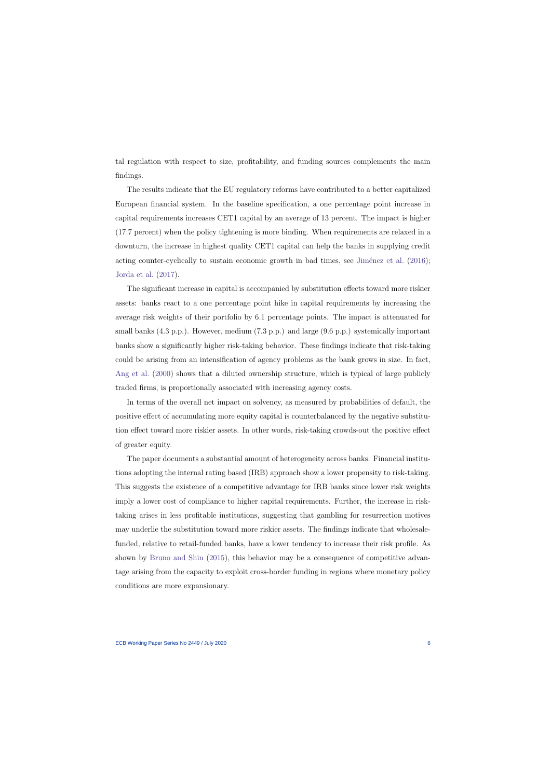tal regulation with respect to size, profitability, and funding sources complements the main findings.

The results indicate that the EU regulatory reforms have contributed to a better capitalized European financial system. In the baseline specification, a one percentage point increase in capital requirements increases CET1 capital by an average of 13 percent. The impact is higher (17.7 percent) when the policy tightening is more binding. When requirements are relaxed in a downturn, the increase in highest quality CET1 capital can help the banks in supplying credit acting counter-cyclically to sustain economic growth in bad times, see Jiménez et al.  $(2016)$ ; [Jorda et al.](#page-45-2) [\(2017\)](#page-45-2).

The significant increase in capital is accompanied by substitution effects toward more riskier assets: banks react to a one percentage point hike in capital requirements by increasing the average risk weights of their portfolio by 6.1 percentage points. The impact is attenuated for small banks (4.3 p.p.). However, medium (7.3 p.p.) and large (9.6 p.p.) systemically important banks show a significantly higher risk-taking behavior. These findings indicate that risk-taking could be arising from an intensification of agency problems as the bank grows in size. In fact, [Ang et al.](#page-41-8) [\(2000\)](#page-41-8) shows that a diluted ownership structure, which is typical of large publicly traded firms, is proportionally associated with increasing agency costs.

In terms of the overall net impact on solvency, as measured by probabilities of default, the positive effect of accumulating more equity capital is counterbalanced by the negative substitution effect toward more riskier assets. In other words, risk-taking crowds-out the positive effect of greater equity.

The paper documents a substantial amount of heterogeneity across banks. Financial institutions adopting the internal rating based (IRB) approach show a lower propensity to risk-taking. This suggests the existence of a competitive advantage for IRB banks since lower risk weights imply a lower cost of compliance to higher capital requirements. Further, the increase in risktaking arises in less profitable institutions, suggesting that gambling for resurrection motives may underlie the substitution toward more riskier assets. The findings indicate that wholesalefunded, relative to retail-funded banks, have a lower tendency to increase their risk profile. As shown by [Bruno and Shin](#page-42-4) [\(2015\)](#page-42-4), this behavior may be a consequence of competitive advantage arising from the capacity to exploit cross-border funding in regions where monetary policy conditions are more expansionary.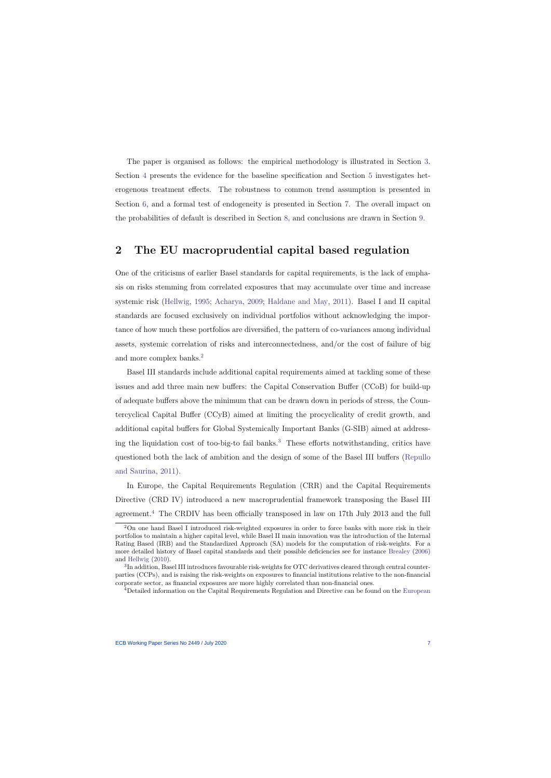The paper is organised as follows: the empirical methodology is illustrated in Section [3.](#page-11-0) Section [4](#page-20-0) presents the evidence for the baseline specification and Section [5](#page-24-0) investigates heterogenous treatment effects. The robustness to common trend assumption is presented in Section [6,](#page-30-0) and a formal test of endogeneity is presented in Section [7.](#page-35-0) The overall impact on the probabilities of default is described in Section [8,](#page-37-0) and conclusions are drawn in Section [9.](#page-39-0)

# 2 The EU macroprudential capital based regulation

One of the criticisms of earlier Basel standards for capital requirements, is the lack of emphasis on risks stemming from correlated exposures that may accumulate over time and increase systemic risk [\(Hellwig,](#page-44-4) [1995;](#page-44-4) [Acharya,](#page-41-4) [2009;](#page-41-4) [Haldane and May,](#page-44-5) [2011\)](#page-44-5). Basel I and II capital standards are focused exclusively on individual portfolios without acknowledging the importance of how much these portfolios are diversified, the pattern of co-variances among individual assets, systemic correlation of risks and interconnectedness, and/or the cost of failure of big and more complex banks.<sup>[2](#page-7-0)</sup>

<span id="page-7-3"></span>Basel III standards include additional capital requirements aimed at tackling some of these issues and add three main new buffers: the Capital Conservation Buffer (CCoB) for build-up of adequate buffers above the minimum that can be drawn down in periods of stress, the Countercyclical Capital Buffer (CCyB) aimed at limiting the procyclicality of credit growth, and additional capital buffers for Global Systemically Important Banks (G-SIB) aimed at addressing the liquidation cost of too-big-to fail banks.[3](#page-7-1) These efforts notwithstanding, critics have questioned both the lack of ambition and the design of some of the Basel III buffers [\(Repullo](#page-46-4) [and Saurina,](#page-46-4) [2011\)](#page-46-4).

In Europe, the Capital Requirements Regulation (CRR) and the Capital Requirements Directive (CRD IV) introduced a new macroprudential framework transposing the Basel III agreement.[4](#page-7-2) The CRDIV has been officially transposed in law on 17th July 2013 and the full

<sup>2</sup>On one hand Basel I introduced risk-weighted exposures in order to force banks with more risk in their portfolios to maintain a higher capital level, while Basel II main innovation was the introduction of the Internal Rating Based (IRB) and the Standardized Approach (SA) models for the computation of risk-weights. For a more detailed history of Basel capital standards and their possible deficiencies see for instance [Brealey](#page-42-5) [\(2006\)](#page-42-5) and [Hellwig](#page-44-6) [\(2010\)](#page-44-6).

<sup>&</sup>lt;sup>3</sup>In addition, Basel III introduces favourable risk-weights for OTC derivatives cleared through central counterparties (CCPs), and is raising the risk-weights on exposures to financial institutions relative to the non-financial corporate sector, as financial exposures are more highly correlated than non-financial ones.

<span id="page-7-2"></span><span id="page-7-1"></span><span id="page-7-0"></span><sup>4</sup>Detailed information on the Capital Requirements Regulation and Directive can be found on the [European](http://ec.europa.eu/finance/bank/regcapital/legislation-in-force/index_en.htm)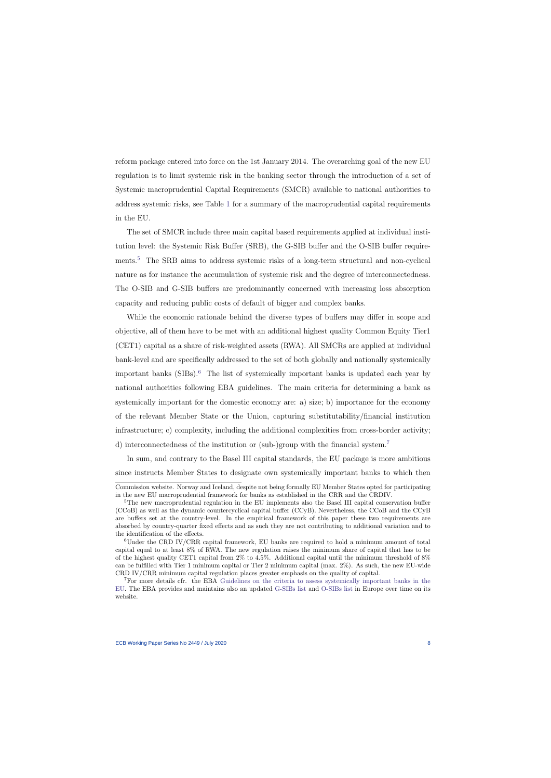reform package entered [into force on the 1st January 2014. The overarching goal of the new EU](http://ec.europa.eu/finance/bank/regcapital/legislation-in-force/index_en.htm) [regulation is to limit systemic risk in the banking sector through the introduction of a set of](http://ec.europa.eu/finance/bank/regcapital/legislation-in-force/index_en.htm) [Systemic macroprudential Capital Requirements \(SMCR\) available to national authorities to](http://ec.europa.eu/finance/bank/regcapital/legislation-in-force/index_en.htm) address systemic risks, see Table [1](#page-53-0) [for a summary of the macroprudential capital requirements](http://ec.europa.eu/finance/bank/regcapital/legislation-in-force/index_en.htm) [in the EU.](http://ec.europa.eu/finance/bank/regcapital/legislation-in-force/index_en.htm)

[The set of SMCR include three main capital based requirements applied at individual insti](http://ec.europa.eu/finance/bank/regcapital/legislation-in-force/index_en.htm)[tution level: the Systemic Risk Buffer \(SRB\), the G-SIB buffer and the O-SIB buffer require-](http://ec.europa.eu/finance/bank/regcapital/legislation-in-force/index_en.htm)ments.<sup>[5](#page-8-0)</sup> [The SRB aims to address systemic risks of a long-term structural and non-cyclical](http://ec.europa.eu/finance/bank/regcapital/legislation-in-force/index_en.htm) [nature as for instance the accumulation of systemic risk and the degree of interconnectedness.](http://ec.europa.eu/finance/bank/regcapital/legislation-in-force/index_en.htm) [The O-SIB and G-SIB buffers are predominantly concerned with increasing loss absorption](http://ec.europa.eu/finance/bank/regcapital/legislation-in-force/index_en.htm) [capacity and reducing public costs of default of bigger and complex banks.](http://ec.europa.eu/finance/bank/regcapital/legislation-in-force/index_en.htm)

[While the economic rationale behind the diverse types of buffers may differ in scope and](http://ec.europa.eu/finance/bank/regcapital/legislation-in-force/index_en.htm) [objective, all of them have to be met with an additional highest quality Common Equity Tier1](http://ec.europa.eu/finance/bank/regcapital/legislation-in-force/index_en.htm) [\(CET1\) capital as a share of risk-weighted assets \(RWA\). All SMCRs are applied at individual](http://ec.europa.eu/finance/bank/regcapital/legislation-in-force/index_en.htm) [bank-level and are specifically addressed to the set of both globally and nationally systemically](http://ec.europa.eu/finance/bank/regcapital/legislation-in-force/index_en.htm) important banks  $(SIBs)$ <sup>[6](#page-8-1)</sup>. [The list of systemically important banks is updated each year by](http://ec.europa.eu/finance/bank/regcapital/legislation-in-force/index_en.htm) [national authorities following EBA guidelines. The main criteria for determining a bank as](http://ec.europa.eu/finance/bank/regcapital/legislation-in-force/index_en.htm) [systemically important for the domestic economy are: a\) size; b\) importance for the economy](http://ec.europa.eu/finance/bank/regcapital/legislation-in-force/index_en.htm) [of the relevant Member State or the Union, capturing substitutability/financial institution](http://ec.europa.eu/finance/bank/regcapital/legislation-in-force/index_en.htm) [infrastructure; c\) complexity, including the additional complexities from cross-border activity;](http://ec.europa.eu/finance/bank/regcapital/legislation-in-force/index_en.htm) [d\) interconnectedness of the institution or \(sub-\)group with the financial system.](http://ec.europa.eu/finance/bank/regcapital/legislation-in-force/index_en.htm)[7](#page-8-2)

[In sum, and contrary to the Basel III capital standards, the EU package is more ambitious](http://ec.europa.eu/finance/bank/regcapital/legislation-in-force/index_en.htm) [since instructs Member States to designate own systemically important banks to which then](http://ec.europa.eu/finance/bank/regcapital/legislation-in-force/index_en.htm)

[Commission website.](http://ec.europa.eu/finance/bank/regcapital/legislation-in-force/index_en.htm) Norway and Iceland, despite not being formally EU Member States opted for participating in the new EU macroprudential framework for banks as established in the CRR and the CRDIV.

<sup>&</sup>lt;sup>5</sup>The new macroprudential regulation in the EU implements also the Basel III capital conservation buffer (CCoB) as well as the dynamic countercyclical capital buffer (CCyB). Nevertheless, the CCoB and the CCyB are buffers set at the country-level. In the empirical framework of this paper these two requirements are absorbed by country-quarter fixed effects and as such they are not contributing to additional variation and to the identification of the effects.

<sup>6</sup>Under the CRD IV/CRR capital framework, EU banks are required to hold a minimum amount of total capital equal to at least 8% of RWA. The new regulation raises the minimum share of capital that has to be of the highest quality CET1 capital from  $2\%$  to 4.5%. Additional capital until the minimum threshold of  $8\%$ can be fulfilled with Tier 1 minimum capital or Tier 2 minimum capital (max. 2%). As such, the new EU-wide CRD IV/CRR minimum capital regulation places greater emphasis on the quality of capital.

<span id="page-8-2"></span><span id="page-8-1"></span><span id="page-8-0"></span><sup>7</sup>For more details cfr. the EBA [Guidelines on the criteria to assess systemically important banks in the](https://eba.europa.eu/regulation-and-policy/own-funds/guidelines-on-criteria-to-to-assess-other-systemically-important-institutions-o-siis-) [EU.](https://eba.europa.eu/regulation-and-policy/own-funds/guidelines-on-criteria-to-to-assess-other-systemically-important-institutions-o-siis-) The EBA provides and maintains also an updated [G-SIBs list](https://www.eba.europa.eu/risk-analysis-and-data/global-systemically-important-institutions) and [O-SIBs list](https://www.eba.europa.eu/risk-analysis-and-data/other-systemically-important-institutions-o-siis-) in Europe over time on its website.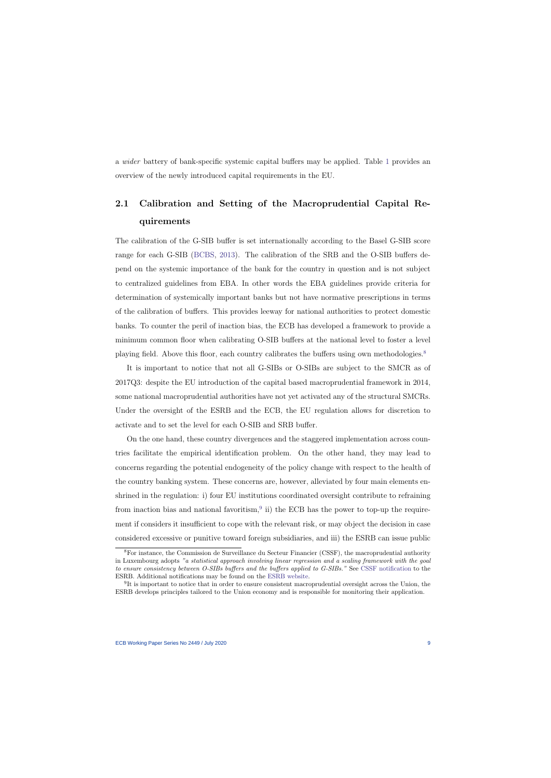a wider battery of bank-specific systemic capital buffers may be applied. Table [1](#page-53-0) provides an overview of the newly introduced capital requirements in the EU.

# 2.1 Calibration and Setting of the Macroprudential Capital Requirements

The calibration of the G-SIB buffer is set internationally according to the Basel G-SIB score range for each G-SIB [\(BCBS,](#page-42-6) [2013\)](#page-42-6). The calibration of the SRB and the O-SIB buffers depend on the systemic importance of the bank for the country in question and is not subject to centralized guidelines from EBA. In other words the EBA guidelines provide criteria for determination of systemically important banks but not have normative prescriptions in terms of the calibration of buffers. This provides leeway for national authorities to protect domestic banks. To counter the peril of inaction bias, the ECB has developed a framework to provide a minimum common floor when calibrating O-SIB buffers at the national level to foster a level playing field. Above this floor, each country calibrates the buffers using own methodologies.<sup>[8](#page-9-0)</sup>

It is important to notice that not all G-SIBs or O-SIBs are subject to the SMCR as of 2017Q3: despite the EU introduction of the capital based macroprudential framework in 2014, some national macroprudential authorities have not yet activated any of the structural SMCRs. Under the oversight of the ESRB and the ECB, the EU regulation allows for discretion to activate and to set the level for each O-SIB and SRB buffer.

On the one hand, these country divergences and the staggered implementation across countries facilitate the empirical identification problem. On the other hand, they may lead to concerns regarding the potential endogeneity of the policy change with respect to the health of the country banking system. These concerns are, however, alleviated by four main elements enshrined in the regulation: i) four EU institutions coordinated oversight contribute to refraining from inaction bias and national favoritism,  $9$  ii) the ECB has the power to top-up the requirement if considers it insufficient to cope with the relevant risk, or may object the decision in case considered excessive or punitive toward foreign subsidiaries, and iii) the ESRB can issue public

<sup>8</sup>For instance, the Commission de Surveillance du Secteur Financier (CSSF), the macroprudential authority in Luxembourg adopts "a statistical approach involving linear regression and a scaling framework with the goal to ensure consistency between O-SIBs buffers and the buffers applied to G-SIBs." See [CSSF notification](https://www.esrb.europa.eu/pub/pdf/other/esrb.180104_LU_notification_sii.en.pdf?aadb6659c51fda68ca956b1c399773a2) to the ESRB. Additional notifications may be found on the [ESRB website.](https://www.esrb.europa.eu/national_policy/html/index.en.html)

<span id="page-9-1"></span><span id="page-9-0"></span><sup>&</sup>lt;sup>9</sup>It is important to notice that in order to ensure consistent macroprudential oversight across the Union, the ESRB develops principles tailored to the Union economy and is responsible for monitoring their application.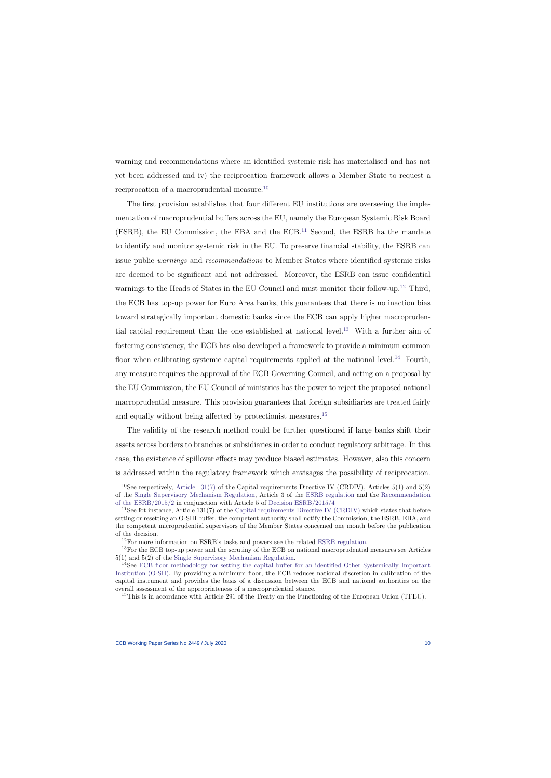warning and recommendations where an identified systemic risk has materialised and has not yet been addressed and iv) the reciprocation framework allows a Member State to request a reciprocation of a macroprudential measure.[10](#page-10-0)

The first provision establishes that four different EU institutions are overseeing the implementation of macroprudential buffers across the EU, namely the European Systemic Risk Board (ESRB), the EU Commission, the EBA and the ECB.[11](#page-10-1) Second, the ESRB ha the mandate to identify and monitor systemic risk in the EU. To preserve financial stability, the ESRB can issue public warnings and recommendations to Member States where identified systemic risks are deemed to be significant and not addressed. Moreover, the ESRB can issue confidential warnings to the Heads of States in the EU Council and must monitor their follow-up.<sup>[12](#page-10-2)</sup> Third, the ECB has top-up power for Euro Area banks, this guarantees that there is no inaction bias toward strategically important domestic banks since the ECB can apply higher macropruden-tial capital requirement than the one established at national level.<sup>[13](#page-10-3)</sup> With a further aim of fostering consistency, the ECB has also developed a framework to provide a minimum common floor when calibrating systemic capital requirements applied at the national level.<sup>[14](#page-10-4)</sup> Fourth, any measure requires the approval of the ECB Governing Council, and acting on a proposal by the EU Commission, the EU Council of ministries has the power to reject the proposed national macroprudential measure. This provision guarantees that foreign subsidiaries are treated fairly and equally without being affected by protectionist measures.<sup>[15](#page-10-5)</sup>

The validity of the research method could be further questioned if large banks shift their assets across borders to branches or subsidiaries in order to conduct regulatory arbitrage. In this case, the existence of spillover effects may produce biased estimates. However, also this concern is addressed within the regulatory framework which envisages the possibility of reciprocation.

<sup>&</sup>lt;sup>10</sup>See respectively, [Article 131\(7\)](https://eur-lex.europa.eu/LexUriServ/LexUriServ.do?uri=OJ:L:2013:176:0338:0436:EN:PDF) of the Capital requirements Directive IV (CRDIV), Articles 5(1) and 5(2) of the [Single Supervisory Mechanism Regulation,](https://eur-lex.europa.eu/LexUriServ/LexUriServ.do?uri=OJ:L:2013:287:0063:0089:EN:PDF) Article 3 of the [ESRB regulation](https://www.esrb.europa.eu/shared/pdf/101216_ESRB_establishment.en.pdf?20c8cadce98d21eb005aad871b87fa6f) and the [Recommendation](https://www.esrb.europa.eu/pub/pdf/recommendations/2015/ESRB_2015_2.en.pdf) [of the ESRB/2015/2](https://www.esrb.europa.eu/pub/pdf/recommendations/2015/ESRB_2015_2.en.pdf) in conjunction with Article 5 of [Decision ESRB/2015/4](https://www.esrb.europa.eu/pub/pdf/other/Decision_ESRB_2015_4.pdf)

<sup>&</sup>lt;sup>11</sup>See fot instance, Article 131(7) of the [Capital requirements Directive IV \(CRDIV\)](https://eur-lex.europa.eu/LexUriServ/LexUriServ.do?uri=OJ:L:2013:176:0338:0436:EN:PDF) which states that before setting or resetting an O-SIB buffer, the competent authority shall notify the Commission, the ESRB, EBA, and the competent microprudential supervisors of the Member States concerned one month before the publication of the decision.

 $12$ For more information on ESRB's tasks and powers see the related [ESRB regulation.](https://www.esrb.europa.eu/shared/pdf/101216_ESRB_establishment.en.pdf?20c8cadce98d21eb005aad871b87fa6f)

<sup>13</sup>For the ECB top-up power and the scrutiny of the ECB on national macroprudential measures see Articles 5(1) and 5(2) of the [Single Supervisory Mechanism Regulation.](https://eur-lex.europa.eu/LexUriServ/LexUriServ.do?uri=OJ:L:2013:287:0063:0089:EN:PDF)

<sup>&</sup>lt;sup>14</sup>See [ECB floor methodology for setting the capital buffer for an identified Other Systemically Important](https://www.ecb.europa.eu/pub/pdf/mpbu/ecb.mpbu201706.en.pdf?a0ca5c14c0065da8601d2995de6bc622) [Institution \(O-SII\).](https://www.ecb.europa.eu/pub/pdf/mpbu/ecb.mpbu201706.en.pdf?a0ca5c14c0065da8601d2995de6bc622) By providing a minimum floor, the ECB reduces national discretion in calibration of the capital instrument and provides the basis of a discussion between the ECB and national authorities on the overall assessment of the appropriateness of a macroprudential stance.

<span id="page-10-5"></span><span id="page-10-4"></span><span id="page-10-3"></span><span id="page-10-2"></span><span id="page-10-1"></span><span id="page-10-0"></span><sup>&</sup>lt;sup>15</sup>This is in accordance with Article 291 of the Treaty on the Functioning of the European Union (TFEU).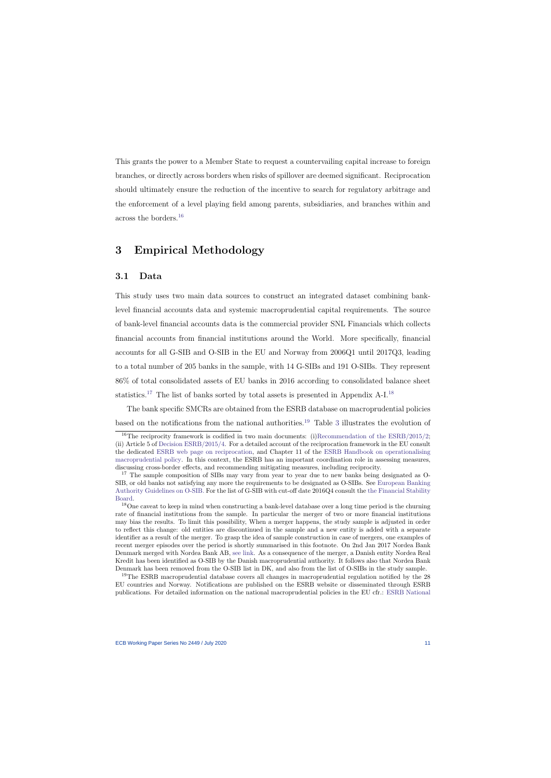This grants the power to a Member State to request a countervailing capital increase to foreign branches, or directly across borders when risks of spillover are deemed significant. Reciprocation should ultimately ensure the reduction of the incentive to search for regulatory arbitrage and the enforcement of a level playing field among parents, subsidiaries, and branches within and across the borders.[16](#page-11-1)

# 3 Empirical Methodology

### 3.1 Data

<span id="page-11-0"></span>This study uses two main data sources to construct an integrated dataset combining banklevel financial accounts data and systemic macroprudential capital requirements. The source of bank-level financial accounts data is the commercial provider SNL Financials which collects financial accounts from financial institutions around the World. More specifically, financial accounts for all G-SIB and O-SIB in the EU and Norway from 2006Q1 until 2017Q3, leading to a total number of 205 banks in the sample, with 14 G-SIBs and 191 O-SIBs. They represent 86% of total consolidated assets of EU banks in 2016 according to consolidated balance sheet statistics.[17](#page-11-2) The list of banks sorted by total assets is presented in Appendix A-I.[18](#page-11-3)

The bank specific SMCRs are obtained from the ESRB database on macroprudential policies based on the notifications from the national authorities.<sup>[19](#page-11-4)</sup> Table [3](#page-55-0) illustrates the evolution of

<span id="page-11-4"></span><span id="page-11-3"></span><span id="page-11-2"></span><span id="page-11-1"></span><sup>19</sup>The ESRB macroprudential database covers all changes in macroprudential regulation notified by the 28 EU countries and Norway. Notifications are published on the ESRB website or disseminated through ESRB publications. For detailed information on the national macroprudential policies in the EU cfr.: [ESRB National](https://www.esrb.europa.eu/national_policy/html/index.en.html)

<sup>&</sup>lt;sup>16</sup>The reciprocity framework is codified in two main documents: (i)Recommendation of the  $ESRB/2015/2$ ; (ii) Article 5 of [Decision ESRB/2015/4.](https://www.esrb.europa.eu/pub/pdf/other/Decision_ESRB_2015_4.pdf) For a detailed account of the reciprocation framework in the EU consult the dedicated [ESRB web page on reciprocation,](https://www.esrb.europa.eu/national_policy/reciprocation/html/index.en.html) and Chapter 11 of the [ESRB Handbook on operationalising](https://www.esrb.europa.eu/pub/pdf/other/esrb.handbook_mp180115.en.pdf) [macroprudential policy.](https://www.esrb.europa.eu/pub/pdf/other/esrb.handbook_mp180115.en.pdf) In this context, the ESRB has an important coordination role in assessing measures, discussing cross-border effects, and recommending mitigating measures, including reciprocity.

<sup>&</sup>lt;sup>17</sup> The sample composition of SIBs may vary from year to year due to new banks being designated as O-SIB, or old banks not satisfying any more the requirements to be designated as O-SIBs. See [European Banking](https://www.eba.europa.eu/documents/10180/930752/EBA-GL-2014-10+%28Guidelines+on+O-SIIs+Assessment%29.pdf) [Authority Guidelines on O-SIB.](https://www.eba.europa.eu/documents/10180/930752/EBA-GL-2014-10+%28Guidelines+on+O-SIIs+Assessment%29.pdf) For the list of G-SIB with cut-off date 2016Q4 consult the [the Financial Stability](http://www.fsb.org/wp-content/uploads/P211117-1.pdf) [Board.](http://www.fsb.org/wp-content/uploads/P211117-1.pdf)

<sup>&</sup>lt;sup>18</sup>One caveat to keep in mind when constructing a bank-level database over a long time period is the churning rate of financial institutions from the sample. In particular the merger of two or more financial institutions may bias the results. To limit this possibility, When a merger happens, the study sample is adjusted in order to reflect this change: old entities are discontinued in the sample and a new entity is added with a separate identifier as a result of the merger. To grasp the idea of sample construction in case of mergers, one examples of recent merger episodes over the period is shortly summarised in this footnote. On 2nd Jan 2017 Nordea Bank Denmark merged with Nordea Bank AB, [see link.](http://www.nordea.com/en/press-and-news/news-and-press-releases/press-releases/2017/01-02-08h15-one-nordea---new-legal-structure.html) As a consequence of the merger, a Danish entity Nordea Real Kredit has been identified as O-SIB by the Danish macroprudential authority. It follows also that Nordea Bank Denmark has been removed from the O-SIB list in DK, and also from the list of O-SIBs in the study sample.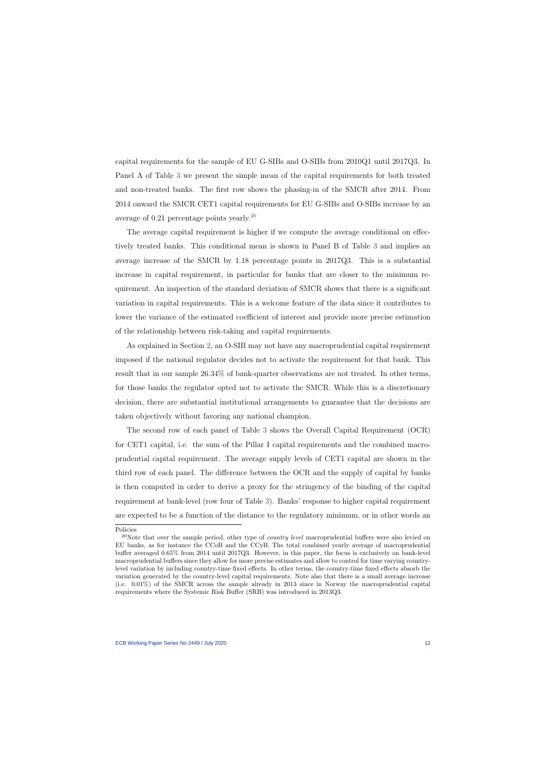capital requirements for the sample [of EU G-SIBs and O-SIBs from 2010Q1 until 2017Q3. In](https://www.esrb.europa.eu/national_policy/html/index.en.html) Panel A of Table [3](#page-55-0) [we present the simple mean of the capital requirements for both treated](https://www.esrb.europa.eu/national_policy/html/index.en.html) [and non-treated banks. The first row shows the phasing-in of the SMCR after 2014. From](https://www.esrb.europa.eu/national_policy/html/index.en.html) [2014 onward the SMCR CET1 capital requirements for EU G-SIBs and O-SIBs increase by an](https://www.esrb.europa.eu/national_policy/html/index.en.html) [average of 0.21 percentage points yearly.](https://www.esrb.europa.eu/national_policy/html/index.en.html)[20](#page-12-0)

[The average capital requirement is higher if we compute the average conditional on effec](https://www.esrb.europa.eu/national_policy/html/index.en.html)[tively treated banks. This conditional mean is shown in Panel B of Table](https://www.esrb.europa.eu/national_policy/html/index.en.html) [3](#page-55-0) and implies an [average increase of the SMCR by 1.18 percentage points in 2017Q3. This is a substantial](https://www.esrb.europa.eu/national_policy/html/index.en.html) [increase in capital requirement, in particular for banks that are closer to the minimum re](https://www.esrb.europa.eu/national_policy/html/index.en.html)[quirement. An inspection of the standard deviation of SMCR shows that there is a significant](https://www.esrb.europa.eu/national_policy/html/index.en.html) [variation in capital requirements. This is a welcome feature of the data since it contributes to](https://www.esrb.europa.eu/national_policy/html/index.en.html) [lower the variance of the estimated coefficient of interest and provide more precise estimation](https://www.esrb.europa.eu/national_policy/html/index.en.html) [of the relationship between risk-taking and capital requirements.](https://www.esrb.europa.eu/national_policy/html/index.en.html)

As explained in Section [2, an O-SIB may not have any macroprudential capital requirement](https://www.esrb.europa.eu/national_policy/html/index.en.html) [imposed if the national regulator decides not to activate the requirement for that bank. This](https://www.esrb.europa.eu/national_policy/html/index.en.html) [result that in our sample 26.34% of bank-quarter observations are not treated. In other terms,](https://www.esrb.europa.eu/national_policy/html/index.en.html) [for those banks the regulator opted not to activate the SMCR. While this is a discretionary](https://www.esrb.europa.eu/national_policy/html/index.en.html) [decision, there are substantial institutional arrangements to guarantee that the decisions are](https://www.esrb.europa.eu/national_policy/html/index.en.html) [taken objectively without favoring any national champion.](https://www.esrb.europa.eu/national_policy/html/index.en.html)

The second row of each panel of Table [3](#page-55-0) [shows the Overall Capital Requirement \(OCR\)](https://www.esrb.europa.eu/national_policy/html/index.en.html) [for CET1 capital, i.e. the sum of the Pillar I capital requirements and the combined macro](https://www.esrb.europa.eu/national_policy/html/index.en.html)[prudential capital requirement. The average supply levels of CET1 capital are shown in the](https://www.esrb.europa.eu/national_policy/html/index.en.html) [third row of each panel. The difference between the OCR and the supply of capital by banks](https://www.esrb.europa.eu/national_policy/html/index.en.html) [is then computed in order to derive a proxy for the stringency of the binding of the capital](https://www.esrb.europa.eu/national_policy/html/index.en.html) requirement at bank-level (row four of Table [3\). Banks' response to higher capital requirement](https://www.esrb.europa.eu/national_policy/html/index.en.html) [are expected to be a function of the distance to the regulatory minimum, or in other words an](https://www.esrb.europa.eu/national_policy/html/index.en.html)

[Policies](https://www.esrb.europa.eu/national_policy/html/index.en.html)

<span id="page-12-0"></span><sup>&</sup>lt;sup>20</sup>Note that over the sample period, other type of *country level* macroprudential buffers were also levied on EU banks, as for instance the CCoB and the CCyB. The total combined yearly average of macroprudential buffer averaged 0.65% from 2014 until 2017Q3. However, in this paper, the focus is exclusively on bank-level macroprudential buffers since they allow for more precise estimates and allow to control for time varying countrylevel variation by including country-time fixed effects. In other terms, the country-time fixed effects absorb the variation generated by the country-level capital requirements. Note also that there is a small average increase (i.e. 0.01%) of the SMCR across the sample already in 2013 since in Norway the macroprudential capital requirements where the Systemic Risk Buffer (SRB) was introduced in 2013Q3.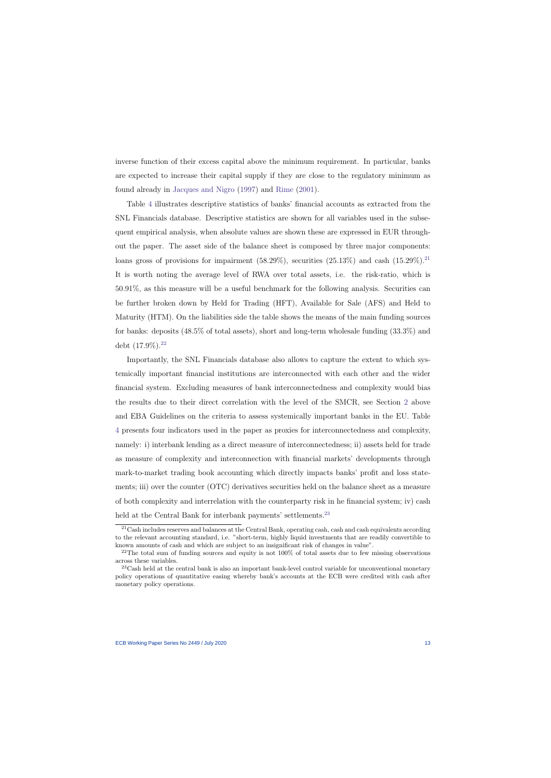inverse function of their excess capital above the minimum requirement. In particular, banks are expected to increase their capital supply if they are close to the regulatory minimum as found already in [Jacques and Nigro](#page-44-2) [\(1997\)](#page-44-2) and [Rime](#page-46-5) [\(2001\)](#page-46-5).

Table [4](#page-56-0) illustrates descriptive statistics of banks' financial accounts as extracted from the SNL Financials database. Descriptive statistics are shown for all variables used in the subsequent empirical analysis, when absolute values are shown these are expressed in EUR throughout the paper. The asset side of the balance sheet is composed by three major components: loans gross of provisions for impairment  $(58.29\%)$ , securities  $(25.13\%)$  and cash  $(15.29\%)$ .<sup>[21](#page-13-0)</sup> It is worth noting the average level of RWA over total assets, i.e. the risk-ratio, which is 50.91%, as this measure will be a useful benchmark for the following analysis. Securities can be further broken down by Held for Trading (HFT), Available for Sale (AFS) and Held to Maturity (HTM). On the liabilities side the table shows the means of the main funding sources for banks: deposits (48.5% of total assets), short and long-term wholesale funding (33.3%) and debt  $(17.9\%)$ <sup>[22](#page-13-1)</sup>

Importantly, the SNL Financials database also allows to capture the extent to which systemically important financial institutions are interconnected with each other and the wider financial system. Excluding measures of bank interconnectedness and complexity would bias the results due to their direct correlation with the level of the SMCR, see Section [2](#page-7-3) above and EBA Guidelines on the criteria to assess systemically important banks in the EU. Table [4](#page-56-0) presents four indicators used in the paper as proxies for interconnectedness and complexity, namely: i) interbank lending as a direct measure of interconnectedness; ii) assets held for trade as measure of complexity and interconnection with financial markets' developments through mark-to-market trading book accounting which directly impacts banks' profit and loss statements; iii) over the counter (OTC) derivatives securities held on the balance sheet as a measure of both complexity and interrelation with the counterparty risk in he financial system; iv) cash held at the Central Bank for interbank payments' settlements.<sup>[23](#page-13-2)</sup>

<sup>21</sup>Cash includes reserves and balances at the Central Bank, operating cash, cash and cash equivalents according to the relevant accounting standard, i.e. "short-term, highly liquid investments that are readily convertible to known amounts of cash and which are subject to an insignificant risk of changes in value".

 $^{22}$ The total sum of funding sources and equity is not 100% of total assets due to few missing observations across these variables.

<span id="page-13-2"></span><span id="page-13-1"></span><span id="page-13-0"></span><sup>&</sup>lt;sup>23</sup>Cash held at the central bank is also an important bank-level control variable for unconventional monetary policy operations of quantitative easing whereby bank's accounts at the ECB were credited with cash after monetary policy operations.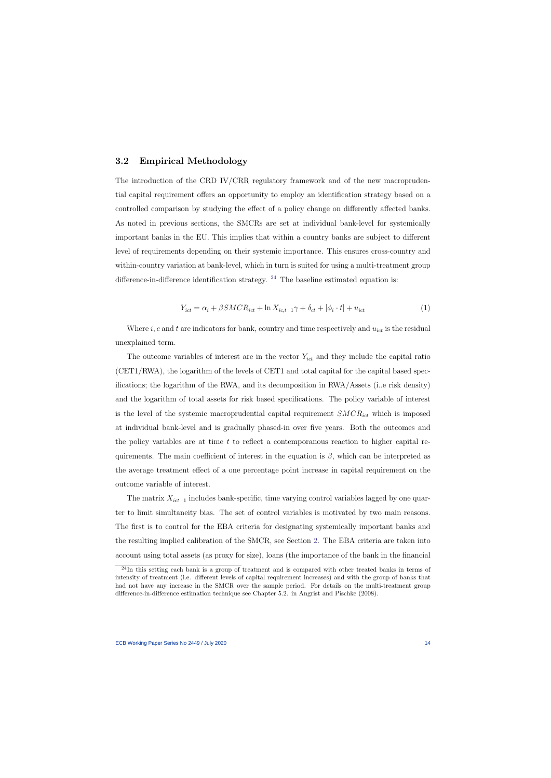### 3.2 Empirical Methodology

The introduction of the CRD IV/CRR regulatory framework and of the new macroprudential capital requirement offers an opportunity to employ an identification strategy based on a controlled comparison by studying the effect of a policy change on differently affected banks. As noted in previous sections, the SMCRs are set at individual bank-level for systemically important banks in the EU. This implies that within a country banks are subject to different level of requirements depending on their systemic importance. This ensures cross-country and within-country variation at bank-level, which in turn is suited for using a multi-treatment group difference-in-difference identification strategy.  $24$  The baseline estimated equation is:

$$
Y_{ict} = \alpha_i + \beta SMCR_{ict} + \ln X_{ic,t-1}\gamma + \delta_{ct} + [\phi_i \cdot t] + u_{ict}
$$
\n
$$
\tag{1}
$$

Where  $i, c$  and  $t$  are indicators for bank, country and time respectively and  $u_{ict}$  is the residual unexplained term.

<span id="page-14-1"></span>The outcome variables of interest are in the vector  $Y_{ict}$  and they include the capital ratio (CET1/RWA), the logarithm of the levels of CET1 and total capital for the capital based specifications; the logarithm of the RWA, and its decomposition in RWA/Assets (i..e risk density) and the logarithm of total assets for risk based specifications. The policy variable of interest is the level of the systemic macroprudential capital requirement  $SMCR_{ict}$  which is imposed at individual bank-level and is gradually phased-in over five years. Both the outcomes and the policy variables are at time  $t$  to reflect a contemporanous reaction to higher capital requirements. The main coefficient of interest in the equation is  $\beta$ , which can be interpreted as the average treatment effect of a one percentage point increase in capital requirement on the outcome variable of interest.

The matrix  $X_{ict-1}$  includes bank-specific, time varying control variables lagged by one quarter to limit simultaneity bias. The set of control variables is motivated by two main reasons. The first is to control for the EBA criteria for designating systemically important banks and the resulting implied calibration of the SMCR, see Section [2.](#page-7-3) The EBA criteria are taken into account using total assets (as proxy for size), loans (the importance of the bank in the financial

<span id="page-14-0"></span><sup>&</sup>lt;sup>24</sup>In this setting each bank is a group of treatment and is compared with other treated banks in terms of intensity of treatment (i.e. different levels of capital requirement increases) and with the group of banks that had not have any increase in the SMCR over the sample period. For details on the multi-treatment group difference-in-difference estimation technique see Chapter 5.2. in Angrist and Pischke (2008).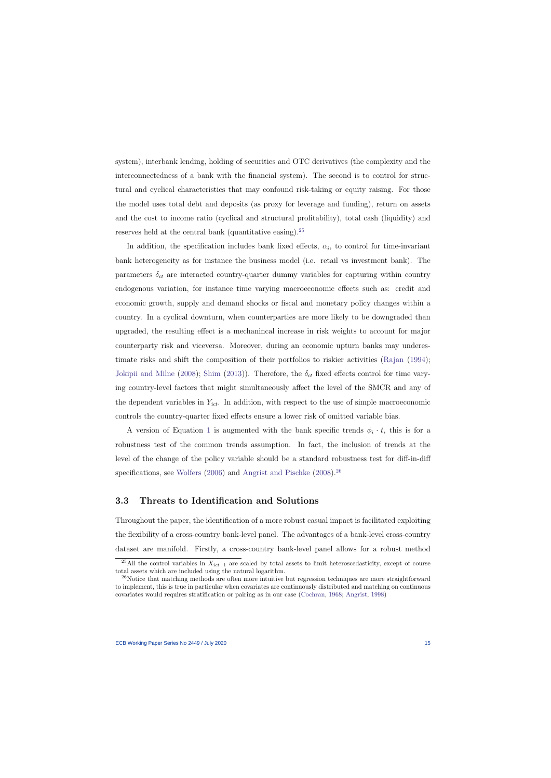system), interbank lending, holding of securities and OTC derivatives (the complexity and the interconnectedness of a bank with the financial system). The second is to control for structural and cyclical characteristics that may confound risk-taking or equity raising. For those the model uses total debt and deposits (as proxy for leverage and funding), return on assets and the cost to income ratio (cyclical and structural profitability), total cash (liquidity) and reserves held at the central bank (quantitative easing).[25](#page-15-0)

In addition, the specification includes bank fixed effects,  $\alpha_i$ , to control for time-invariant bank heterogeneity as for instance the business model (i.e. retail vs investment bank). The parameters  $\delta_{ct}$  are interacted country-quarter dummy variables for capturing within country endogenous variation, for instance time varying macroeconomic effects such as: credit and economic growth, supply and demand shocks or fiscal and monetary policy changes within a country. In a cyclical downturn, when counterparties are more likely to be downgraded than upgraded, the resulting effect is a mechanincal increase in risk weights to account for major counterparty risk and viceversa. Moreover, during an economic upturn banks may underestimate risks and shift the composition of their portfolios to riskier activities [\(Rajan](#page-46-6) [\(1994\)](#page-46-6); [Jokipii and Milne](#page-45-8) [\(2008\)](#page-45-8); [Shim](#page-47-5) [\(2013\)](#page-47-5)). Therefore, the  $\delta_{ct}$  fixed effects control for time varying country-level factors that might simultaneously affect the level of the SMCR and any of the dependent variables in  $Y_{ict}$ . In addition, with respect to the use of simple macroeconomic controls the country-quarter fixed effects ensure a lower risk of omitted variable bias.

A version of Equation [1](#page-14-1) is augmented with the bank specific trends  $\phi_i \cdot t$ , this is for a robustness test of the common trends assumption. In fact, the inclusion of trends at the level of the change of the policy variable should be a standard robustness test for diff-in-diff specifications, see [Wolfers](#page-47-6) [\(2006\)](#page-47-6) and [Angrist and Pischke](#page-41-9) [\(2008\)](#page-41-9).<sup>[26](#page-15-1)</sup>

### 3.3 Threats to Identification and Solutions

Throughout the paper, the identification of a more robust casual impact is facilitated exploiting the flexibility of a cross-country bank-level panel. The advantages of a bank-level cross-country dataset are manifold. Firstly, a cross-country bank-level panel allows for a robust method

<sup>&</sup>lt;sup>25</sup>All the control variables in  $X_{ict}$  1 are scaled by total assets to limit heteroscedasticity, except of course total assets which are included using the natural logarithm.

<span id="page-15-1"></span><span id="page-15-0"></span><sup>&</sup>lt;sup>26</sup>Notice that matching methods are often more intuitive but regression techniques are more straightforward to implement, this is true in particular when covariates are continuously distributed and matching on continuous covariates would requires stratification or pairing as in our case [\(Cochran,](#page-43-5) [1968;](#page-43-5) [Angrist,](#page-41-10) [1998\)](#page-41-10)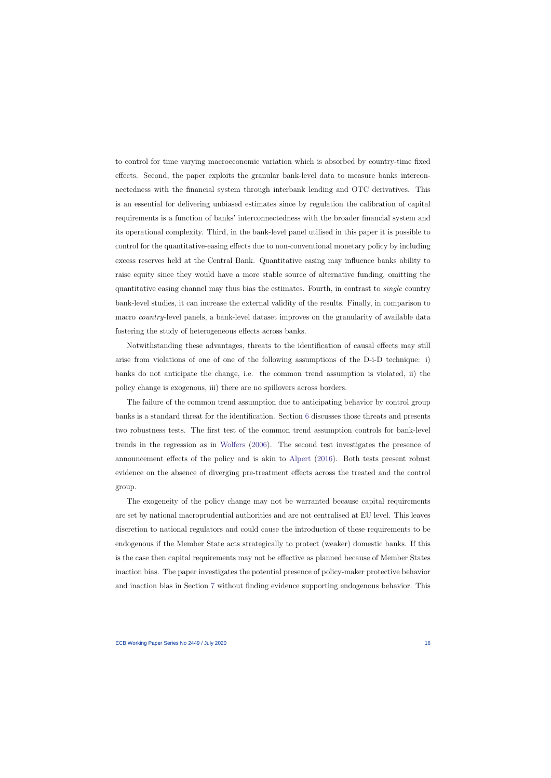to control for time varying macroeconomic variation which is absorbed by country-time fixed effects. Second, the paper exploits the granular bank-level data to measure banks interconnectedness with the financial system through interbank lending and OTC derivatives. This is an essential for delivering unbiased estimates since by regulation the calibration of capital requirements is a function of banks' interconnectedness with the broader financial system and its operational complexity. Third, in the bank-level panel utilised in this paper it is possible to control for the quantitative-easing effects due to non-conventional monetary policy by including excess reserves held at the Central Bank. Quantitative easing may influence banks ability to raise equity since they would have a more stable source of alternative funding, omitting the quantitative easing channel may thus bias the estimates. Fourth, in contrast to single country bank-level studies, it can increase the external validity of the results. Finally, in comparison to macro country-level panels, a bank-level dataset improves on the granularity of available data fostering the study of heterogeneous effects across banks.

Notwithstanding these advantages, threats to the identification of causal effects may still arise from violations of one of one of the following assumptions of the D-i-D technique: i) banks do not anticipate the change, i.e. the common trend assumption is violated, ii) the policy change is exogenous, iii) there are no spillovers across borders.

The failure of the common trend assumption due to anticipating behavior by control group banks is a standard threat for the identification. Section [6](#page-30-0) discusses those threats and presents two robustness tests. The first test of the common trend assumption controls for bank-level trends in the regression as in [Wolfers](#page-47-6) [\(2006\)](#page-47-6). The second test investigates the presence of announcement effects of the policy and is akin to [Alpert](#page-41-11) [\(2016\)](#page-41-11). Both tests present robust evidence on the absence of diverging pre-treatment effects across the treated and the control group.

The exogeneity of the policy change may not be warranted because capital requirements are set by national macroprudential authorities and are not centralised at EU level. This leaves discretion to national regulators and could cause the introduction of these requirements to be endogenous if the Member State acts strategically to protect (weaker) domestic banks. If this is the case then capital requirements may not be effective as planned because of Member States inaction bias. The paper investigates the potential presence of policy-maker protective behavior and inaction bias in Section [7](#page-35-0) without finding evidence supporting endogenous behavior. This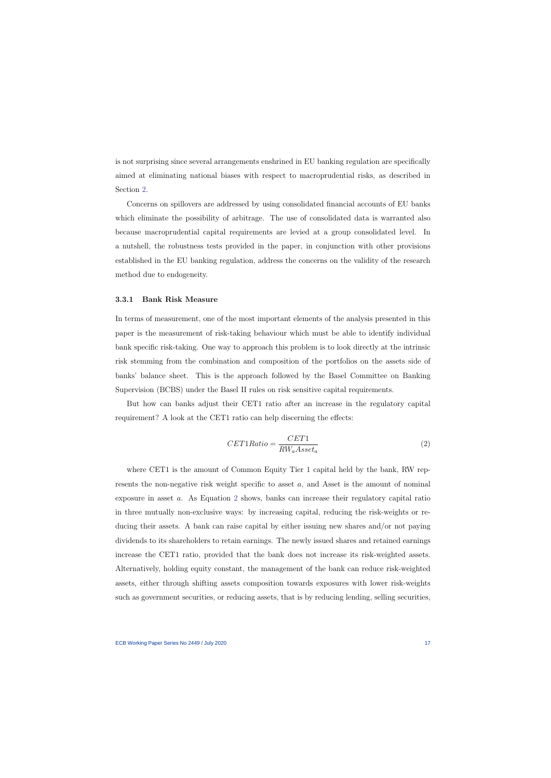is not surprising since several arrangements enshrined in EU banking regulation are specifically aimed at eliminating national biases with respect to macroprudential risks, as described in Section [2.](#page-7-3)

Concerns on spillovers are addressed by using consolidated financial accounts of EU banks which eliminate the possibility of arbitrage. The use of consolidated data is warranted also because macroprudential capital requirements are levied at a group consolidated level. In a nutshell, the robustness tests provided in the paper, in conjunction with other provisions established in the EU banking regulation, address the concerns on the validity of the research method due to endogeneity.

#### 3.3.1 Bank Risk Measure

In terms of measurement, one of the most important elements of the analysis presented in this paper is the measurement of risk-taking behaviour which must be able to identify individual bank specific risk-taking. One way to approach this problem is to look directly at the intrinsic risk stemming from the combination and composition of the portfolios on the assets side of banks' balance sheet. This is the approach followed by the Basel Committee on Banking Supervision (BCBS) under the Basel II rules on risk sensitive capital requirements.

But how can banks adjust their CET1 ratio after an increase in the regulatory capital requirement? A look at the CET1 ratio can help discerning the effects:

$$
CET1Ratio = \frac{CET1}{RW_a Asset_a} \tag{2}
$$

<span id="page-17-0"></span>where CET1 is the amount of Common Equity Tier 1 capital held by the bank, RW represents the non-negative risk weight specific to asset  $a$ , and Asset is the amount of nominal exposure in asset a. As Equation [2](#page-17-0) shows, banks can increase their regulatory capital ratio in three mutually non-exclusive ways: by increasing capital, reducing the risk-weights or reducing their assets. A bank can raise capital by either issuing new shares and/or not paying dividends to its shareholders to retain earnings. The newly issued shares and retained earnings increase the CET1 ratio, provided that the bank does not increase its risk-weighted assets. Alternatively, holding equity constant, the management of the bank can reduce risk-weighted assets, either through shifting assets composition towards exposures with lower risk-weights such as government securities, or reducing assets, that is by reducing lending, selling securities,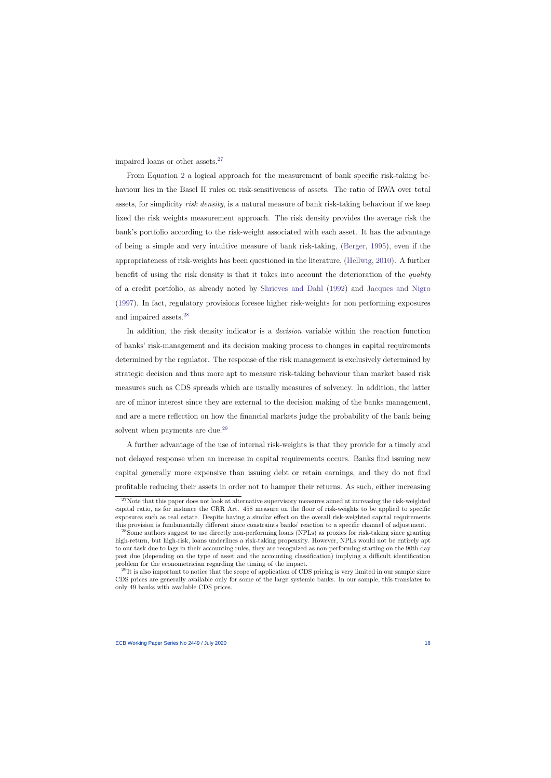impaired loans or other assets. $27$ 

From Equation [2](#page-17-0) a logical approach for the measurement of bank specific risk-taking behaviour lies in the Basel II rules on risk-sensitiveness of assets. The ratio of RWA over total assets, for simplicity risk density, is a natural measure of bank risk-taking behaviour if we keep fixed the risk weights measurement approach. The risk density provides the average risk the bank's portfolio according to the risk-weight associated with each asset. It has the advantage of being a simple and very intuitive measure of bank risk-taking, [\(Berger,](#page-42-7) [1995\)](#page-42-7), even if the appropriateness of risk-weights has been questioned in the literature, [\(Hellwig,](#page-44-6) [2010\)](#page-44-6). A further benefit of using the risk density is that it takes into account the deterioration of the quality of a credit portfolio, as already noted by [Shrieves and Dahl](#page-47-4) [\(1992\)](#page-47-4) and [Jacques and Nigro](#page-44-2) [\(1997\)](#page-44-2). In fact, regulatory provisions foresee higher risk-weights for non performing exposures and impaired assets.[28](#page-18-1)

In addition, the risk density indicator is a *decision* variable within the reaction function of banks' risk-management and its decision making process to changes in capital requirements determined by the regulator. The response of the risk management is exclusively determined by strategic decision and thus more apt to measure risk-taking behaviour than market based risk measures such as CDS spreads which are usually measures of solvency. In addition, the latter are of minor interest since they are external to the decision making of the banks management, and are a mere reflection on how the financial markets judge the probability of the bank being solvent when payments are due.<sup>[29](#page-18-2)</sup>

A further advantage of the use of internal risk-weights is that they provide for a timely and not delayed response when an increase in capital requirements occurs. Banks find issuing new capital generally more expensive than issuing debt or retain earnings, and they do not find profitable reducing their assets in order not to hamper their returns. As such, either increasing

<sup>&</sup>lt;sup>27</sup>Note that this paper does not look at alternative supervisory measures aimed at increasing the risk-weighted capital ratio, as for instance the CRR Art. 458 measure on the floor of risk-weights to be applied to specific exposures such as real estate. Despite having a similar effect on the overall risk-weighted capital requirements this provision is fundamentally different since constraints banks' reaction to a specific channel of adjustment.

<sup>28</sup>Some authors suggest to use directly non-performing loans (NPLs) as proxies for risk-taking since granting high-return, but high-risk, loans underlines a risk-taking propensity. However, NPLs would not be entirely apt to our task due to lags in their accounting rules, they are recognized as non-performing starting on the 90th day past due (depending on the type of asset and the accounting classification) implying a difficult identification problem for the econometrician regarding the timing of the impact.

<span id="page-18-2"></span><span id="page-18-1"></span><span id="page-18-0"></span> $^{29}$ It is also important to notice that the scope of application of CDS pricing is very limited in our sample since CDS prices are generally available only for some of the large systemic banks. In our sample, this translates to only 49 banks with available CDS prices.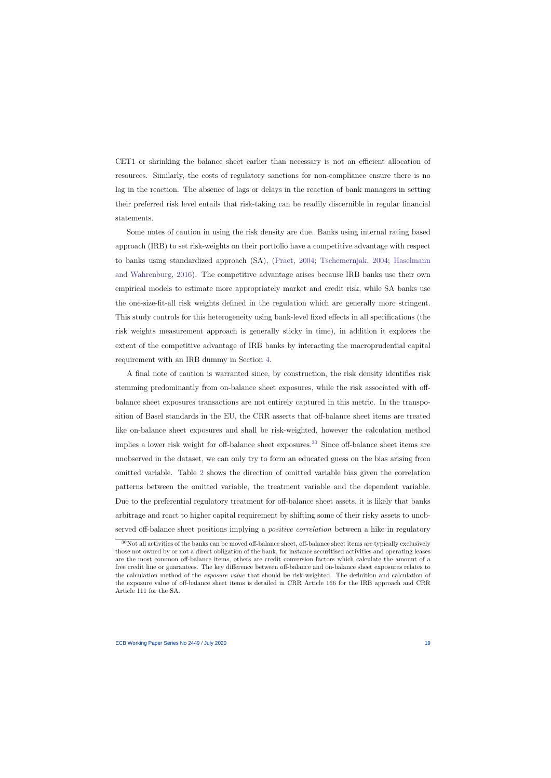CET1 or shrinking the balance sheet earlier than necessary is not an efficient allocation of resources. Similarly, the costs of regulatory sanctions for non-compliance ensure there is no lag in the reaction. The absence of lags or delays in the reaction of bank managers in setting their preferred risk level entails that risk-taking can be readily discernible in regular financial statements.

Some notes of caution in using the risk density are due. Banks using internal rating based approach (IRB) to set risk-weights on their portfolio have a competitive advantage with respect to banks using standardized approach (SA), [\(Praet,](#page-46-7) [2004;](#page-46-7) [Tschemernjak,](#page-47-7) [2004;](#page-47-7) [Haselmann](#page-44-7) [and Wahrenburg,](#page-44-7) [2016\)](#page-44-7). The competitive advantage arises because IRB banks use their own empirical models to estimate more appropriately market and credit risk, while SA banks use the one-size-fit-all risk weights defined in the regulation which are generally more stringent. This study controls for this heterogeneity using bank-level fixed effects in all specifications (the risk weights measurement approach is generally sticky in time), in addition it explores the extent of the competitive advantage of IRB banks by interacting the macroprudential capital requirement with an IRB dummy in Section [4.](#page-20-0)

A final note of caution is warranted since, by construction, the risk density identifies risk stemming predominantly from on-balance sheet exposures, while the risk associated with offbalance sheet exposures transactions are not entirely captured in this metric. In the transposition of Basel standards in the EU, the CRR asserts that off-balance sheet items are treated like on-balance sheet exposures and shall be risk-weighted, however the calculation method implies a lower risk weight for off-balance sheet exposures.<sup>[30](#page-19-0)</sup> Since off-balance sheet items are unobserved in the dataset, we can only try to form an educated guess on the bias arising from omitted variable. Table [2](#page-54-0) shows the direction of omitted variable bias given the correlation patterns between the omitted variable, the treatment variable and the dependent variable. Due to the preferential regulatory treatment for off-balance sheet assets, it is likely that banks arbitrage and react to higher capital requirement by shifting some of their risky assets to unobserved off-balance sheet positions implying a *positive correlation* between a hike in regulatory

<span id="page-19-0"></span> $30$ Not all activities of the banks can be moved off-balance sheet, off-balance sheet items are typically exclusively those not owned by or not a direct obligation of the bank, for instance securitised activities and operating leases are the most common off-balance items, others are credit conversion factors which calculate the amount of a free credit line or guarantees. The key difference between off-balance and on-balance sheet exposures relates to the calculation method of the exposure value that should be risk-weighted. The definition and calculation of the exposure value of off-balance sheet items is detailed in CRR Article 166 for the IRB approach and CRR Article 111 for the SA.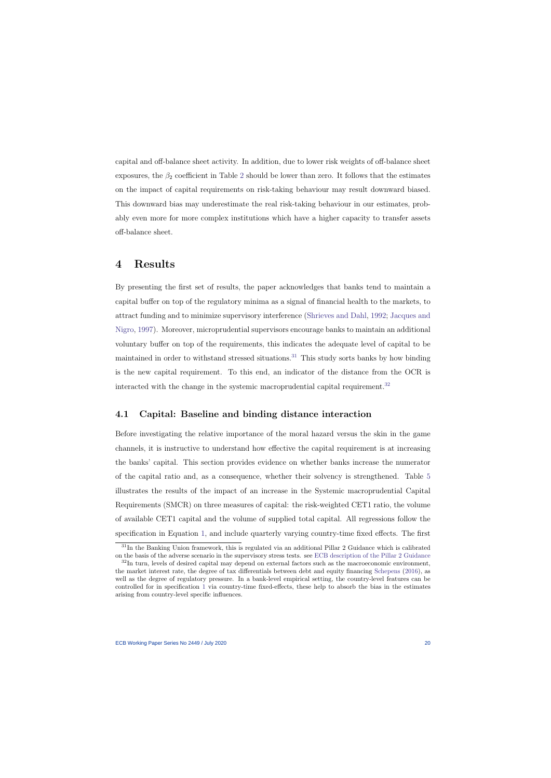capital and off-balance sheet activity. In addition, due to lower risk weights of off-balance sheet exposures, the  $\beta_2$  $\beta_2$  coefficient in Table 2 should be lower than zero. It follows that the estimates on the impact of capital requirements on risk-taking behaviour may result downward biased. This downward bias may underestimate the real risk-taking behaviour in our estimates, probably even more for more complex institutions which have a higher capacity to transfer assets off-balance sheet.

# 4 Results

By presenting the first set of results, the paper acknowledges that banks tend to maintain a capital buffer on top of the regulatory minima as a signal of financial health to the markets, to attract funding and to minimize supervisory interference [\(Shrieves and Dahl,](#page-47-4) [1992;](#page-47-4) [Jacques and](#page-44-2) [Nigro,](#page-44-2) [1997\)](#page-44-2). Moreover, microprudential supervisors encourage banks to maintain an additional voluntary buffer on top of the requirements, this indicates the adequate level of capital to be maintained in order to withstand stressed situations.<sup>[31](#page-20-1)</sup> This study sorts banks by how binding is the new capital requirement. To this end, an indicator of the distance from the OCR is interacted with the change in the systemic macroprudential capital requirement.<sup>[32](#page-20-2)</sup>

### <span id="page-20-0"></span>4.1 Capital: Baseline and binding distance interaction

Before investigating the relative importance of the moral hazard versus the skin in the game channels, it is instructive to understand how effective the capital requirement is at increasing the banks' capital. This section provides evidence on whether banks increase the numerator of the capital ratio and, as a consequence, whether their solvency is strengthened. Table [5](#page-57-0) illustrates the results of the impact of an increase in the Systemic macroprudential Capital Requirements (SMCR) on three measures of capital: the risk-weighted CET1 ratio, the volume of available CET1 capital and the volume of supplied total capital. All regressions follow the specification in Equation [1,](#page-14-1) and include quarterly varying country-time fixed effects. The first

<span id="page-20-3"></span><sup>31</sup>In the Banking Union framework, this is regulated via an additional Pillar 2 Guidance which is calibrated on the basis of the adverse scenario in the supervisory stress tests. see [ECB description of the Pillar 2 Guidance](https://www.bankingsupervision.europa.eu/press/publications/newsletter/2016/html/nl161116.en.html)

<span id="page-20-2"></span><span id="page-20-1"></span> $32$ In turn, levels of desired capital may depend on external factors such as the macroeconomic environment, the market interest rate, the degree of tax differentials between debt and equity financing [Schepens](#page-47-8) [\(2016\)](#page-47-8), as well as the degree of regulatory pressure. In a bank-level empirical setting, the country-level features can be controlled for in specification [1](#page-14-1) via country-time fixed-effects, these help to absorb the bias in the estimates arising from country-level specific influences.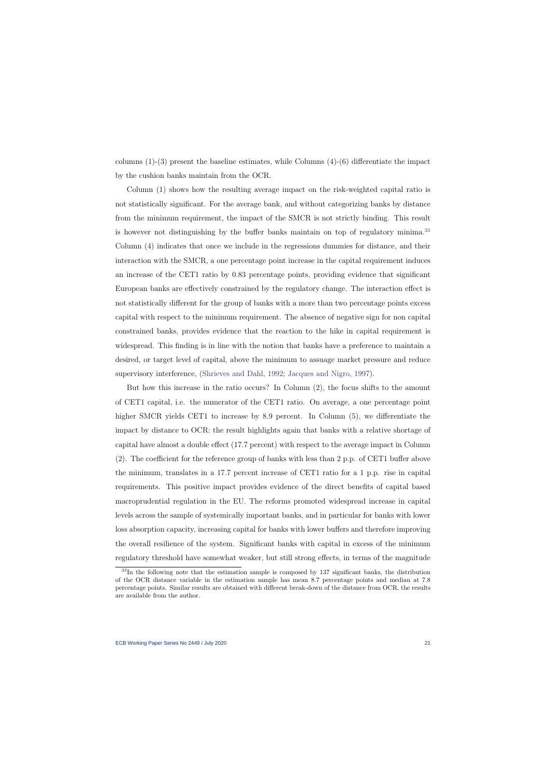columns  $(1)-(3)$  present the baseline estimates, while Columns  $(4)-(6)$  differentiate the impact by the cushion banks maintain from the OCR.

Column (1) shows how the resulting average impact on the risk-weighted capital ratio is not statistically significant. For the average bank, and without categorizing banks by distance from the minimum requirement, the impact of the SMCR is not strictly binding. This result is however not distinguishing by the buffer banks maintain on top of regulatory minima.<sup>[33](#page-21-0)</sup> Column (4) indicates that once we include in the regressions dummies for distance, and their interaction with the SMCR, a one percentage point increase in the capital requirement induces an increase of the CET1 ratio by 0.83 percentage points, providing evidence that significant European banks are effectively constrained by the regulatory change. The interaction effect is not statistically different for the group of banks with a more than two percentage points excess capital with respect to the minimum requirement. The absence of negative sign for non capital constrained banks, provides evidence that the reaction to the hike in capital requirement is widespread. This finding is in line with the notion that banks have a preference to maintain a desired, or target level of capital, above the minimum to assuage market pressure and reduce supervisory interference, [\(Shrieves and Dahl,](#page-47-4) [1992;](#page-47-4) [Jacques and Nigro,](#page-44-2) [1997\)](#page-44-2).

But how this increase in the ratio occurs? In Column (2), the focus shifts to the amount of CET1 capital, i.e. the numerator of the CET1 ratio. On average, a one percentage point higher SMCR yields CET1 to increase by 8.9 percent. In Column  $(5)$ , we differentiate the impact by distance to OCR: the result highlights again that banks with a relative shortage of capital have almost a double effect (17.7 percent) with respect to the average impact in Column (2). The coefficient for the reference group of banks with less than 2 p.p. of CET1 buffer above the minimum, translates in a 17.7 percent increase of CET1 ratio for a 1 p.p. rise in capital requirements. This positive impact provides evidence of the direct benefits of capital based macroprudential regulation in the EU. The reforms promoted widespread increase in capital levels across the sample of systemically important banks, and in particular for banks with lower loss absorption capacity, increasing capital for banks with lower buffers and therefore improving the overall resilience of the system. Significant banks with capital in excess of the minimum regulatory threshold have somewhat weaker, but still strong effects, in terms of the magnitude

<span id="page-21-0"></span><sup>33</sup>In the following note that the estimation sample is composed by 137 significant banks, the distribution of the OCR distance variable in the estimation sample has mean 8.7 percentage points and median at 7.8 percentage points. Similar results are obtained with different break-down of the distance from OCR, the results are available from the author.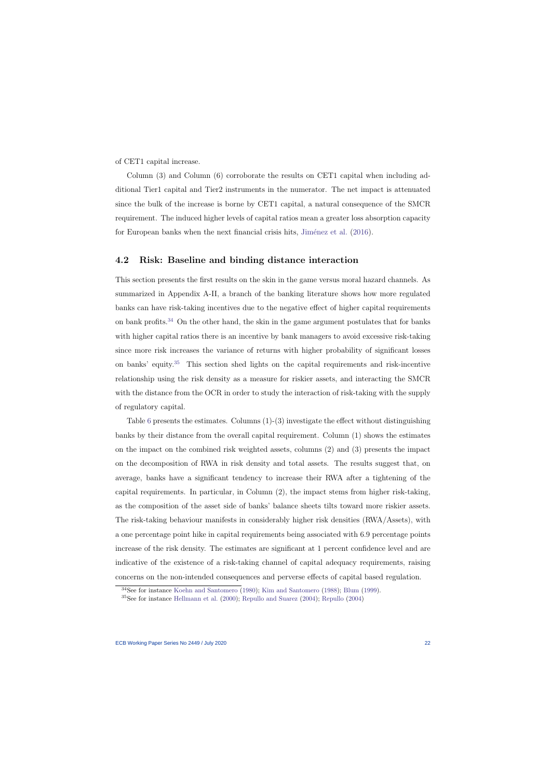of CET1 capital increase.

Column (3) and Column (6) corroborate the results on CET1 capital when including additional Tier1 capital and Tier2 instruments in the numerator. The net impact is attenuated since the bulk of the increase is borne by CET1 capital, a natural consequence of the SMCR requirement. The induced higher levels of capital ratios mean a greater loss absorption capacity for European banks when the next financial crisis hits, Jiménez et al.  $(2016)$ .

#### 4.2 Risk: Baseline and binding distance interaction

This section presents the first results on the skin in the game versus moral hazard channels. As summarized in Appendix A-II, a branch of the banking literature shows how more regulated banks can have risk-taking incentives due to the negative effect of higher capital requirements on bank profits.<sup>[34](#page-22-0)</sup> On the other hand, the skin in the game argument postulates that for banks with higher capital ratios there is an incentive by bank managers to avoid excessive risk-taking since more risk increases the variance of returns with higher probability of significant losses on banks' equity.[35](#page-22-1) This section shed lights on the capital requirements and risk-incentive relationship using the risk density as a measure for riskier assets, and interacting the SMCR with the distance from the OCR in order to study the interaction of risk-taking with the supply of regulatory capital.

Table [6](#page-58-0) presents the estimates. Columns  $(1)-(3)$  investigate the effect without distinguishing banks by their distance from the overall capital requirement. Column (1) shows the estimates on the impact on the combined risk weighted assets, columns (2) and (3) presents the impact on the decomposition of RWA in risk density and total assets. The results suggest that, on average, banks have a significant tendency to increase their RWA after a tightening of the capital requirements. In particular, in Column (2), the impact stems from higher risk-taking, as the composition of the asset side of banks' balance sheets tilts toward more riskier assets. The risk-taking behaviour manifests in considerably higher risk densities (RWA/Assets), with a one percentage point hike in capital requirements being associated with 6.9 percentage points increase of the risk density. The estimates are significant at 1 percent confidence level and are indicative of the existence of a risk-taking channel of capital adequacy requirements, raising concerns on the non-intended consequences and perverse effects of capital based regulation.

<sup>34</sup>See for instance [Koehn and Santomero](#page-45-3) [\(1980\)](#page-45-3); [Kim and Santomero](#page-45-4) [\(1988\)](#page-45-4); [Blum](#page-42-2) [\(1999\)](#page-42-2).

<span id="page-22-1"></span><span id="page-22-0"></span><sup>35</sup>See for instance [Hellmann et al.](#page-44-1) [\(2000\)](#page-44-1); [Repullo and Suarez](#page-46-0) [\(2004\)](#page-46-0); [Repullo](#page-46-1) [\(2004\)](#page-46-1)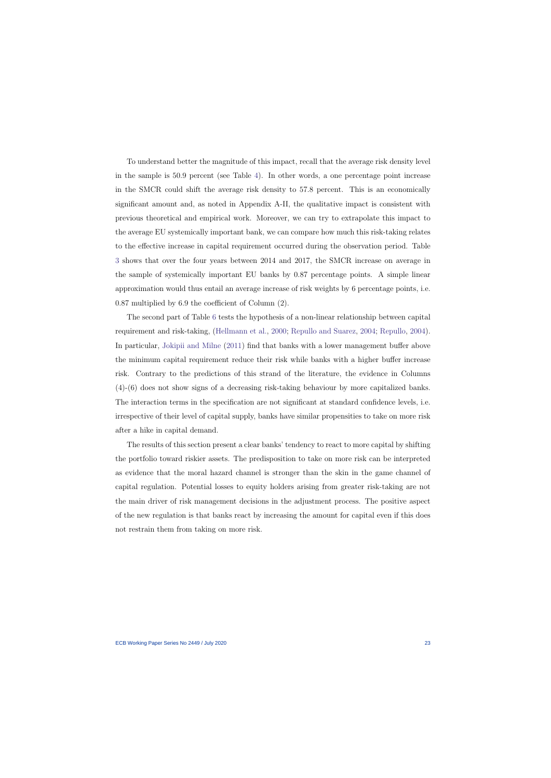To understand better the magnitude of this impact, recall that the average risk density level in the sample is 50.9 percent (see Table [4\)](#page-56-0). In other words, a one percentage point increase in the SMCR could shift the average risk density to 57.8 percent. This is an economically significant amount and, as noted in Appendix A-II, the qualitative impact is consistent with previous theoretical and empirical work. Moreover, we can try to extrapolate this impact to the average EU systemically important bank, we can compare how much this risk-taking relates to the effective increase in capital requirement occurred during the observation period. Table [3](#page-55-0) shows that over the four years between 2014 and 2017, the SMCR increase on average in the sample of systemically important EU banks by 0.87 percentage points. A simple linear approximation would thus entail an average increase of risk weights by 6 percentage points, i.e. 0.87 multiplied by 6.9 the coefficient of Column (2).

The second part of Table [6](#page-58-0) tests the hypothesis of a non-linear relationship between capital requirement and risk-taking, [\(Hellmann et al.,](#page-44-1) [2000;](#page-44-1) [Repullo and Suarez,](#page-46-0) [2004;](#page-46-0) [Repullo,](#page-46-1) [2004\)](#page-46-1). In particular, [Jokipii and Milne](#page-45-5) [\(2011\)](#page-45-5) find that banks with a lower management buffer above the minimum capital requirement reduce their risk while banks with a higher buffer increase risk. Contrary to the predictions of this strand of the literature, the evidence in Columns (4)-(6) does not show signs of a decreasing risk-taking behaviour by more capitalized banks. The interaction terms in the specification are not significant at standard confidence levels, i.e. irrespective of their level of capital supply, banks have similar propensities to take on more risk after a hike in capital demand.

The results of this section present a clear banks' tendency to react to more capital by shifting the portfolio toward riskier assets. The predisposition to take on more risk can be interpreted as evidence that the moral hazard channel is stronger than the skin in the game channel of capital regulation. Potential losses to equity holders arising from greater risk-taking are not the main driver of risk management decisions in the adjustment process. The positive aspect of the new regulation is that banks react by increasing the amount for capital even if this does not restrain them from taking on more risk.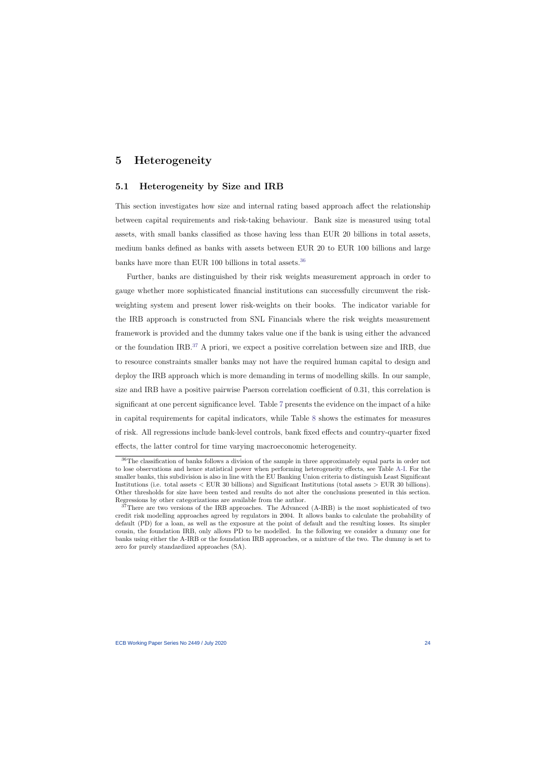## 5 Heterogeneity

### 5.1 Heterogeneity by Size and IRB

This section investigates how size and internal rating based approach affect the relationship between capital requirements and risk-taking behaviour. Bank size is measured using total assets, with small banks classified as those having less than EUR 20 billions in total assets, medium banks defined as banks with assets between EUR 20 to EUR 100 billions and large banks have more than EUR 100 billions in total assets.<sup>[36](#page-24-1)</sup>

<span id="page-24-0"></span>Further, banks are distinguished by their risk weights measurement approach in order to gauge whether more sophisticated financial institutions can successfully circumvent the riskweighting system and present lower risk-weights on their books. The indicator variable for the IRB approach is constructed from SNL Financials where the risk weights measurement framework is provided and the dummy takes value one if the bank is using either the advanced or the foundation IRB.[37](#page-24-2) A priori, we expect a positive correlation between size and IRB, due to resource constraints smaller banks may not have the required human capital to design and deploy the IRB approach which is more demanding in terms of modelling skills. In our sample, size and IRB have a positive pairwise Paerson correlation coefficient of 0.31, this correlation is significant at one percent significance level. Table [7](#page-59-0) presents the evidence on the impact of a hike in capital requirements for capital indicators, while Table [8](#page-60-0) shows the estimates for measures of risk. All regressions include bank-level controls, bank fixed effects and country-quarter fixed effects, the latter control for time varying macroeconomic heterogeneity.

<sup>36</sup>The classification of banks follows a division of the sample in three approximately equal parts in order not to lose observations and hence statistical power when performing heterogeneity effects, see Table [A-I.](#page-67-0) For the smaller banks, this subdivision is also in line with the EU Banking Union criteria to distinguish Least Significant Institutions (i.e. total assets < EUR 30 billions) and Significant Institutions (total assets > EUR 30 billions). Other thresholds for size have been tested and results do not alter the conclusions presented in this section. Regressions by other categorizations are available from the author.

<span id="page-24-2"></span><span id="page-24-1"></span><sup>&</sup>lt;sup>37</sup>There are two versions of the IRB approaches. The Advanced (A-IRB) is the most sophisticated of two credit risk modelling approaches agreed by regulators in 2004. It allows banks to calculate the probability of default (PD) for a loan, as well as the exposure at the point of default and the resulting losses. Its simpler cousin, the foundation IRB, only allows PD to be modelled. In the following we consider a dummy one for banks using either the A-IRB or the foundation IRB approaches, or a mixture of the two. The dummy is set to zero for purely standardized approaches (SA).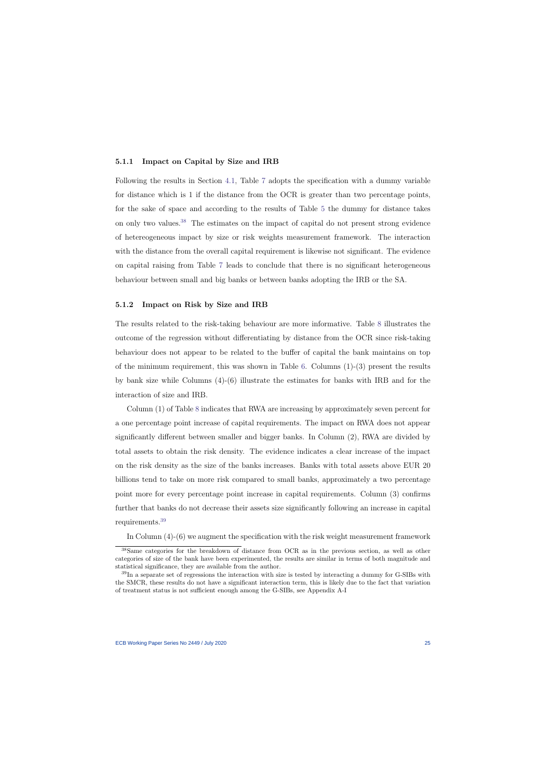#### 5.1.1 Impact on Capital by Size and IRB

Following the results in Section [4.1,](#page-20-3) Table [7](#page-59-0) adopts the specification with a dummy variable for distance which is 1 if the distance from the OCR is greater than two percentage points, for the sake of space and according to the results of Table [5](#page-57-0) the dummy for distance takes on only two values.[38](#page-25-0) The estimates on the impact of capital do not present strong evidence of hetereogeneous impact by size or risk weights measurement framework. The interaction with the distance from the overall capital requirement is likewise not significant. The evidence on capital raising from Table [7](#page-59-0) leads to conclude that there is no significant heterogeneous behaviour between small and big banks or between banks adopting the IRB or the SA.

#### 5.1.2 Impact on Risk by Size and IRB

The results related to the risk-taking behaviour are more informative. Table [8](#page-60-0) illustrates the outcome of the regression without differentiating by distance from the OCR since risk-taking behaviour does not appear to be related to the buffer of capital the bank maintains on top of the minimum requirement, this was shown in Table [6.](#page-58-0) Columns  $(1)-(3)$  present the results by bank size while Columns (4)-(6) illustrate the estimates for banks with IRB and for the interaction of size and IRB.

Column (1) of Table [8](#page-60-0) indicates that RWA are increasing by approximately seven percent for a one percentage point increase of capital requirements. The impact on RWA does not appear significantly different between smaller and bigger banks. In Column (2), RWA are divided by total assets to obtain the risk density. The evidence indicates a clear increase of the impact on the risk density as the size of the banks increases. Banks with total assets above EUR 20 billions tend to take on more risk compared to small banks, approximately a two percentage point more for every percentage point increase in capital requirements. Column (3) confirms further that banks do not decrease their assets size significantly following an increase in capital requirements.[39](#page-25-1)

In Column (4)-(6) we augment the specification with the risk weight measurement framework

<sup>38</sup>Same categories for the breakdown of distance from OCR as in the previous section, as well as other categories of size of the bank have been experimented, the results are similar in terms of both magnitude and statistical significance, they are available from the author.

<span id="page-25-1"></span><span id="page-25-0"></span><sup>&</sup>lt;sup>39</sup>In a separate set of regressions the interaction with size is tested by interacting a dummy for G-SIBs with the SMCR, these results do not have a significant interaction term, this is likely due to the fact that variation of treatment status is not sufficient enough among the G-SIBs, see Appendix A-I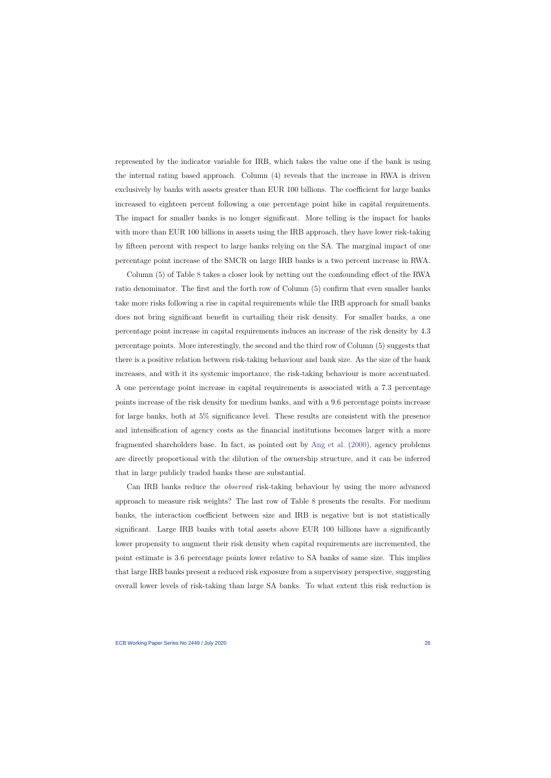represented by the indicator variable for IRB, which takes the value one if the bank is using the internal rating based approach. Column (4) reveals that the increase in RWA is driven exclusively by banks with assets greater than EUR 100 billions. The coefficient for large banks increased to eighteen percent following a one percentage point hike in capital requirements. The impact for smaller banks is no longer significant. More telling is the impact for banks with more than EUR 100 billions in assets using the IRB approach, they have lower risk-taking by fifteen percent with respect to large banks relying on the SA. The marginal impact of one percentage point increase of the SMCR on large IRB banks is a two percent increase in RWA.

Column (5) of Table [8](#page-60-0) takes a closer look by netting out the confounding effect of the RWA ratio denominator. The first and the forth row of Column (5) confirm that even smaller banks take more risks following a rise in capital requirements while the IRB approach for small banks does not bring significant benefit in curtailing their risk density. For smaller banks, a one percentage point increase in capital requirements induces an increase of the risk density by 4.3 percentage points. More interestingly, the second and the third row of Column (5) suggests that there is a positive relation between risk-taking behaviour and bank size. As the size of the bank increases, and with it its systemic importance, the risk-taking behaviour is more accentuated. A one percentage point increase in capital requirements is associated with a 7.3 percentage points increase of the risk density for medium banks, and with a 9.6 percentage points increase for large banks, both at 5% significance level. These results are consistent with the presence and intensification of agency costs as the financial institutions becomes larger with a more fragmented shareholders base. In fact, as pointed out by [Ang et al.](#page-41-8) [\(2000\)](#page-41-8), agency problems are directly proportional with the dilution of the ownership structure, and it can be inferred that in large publicly traded banks these are substantial.

Can IRB banks reduce the observed risk-taking behaviour by using the more advanced approach to measure risk weights? The last row of Table [8](#page-60-0) presents the results. For medium banks, the interaction coefficient between size and IRB is negative but is not statistically significant. Large IRB banks with total assets above EUR 100 billions have a significantly lower propensity to augment their risk density when capital requirements are incremented, the point estimate is 3.6 percentage points lower relative to SA banks of same size. This implies that large IRB banks present a reduced risk exposure from a supervisory perspective, suggesting overall lower levels of risk-taking than large SA banks. To what extent this risk reduction is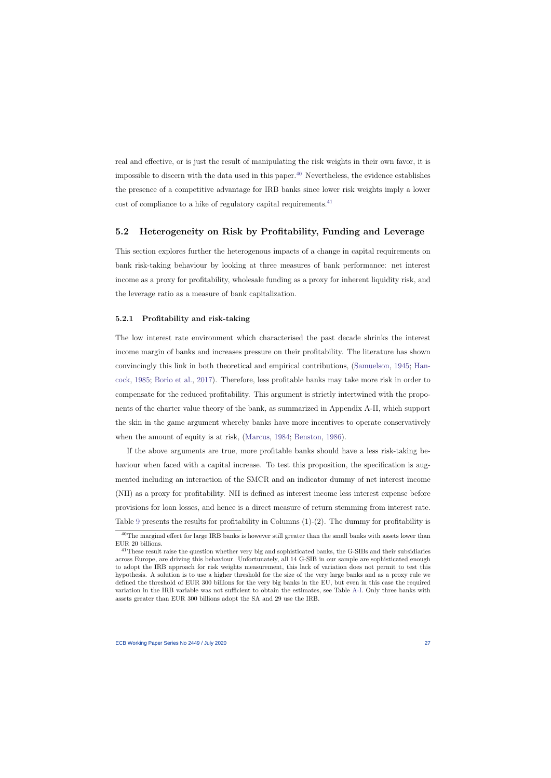real and effective, or is just the result of manipulating the risk weights in their own favor, it is impossible to discern with the data used in this paper.<sup>[40](#page-27-0)</sup> Nevertheless, the evidence establishes the presence of a competitive advantage for IRB banks since lower risk weights imply a lower cost of compliance to a hike of regulatory capital requirements.<sup>[41](#page-27-1)</sup>

### 5.2 Heterogeneity on Risk by Profitability, Funding and Leverage

This section explores further the heterogenous impacts of a change in capital requirements on bank risk-taking behaviour by looking at three measures of bank performance: net interest income as a proxy for profitability, wholesale funding as a proxy for inherent liquidity risk, and the leverage ratio as a measure of bank capitalization.

#### 5.2.1 Profitability and risk-taking

The low interest rate environment which characterised the past decade shrinks the interest income margin of banks and increases pressure on their profitability. The literature has shown convincingly this link in both theoretical and empirical contributions, [\(Samuelson,](#page-46-8) [1945;](#page-46-8) [Han](#page-44-8)[cock,](#page-44-8) [1985;](#page-44-8) [Borio et al.,](#page-42-8) [2017\)](#page-42-8). Therefore, less profitable banks may take more risk in order to compensate for the reduced profitability. This argument is strictly intertwined with the proponents of the charter value theory of the bank, as summarized in Appendix A-II, which support the skin in the game argument whereby banks have more incentives to operate conservatively when the amount of equity is at risk, [\(Marcus,](#page-45-1) [1984;](#page-45-1) [Benston,](#page-42-0) [1986\)](#page-42-0).

If the above arguments are true, more profitable banks should have a less risk-taking behaviour when faced with a capital increase. To test this proposition, the specification is augmented including an interaction of the SMCR and an indicator dummy of net interest income (NII) as a proxy for profitability. NII is defined as interest income less interest expense before provisions for loan losses, and hence is a direct measure of return stemming from interest rate. Table [9](#page-61-0) presents the results for profitability in Columns (1)-(2). The dummy for profitability is

<sup>&</sup>lt;sup>40</sup>The marginal effect for large IRB banks is however still greater than the small banks with assets lower than EUR 20 billions.

<span id="page-27-1"></span><span id="page-27-0"></span><sup>41</sup>These result raise the question whether very big and sophisticated banks, the G-SIBs and their subsidiaries across Europe, are driving this behaviour. Unfortunately, all 14 G-SIB in our sample are sophisticated enough to adopt the IRB approach for risk weights measurement, this lack of variation does not permit to test this hypothesis. A solution is to use a higher threshold for the size of the very large banks and as a proxy rule we defined the threshold of EUR 300 billions for the very big banks in the EU, but even in this case the required variation in the IRB variable was not sufficient to obtain the estimates, see Table [A-I.](#page-67-0) Only three banks with assets greater than EUR 300 billions adopt the SA and 29 use the IRB.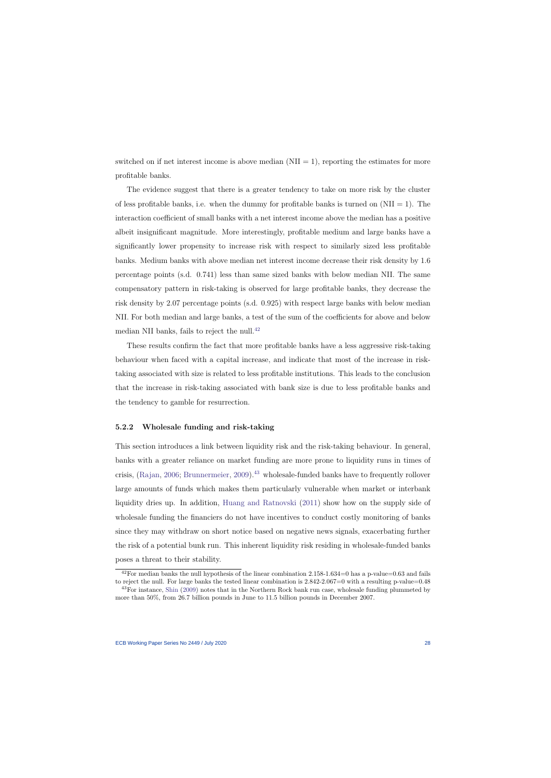switched on if net interest income is above median  $(NII = 1)$ , reporting the estimates for more profitable banks.

The evidence suggest that there is a greater tendency to take on more risk by the cluster of less profitable banks, i.e. when the dummy for profitable banks is turned on  $(NII = 1)$ . The interaction coefficient of small banks with a net interest income above the median has a positive albeit insignificant magnitude. More interestingly, profitable medium and large banks have a significantly lower propensity to increase risk with respect to similarly sized less profitable banks. Medium banks with above median net interest income decrease their risk density by 1.6 percentage points (s.d. 0.741) less than same sized banks with below median NII. The same compensatory pattern in risk-taking is observed for large profitable banks, they decrease the risk density by 2.07 percentage points (s.d. 0.925) with respect large banks with below median NII. For both median and large banks, a test of the sum of the coefficients for above and below median NII banks, fails to reject the null.<sup>[42](#page-28-0)</sup>

These results confirm the fact that more profitable banks have a less aggressive risk-taking behaviour when faced with a capital increase, and indicate that most of the increase in risktaking associated with size is related to less profitable institutions. This leads to the conclusion that the increase in risk-taking associated with bank size is due to less profitable banks and the tendency to gamble for resurrection.

#### 5.2.2 Wholesale funding and risk-taking

This section introduces a link between liquidity risk and the risk-taking behaviour. In general, banks with a greater reliance on market funding are more prone to liquidity runs in times of crisis, [\(Rajan,](#page-46-9) [2006;](#page-46-9) [Brunnermeier,](#page-42-9) [2009\)](#page-42-9).<sup>[43](#page-28-1)</sup> wholesale-funded banks have to frequently rollover large amounts of funds which makes them particularly vulnerable when market or interbank liquidity dries up. In addition, [Huang and Ratnovski](#page-44-9) [\(2011\)](#page-44-9) show how on the supply side of wholesale funding the financiers do not have incentives to conduct costly monitoring of banks since they may withdraw on short notice based on negative news signals, exacerbating further the risk of a potential bunk run. This inherent liquidity risk residing in wholesale-funded banks poses a threat to their stability.

<sup>&</sup>lt;sup>42</sup>For median banks the null hypothesis of the linear combination  $2.158-1.634=0$  has a p-value=0.63 and fails to reject the null. For large banks the tested linear combination is 2.842-2.067=0 with a resulting p-value=0.48

<span id="page-28-1"></span><span id="page-28-0"></span><sup>&</sup>lt;sup>43</sup>For instance, [Shin](#page-47-9) [\(2009\)](#page-47-9) notes that in the Northern Rock bank run case, wholesale funding plummeted by more than 50%, from 26.7 billion pounds in June to 11.5 billion pounds in December 2007.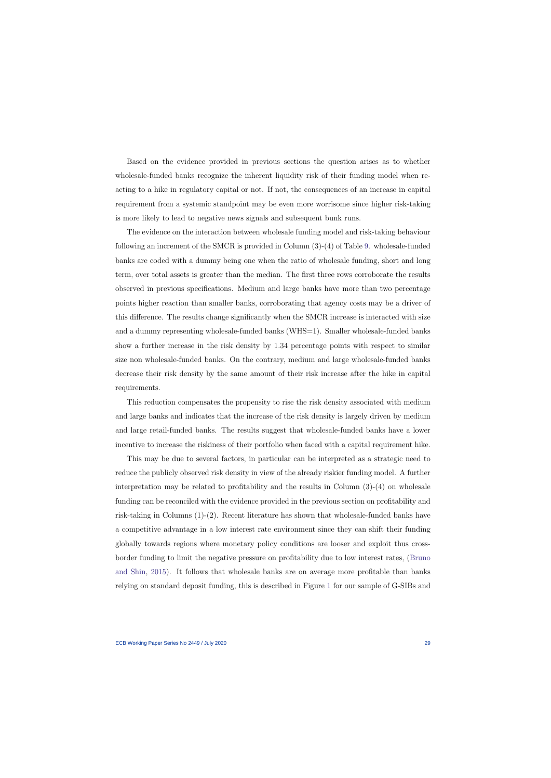Based on the evidence provided in previous sections the question arises as to whether wholesale-funded banks recognize the inherent liquidity risk of their funding model when reacting to a hike in regulatory capital or not. If not, the consequences of an increase in capital requirement from a systemic standpoint may be even more worrisome since higher risk-taking is more likely to lead to negative news signals and subsequent bunk runs.

The evidence on the interaction between wholesale funding model and risk-taking behaviour following an increment of the SMCR is provided in Column (3)-(4) of Table [9.](#page-61-0) wholesale-funded banks are coded with a dummy being one when the ratio of wholesale funding, short and long term, over total assets is greater than the median. The first three rows corroborate the results observed in previous specifications. Medium and large banks have more than two percentage points higher reaction than smaller banks, corroborating that agency costs may be a driver of this difference. The results change significantly when the SMCR increase is interacted with size and a dummy representing wholesale-funded banks (WHS=1). Smaller wholesale-funded banks show a further increase in the risk density by 1.34 percentage points with respect to similar size non wholesale-funded banks. On the contrary, medium and large wholesale-funded banks decrease their risk density by the same amount of their risk increase after the hike in capital requirements.

This reduction compensates the propensity to rise the risk density associated with medium and large banks and indicates that the increase of the risk density is largely driven by medium and large retail-funded banks. The results suggest that wholesale-funded banks have a lower incentive to increase the riskiness of their portfolio when faced with a capital requirement hike.

This may be due to several factors, in particular can be interpreted as a strategic need to reduce the publicly observed risk density in view of the already riskier funding model. A further interpretation may be related to profitability and the results in Column (3)-(4) on wholesale funding can be reconciled with the evidence provided in the previous section on profitability and risk-taking in Columns (1)-(2). Recent literature has shown that wholesale-funded banks have a competitive advantage in a low interest rate environment since they can shift their funding globally towards regions where monetary policy conditions are looser and exploit thus crossborder funding to limit the negative pressure on profitability due to low interest rates, [\(Bruno](#page-42-4) [and Shin,](#page-42-4) [2015\)](#page-42-4). It follows that wholesale banks are on average more profitable than banks relying on standard deposit funding, this is described in Figure [1](#page-48-0) for our sample of G-SIBs and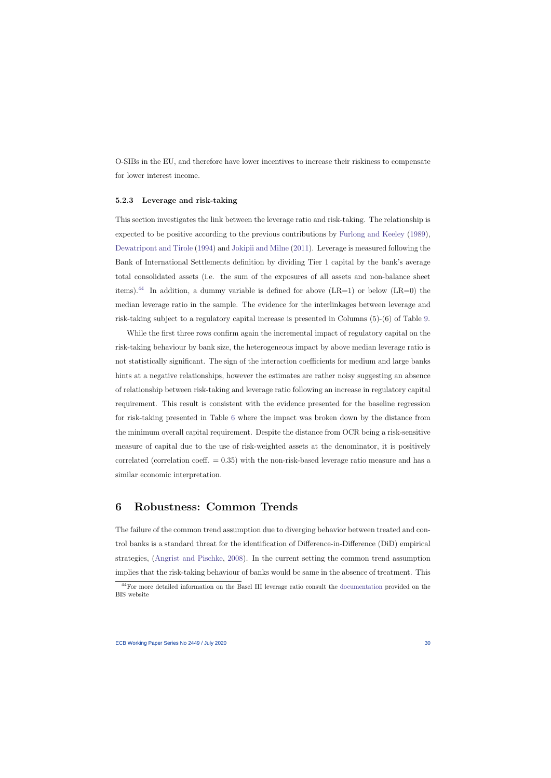O-SIBs in the EU, and therefore have lower incentives to increase their riskiness to compensate for lower interest income.

#### 5.2.3 Leverage and risk-taking

This section investigates the link between the leverage ratio and risk-taking. The relationship is expected to be positive according to the previous contributions by [Furlong and Keeley](#page-43-0) [\(1989\)](#page-43-0), [Dewatripont and Tirole](#page-43-1) [\(1994\)](#page-43-1) and [Jokipii and Milne](#page-45-5) [\(2011\)](#page-45-5). Leverage is measured following the Bank of International Settlements definition by dividing Tier 1 capital by the bank's average total consolidated assets (i.e. the sum of the exposures of all assets and non-balance sheet items).<sup>[44](#page-30-1)</sup> In addition, a dummy variable is defined for above  $(LR=1)$  or below  $(LR=0)$  the median leverage ratio in the sample. The evidence for the interlinkages between leverage and risk-taking subject to a regulatory capital increase is presented in Columns (5)-(6) of Table [9.](#page-61-0)

While the first three rows confirm again the incremental impact of regulatory capital on the risk-taking behaviour by bank size, the heterogeneous impact by above median leverage ratio is not statistically significant. The sign of the interaction coefficients for medium and large banks hints at a negative relationships, however the estimates are rather noisy suggesting an absence of relationship between risk-taking and leverage ratio following an increase in regulatory capital requirement. This result is consistent with the evidence presented for the baseline regression for risk-taking presented in Table [6](#page-58-0) where the impact was broken down by the distance from the minimum overall capital requirement. Despite the distance from OCR being a risk-sensitive measure of capital due to the use of risk-weighted assets at the denominator, it is positively correlated (correlation coeff.  $= 0.35$ ) with the non-risk-based leverage ratio measure and has a similar economic interpretation.

# 6 Robustness: Common Trends

The failure of the common trend assumption due to diverging behavior between treated and control banks is a standard threat for the identification of Difference-in-Difference (DiD) empirical strategies, [\(Angrist and Pischke,](#page-41-9) [2008\)](#page-41-9). In the current setting the common trend assumption implies that the risk-taking behaviour of banks would be same in the absence of treatment. This

<span id="page-30-1"></span><span id="page-30-0"></span><sup>44</sup>For more detailed information on the Basel III leverage ratio consult the [documentation](https://www.bis.org/publ/bcbs270.htm) provided on the BIS website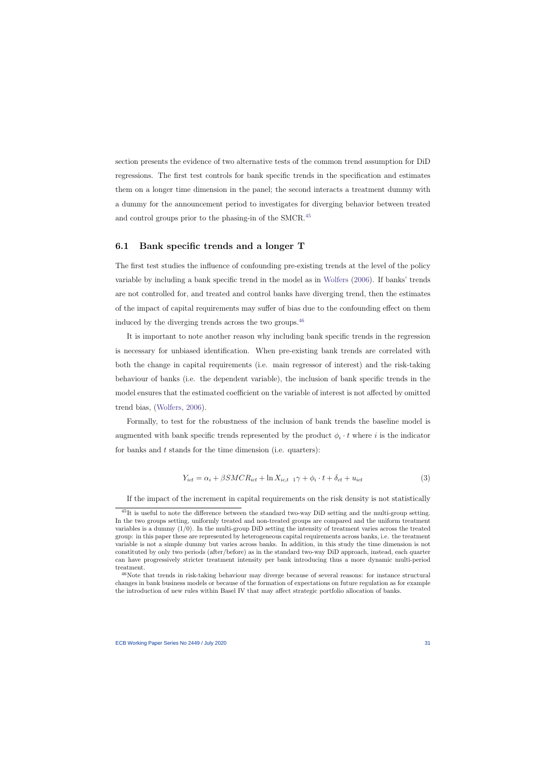section presents the evidence of two alternative tests of the common trend assumption for DiD regressions. The first test controls for bank specific trends in the specification and estimates them on a longer time dimension in the panel; the second interacts a treatment dummy with a dummy for the announcement period to investigates for diverging behavior between treated and control groups prior to the phasing-in of the SMCR.<sup>[45](#page-31-0)</sup>

### 6.1 Bank specific trends and a longer T

The first test studies the influence of confounding pre-existing trends at the level of the policy variable by including a bank specific trend in the model as in [Wolfers](#page-47-6) [\(2006\)](#page-47-6). If banks' trends are not controlled for, and treated and control banks have diverging trend, then the estimates of the impact of capital requirements may suffer of bias due to the confounding effect on them induced by the diverging trends across the two groups.[46](#page-31-1)

It is important to note another reason why including bank specific trends in the regression is necessary for unbiased identification. When pre-existing bank trends are correlated with both the change in capital requirements (i.e. main regressor of interest) and the risk-taking behaviour of banks (i.e. the dependent variable), the inclusion of bank specific trends in the model ensures that the estimated coefficient on the variable of interest is not affected by omitted trend bias, [\(Wolfers,](#page-47-6) [2006\)](#page-47-6).

Formally, to test for the robustness of the inclusion of bank trends the baseline model is augmented with bank specific trends represented by the product  $\phi_i \cdot t$  where i is the indicator for banks and t stands for the time dimension (i.e. quarters):

$$
Y_{ict} = \alpha_i + \beta SMCR_{ict} + \ln X_{ic,t-1} \gamma + \phi_i \cdot t + \delta_{ct} + u_{ict}
$$
\n
$$
\tag{3}
$$

If the impact of the increment in capital requirements on the risk density is not statistically

 $^{45}$ It is useful to note the difference between the standard two-way DiD setting and the multi-group setting. In the two groups setting, uniformly treated and non-treated groups are compared and the uniform treatment variables is a dummy  $(1/0)$ . In the multi-group DiD setting the intensity of treatment varies across the treated group: in this paper these are represented by heterogeneous capital requirements across banks, i.e. the treatment variable is not a simple dummy but varies across banks. In addition, in this study the time dimension is not constituted by only two periods (after/before) as in the standard two-way DiD approach, instead, each quarter can have progressively stricter treatment intensity per bank introducing thus a more dynamic multi-period treatment.

<span id="page-31-2"></span><span id="page-31-1"></span><span id="page-31-0"></span><sup>46</sup>Note that trends in risk-taking behaviour may diverge because of several reasons: for instance structural changes in bank business models or because of the formation of expectations on future regulation as for example the introduction of new rules within Basel IV that may affect strategic portfolio allocation of banks.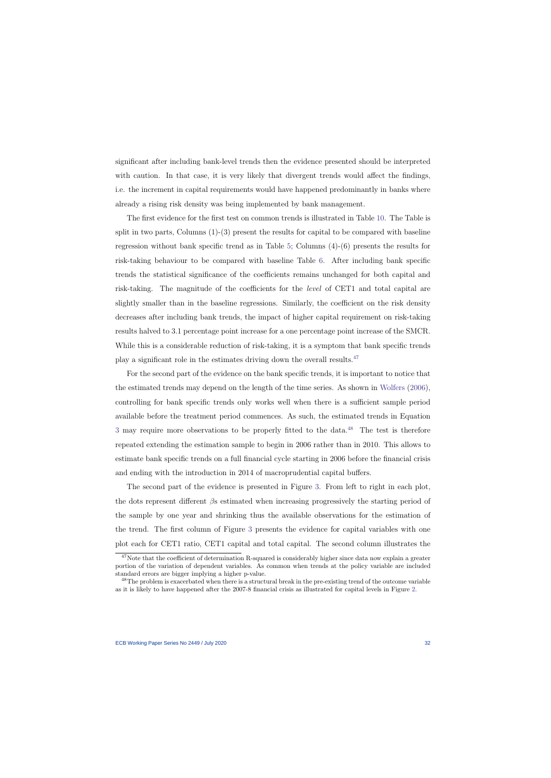significant after including bank-level trends then the evidence presented should be interpreted with caution. In that case, it is very likely that divergent trends would affect the findings, i.e. the increment in capital requirements would have happened predominantly in banks where already a rising risk density was being implemented by bank management.

The first evidence for the first test on common trends is illustrated in Table [10.](#page-62-0) The Table is split in two parts, Columns  $(1)-(3)$  present the results for capital to be compared with baseline regression without bank specific trend as in Table [5;](#page-57-0) Columns (4)-(6) presents the results for risk-taking behaviour to be compared with baseline Table [6.](#page-58-0) After including bank specific trends the statistical significance of the coefficients remains unchanged for both capital and risk-taking. The magnitude of the coefficients for the level of CET1 and total capital are slightly smaller than in the baseline regressions. Similarly, the coefficient on the risk density decreases after including bank trends, the impact of higher capital requirement on risk-taking results halved to 3.1 percentage point increase for a one percentage point increase of the SMCR. While this is a considerable reduction of risk-taking, it is a symptom that bank specific trends play a significant role in the estimates driving down the overall results.[47](#page-32-0)

For the second part of the evidence on the bank specific trends, it is important to notice that the estimated trends may depend on the length of the time series. As shown in [Wolfers](#page-47-6) [\(2006\)](#page-47-6), controlling for bank specific trends only works well when there is a sufficient sample period available before the treatment period commences. As such, the estimated trends in Equation [3](#page-31-2) may require more observations to be properly fitted to the data.<sup>[48](#page-32-1)</sup> The test is therefore repeated extending the estimation sample to begin in 2006 rather than in 2010. This allows to estimate bank specific trends on a full financial cycle starting in 2006 before the financial crisis and ending with the introduction in 2014 of macroprudential capital buffers.

The second part of the evidence is presented in Figure [3.](#page-50-0) From left to right in each plot, the dots represent different  $\beta$ s estimated when increasing progressively the starting period of the sample by one year and shrinking thus the available observations for the estimation of the trend. The first column of Figure [3](#page-50-0) presents the evidence for capital variables with one plot each for CET1 ratio, CET1 capital and total capital. The second column illustrates the

<sup>&</sup>lt;sup>47</sup>Note that the coefficient of determination R-squared is considerably higher since data now explain a greater portion of the variation of dependent variables. As common when trends at the policy variable are included standard errors are bigger implying a higher p-value.

<span id="page-32-1"></span><span id="page-32-0"></span><sup>&</sup>lt;sup>48</sup>The problem is exacerbated when there is a structural break in the pre-existing trend of the outcome variable as it is likely to have happened after the 2007-8 financial crisis as illustrated for capital levels in Figure [2.](#page-49-0)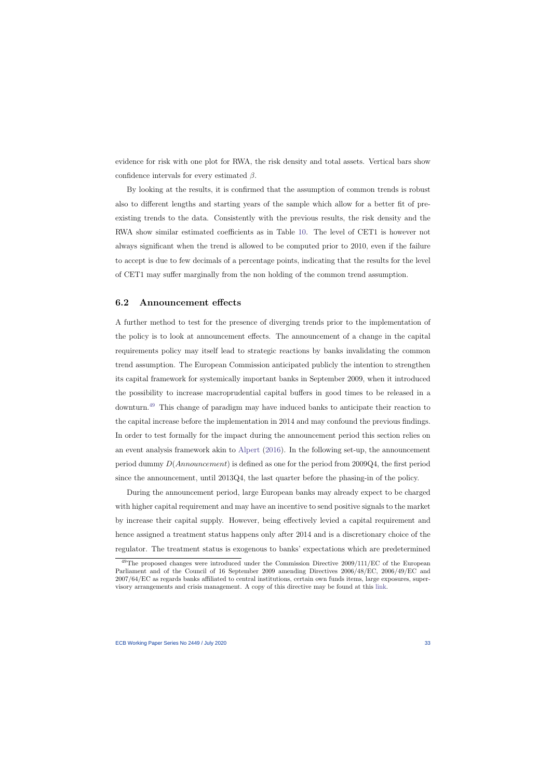evidence for risk with one plot for RWA, the risk density and total assets. Vertical bars show confidence intervals for every estimated  $\beta$ .

By looking at the results, it is confirmed that the assumption of common trends is robust also to different lengths and starting years of the sample which allow for a better fit of preexisting trends to the data. Consistently with the previous results, the risk density and the RWA show similar estimated coefficients as in Table [10.](#page-62-0) The level of CET1 is however not always significant when the trend is allowed to be computed prior to 2010, even if the failure to accept is due to few decimals of a percentage points, indicating that the results for the level of CET1 may suffer marginally from the non holding of the common trend assumption.

### 6.2 Announcement effects

A further method to test for the presence of diverging trends prior to the implementation of the policy is to look at announcement effects. The announcement of a change in the capital requirements policy may itself lead to strategic reactions by banks invalidating the common trend assumption. The European Commission anticipated publicly the intention to strengthen its capital framework for systemically important banks in September 2009, when it introduced the possibility to increase macroprudential capital buffers in good times to be released in a downturn.[49](#page-33-0) This change of paradigm may have induced banks to anticipate their reaction to the capital increase before the implementation in 2014 and may confound the previous findings. In order to test formally for the impact during the announcement period this section relies on an event analysis framework akin to [Alpert](#page-41-11) [\(2016\)](#page-41-11). In the following set-up, the announcement period dummy D(Announcement) is defined as one for the period from 2009Q4, the first period since the announcement, until 2013Q4, the last quarter before the phasing-in of the policy.

During the announcement period, large European banks may already expect to be charged with higher capital requirement and may have an incentive to send positive signals to the market by increase their capital supply. However, being effectively levied a capital requirement and hence assigned a treatment status happens only after 2014 and is a discretionary choice of the regulator. The treatment status is exogenous to banks' expectations which are predetermined

<span id="page-33-0"></span><sup>&</sup>lt;sup>49</sup>The proposed changes were introduced under the Commission Directive 2009/111/EC of the European Parliament and of the Council of 16 September 2009 amending Directives 2006/48/EC, 2006/49/EC and 2007/64/EC as regards banks affiliated to central institutions, certain own funds items, large exposures, supervisory arrangements and crisis management. A copy of this directive may be found at this [link.](https://eur-lex.europa.eu/LexUriServ/LexUriServ.do?uri=OJ:L:2009:302:0097:0119:EN:PDF)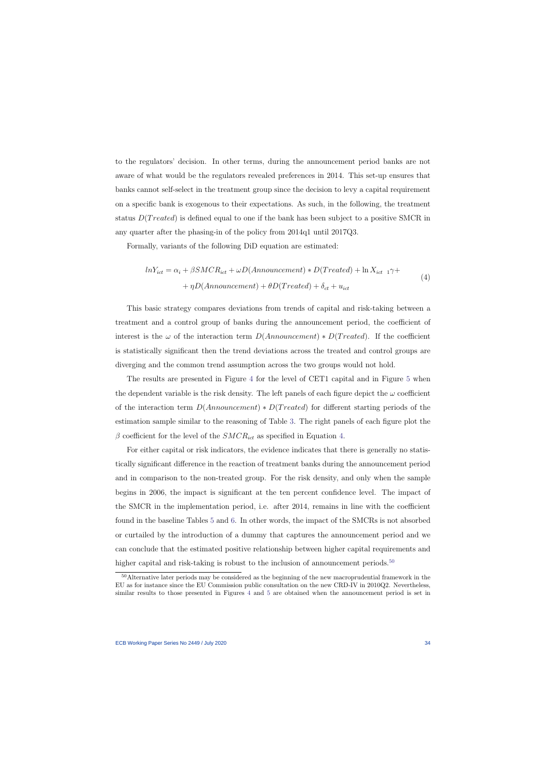to the regulators' decision. In other terms, during the announcement period banks are not aware of what would be the regulators revealed preferences in 2014. This set-up ensures that banks cannot self-select in the treatment group since the decision to levy a capital requirement on a specific bank is exogenous to their expectations. As such, in the following, the treatment status  $D(Treated)$  is defined equal to one if the bank has been subject to a positive SMCR in any quarter after the phasing-in of the policy from 2014q1 until 2017Q3.

Formally, variants of the following DiD equation are estimated:

$$
lnY_{ict} = \alpha_i + \beta SMCR_{ict} + \omega D(Announcement) * D(Treated) + \ln X_{ict-1} \gamma +
$$
  
+  $\eta D(Announcement) + \theta D(Treated) + \delta_{ct} + u_{ict}$  (4)

This basic strategy compares deviations from trends of capital and risk-taking between a treatment and a control group of banks during the announcement period, the coefficient of interest is the  $\omega$  of the interaction term  $D(Announcement) * D(Treated)$ . If the coefficient is statistically significant then the trend deviations across the treated and control groups are diverging and the common trend assumption across the two groups would not hold.

<span id="page-34-0"></span>The results are presented in Figure [4](#page-51-0) for the level of CET1 capital and in Figure [5](#page-52-0) when the dependent variable is the risk density. The left panels of each figure depict the  $\omega$  coefficient of the interaction term  $D(Announcement) * D(Treated)$  for different starting periods of the estimation sample similar to the reasoning of Table [3.](#page-50-0) The right panels of each figure plot the  $\beta$  coefficient for the level of the  $SMCR_{ict}$  as specified in Equation [4.](#page-34-0)

For either capital or risk indicators, the evidence indicates that there is generally no statistically significant difference in the reaction of treatment banks during the announcement period and in comparison to the non-treated group. For the risk density, and only when the sample begins in 2006, the impact is significant at the ten percent confidence level. The impact of the SMCR in the implementation period, i.e. after 2014, remains in line with the coefficient found in the baseline Tables [5](#page-57-0) and [6.](#page-58-0) In other words, the impact of the SMCRs is not absorbed or curtailed by the introduction of a dummy that captures the announcement period and we can conclude that the estimated positive relationship between higher capital requirements and higher capital and risk-taking is robust to the inclusion of announcement periods.<sup>[50](#page-34-1)</sup>

<span id="page-34-1"></span><sup>&</sup>lt;sup>50</sup>Alternative later periods may be considered as the beginning of the new macroprudential framework in the EU as for instance since the EU Commission public consultation on the new CRD-IV in 2010Q2. Nevertheless, similar results to those presented in Figures [4](#page-51-0) and [5](#page-52-0) are obtained when the announcement period is set in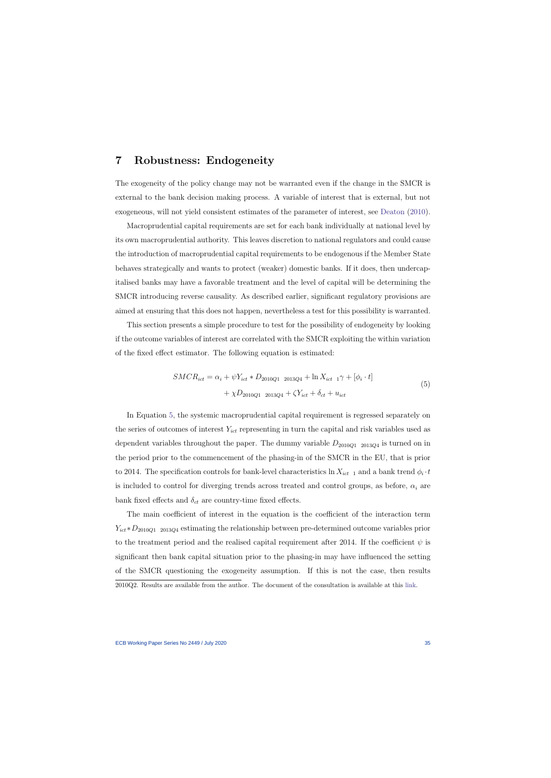### 7 Robustness: Endogeneity

The exogeneity of the policy change may not be warranted even if the change in the SMCR is external to the bank decision making process. A variable of interest that is external, but not exogeneous, will not yield consistent estimates of the parameter of interest, see [Deaton](#page-43-6) [\(2010\)](#page-43-6).

<span id="page-35-0"></span>Macroprudential capital requirements are set for each bank individually at national level by its own macroprudential authority. This leaves discretion to national regulators and could cause the introduction of macroprudential capital requirements to be endogenous if the Member State behaves strategically and wants to protect (weaker) domestic banks. If it does, then undercapitalised banks may have a favorable treatment and the level of capital will be determining the SMCR introducing reverse causality. As described earlier, significant regulatory provisions are aimed at ensuring that this does not happen, nevertheless a test for this possibility is warranted.

This section presents a simple procedure to test for the possibility of endogeneity by looking if the outcome variables of interest are correlated with the SMCR exploiting the within variation of the fixed effect estimator. The following equation is estimated:

$$
SMCR_{ict} = \alpha_i + \psi Y_{ict} * D_{2010Q1 \ 2013Q4} + \ln X_{ict \ 1} \gamma + [\phi_i \cdot t] + \chi D_{2010Q1 \ 2013Q4} + \zeta Y_{ict} + \delta_{ct} + u_{ict}
$$
\n(5)

In Equation [5,](#page-35-1) the systemic macroprudential capital requirement is regressed separately on the series of outcomes of interest  $Y_{ict}$  representing in turn the capital and risk variables used as dependent variables throughout the paper. The dummy variable  $D_{2010Q12013Q4}$  is turned on in the period prior to the commencement of the phasing-in of the SMCR in the EU, that is prior to 2014. The specification controls for bank-level characteristics  $\ln X_{ict-1}$  and a bank trend  $\phi_i \cdot t$ is included to control for diverging trends across treated and control groups, as before,  $\alpha_i$  are bank fixed effects and  $\delta_{ct}$  are country-time fixed effects.

<span id="page-35-1"></span>The main coefficient of interest in the equation is the coefficient of the interaction term  $Y_{ict} * D_{2010Q1}$  2013Q4 estimating the relationship between pre-determined outcome variables prior to the treatment period and the realised capital requirement after 2014. If the coefficient  $\psi$  is significant then bank capital situation prior to the phasing-in may have influenced the setting of the SMCR questioning the exogeneity assumption. If this is not the case, then results 2010Q2. Results are available from the author. The document of the consultation is available at this [link.](http://ec.europa.eu/finance/consultations/2010/crd4/)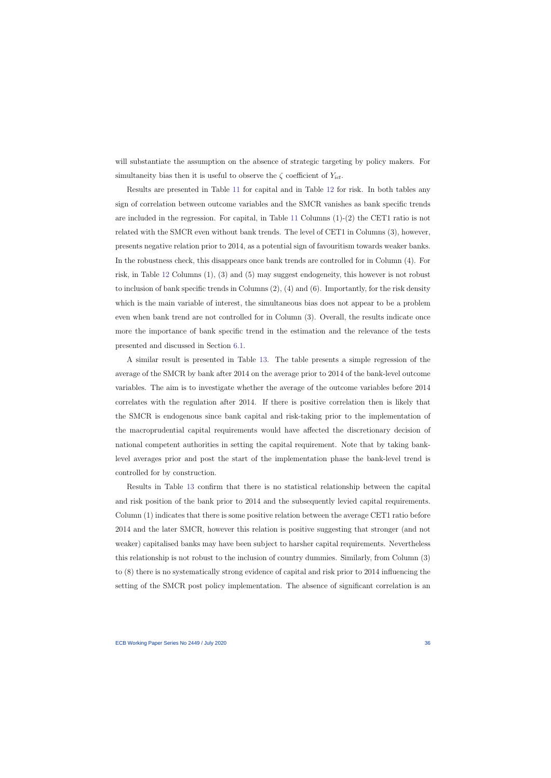will substantiate the assumption on the absence of strategic targeting by policy makers. For simultaneity bias then it is useful to observe the  $\zeta$  coefficient of  $Y_{ict}$ .

Results are presented in Table [11](#page-63-0) for capital and in Table [12](#page-64-0) for risk. In both tables any sign of correlation between outcome variables and the SMCR vanishes as bank specific trends are included in the regression. For capital, in Table [11](#page-63-0) Columns (1)-(2) the CET1 ratio is not related with the SMCR even without bank trends. The level of CET1 in Columns (3), however, presents negative relation prior to 2014, as a potential sign of favouritism towards weaker banks. In the robustness check, this disappears once bank trends are controlled for in Column (4). For risk, in Table [12](#page-64-0) Columns (1), (3) and (5) may suggest endogeneity, this however is not robust to inclusion of bank specific trends in Columns (2), (4) and (6). Importantly, for the risk density which is the main variable of interest, the simultaneous bias does not appear to be a problem even when bank trend are not controlled for in Column (3). Overall, the results indicate once more the importance of bank specific trend in the estimation and the relevance of the tests presented and discussed in Section [6.1.](#page-31-0)

A similar result is presented in Table [13.](#page-65-0) The table presents a simple regression of the average of the SMCR by bank after 2014 on the average prior to 2014 of the bank-level outcome variables. The aim is to investigate whether the average of the outcome variables before 2014 correlates with the regulation after 2014. If there is positive correlation then is likely that the SMCR is endogenous since bank capital and risk-taking prior to the implementation of the macroprudential capital requirements would have affected the discretionary decision of national competent authorities in setting the capital requirement. Note that by taking banklevel averages prior and post the start of the implementation phase the bank-level trend is controlled for by construction.

Results in Table [13](#page-65-0) confirm that there is no statistical relationship between the capital and risk position of the bank prior to 2014 and the subsequently levied capital requirements. Column (1) indicates that there is some positive relation between the average CET1 ratio before 2014 and the later SMCR, however this relation is positive suggesting that stronger (and not weaker) capitalised banks may have been subject to harsher capital requirements. Nevertheless this relationship is not robust to the inclusion of country dummies. Similarly, from Column (3) to (8) there is no systematically strong evidence of capital and risk prior to 2014 influencing the setting of the SMCR post policy implementation. The absence of significant correlation is an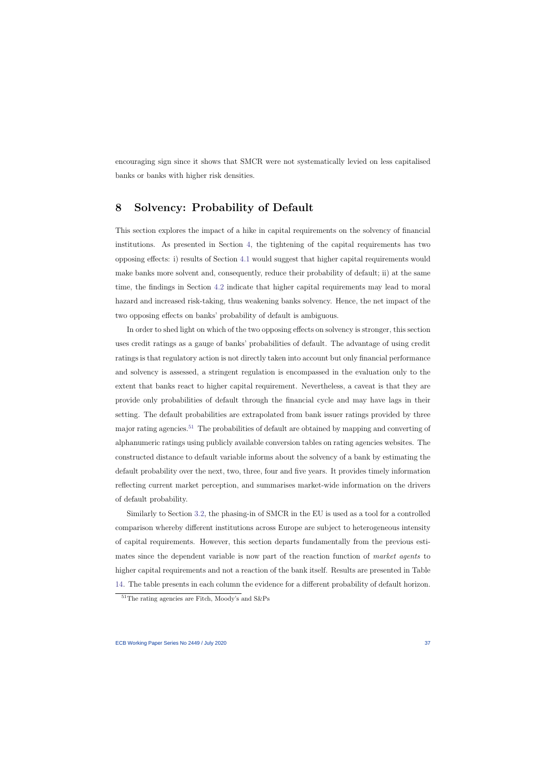encouraging sign since it shows that SMCR were not systematically levied on less capitalised banks or banks with higher risk densities.

## 8 Solvency: Probability of Default

This section explores the impact of a hike in capital requirements on the solvency of financial institutions. As presented in Section [4,](#page-20-0) the tightening of the capital requirements has two opposing effects: i) results of Section [4.1](#page-20-1) would suggest that higher capital requirements would make banks more solvent and, consequently, reduce their probability of default; ii) at the same time, the findings in Section [4.2](#page-22-0) indicate that higher capital requirements may lead to moral hazard and increased risk-taking, thus weakening banks solvency. Hence, the net impact of the two opposing effects on banks' probability of default is ambiguous.

In order to shed light on which of the two opposing effects on solvency is stronger, this section uses credit ratings as a gauge of banks' probabilities of default. The advantage of using credit ratings is that regulatory action is not directly taken into account but only financial performance and solvency is assessed, a stringent regulation is encompassed in the evaluation only to the extent that banks react to higher capital requirement. Nevertheless, a caveat is that they are provide only probabilities of default through the financial cycle and may have lags in their setting. The default probabilities are extrapolated from bank issuer ratings provided by three major rating agencies.[51](#page-37-0) The probabilities of default are obtained by mapping and converting of alphanumeric ratings using publicly available conversion tables on rating agencies websites. The constructed distance to default variable informs about the solvency of a bank by estimating the default probability over the next, two, three, four and five years. It provides timely information reflecting current market perception, and summarises market-wide information on the drivers of default probability.

Similarly to Section [3.2,](#page-14-0) the phasing-in of SMCR in the EU is used as a tool for a controlled comparison whereby different institutions across Europe are subject to heterogeneous intensity of capital requirements. However, this section departs fundamentally from the previous estimates since the dependent variable is now part of the reaction function of market agents to higher capital requirements and not a reaction of the bank itself. Results are presented in Table [14.](#page-66-0) The table presents in each column the evidence for a different probability of default horizon.

<span id="page-37-0"></span><sup>51</sup>The rating agencies are Fitch, Moody's and S&Ps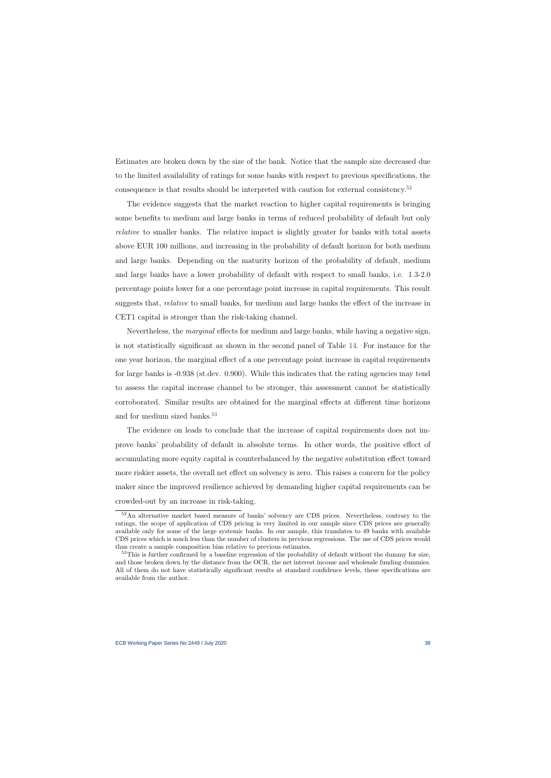Estimates are broken down by the size of the bank. Notice that the sample size decreased due to the limited availability of ratings for some banks with respect to previous specifications, the consequence is that results should be interpreted with caution for external consistency.[52](#page-38-0)

The evidence suggests that the market reaction to higher capital requirements is bringing some benefits to medium and large banks in terms of reduced probability of default but only relative to smaller banks. The relative impact is slightly greater for banks with total assets above EUR 100 millions, and increasing in the probability of default horizon for both medium and large banks. Depending on the maturity horizon of the probability of default, medium and large banks have a lower probability of default with respect to small banks, i.e. 1.3-2.0 percentage points lower for a one percentage point increase in capital requirements. This result suggests that, relative to small banks, for medium and large banks the effect of the increase in CET1 capital is stronger than the risk-taking channel.

Nevertheless, the *marginal* effects for medium and large banks, while having a negative sign, is not statistically significant as shown in the second panel of Table [14.](#page-66-0) For instance for the one year horizon, the marginal effect of a one percentage point increase in capital requirements for large banks is -0.938 (st.dev. 0.900). While this indicates that the rating agencies may tend to assess the capital increase channel to be stronger, this assessment cannot be statistically corroborated. Similar results are obtained for the marginal effects at different time horizons and for medium sized banks.<sup>[53](#page-38-1)</sup>

The evidence on leads to conclude that the increase of capital requirements does not improve banks' probability of default in absolute terms. In other words, the positive effect of accumulating more equity capital is counterbalanced by the negative substitution effect toward more riskier assets, the overall net effect on solvency is zero. This raises a concern for the policy maker since the improved resilience achieved by demanding higher capital requirements can be crowded-out by an increase in risk-taking.

<sup>52</sup>An alternative market based measure of banks' solvency are CDS prices. Nevertheless, contrary to the ratings, the scope of application of CDS pricing is very limited in our sample since CDS prices are generally available only for some of the large systemic banks. In our sample, this translates to 49 banks with available CDS prices which is much less than the number of clusters in previous regressions. The use of CDS prices would thus create a sample composition bias relative to previous estimates.

<span id="page-38-1"></span><span id="page-38-0"></span><sup>&</sup>lt;sup>53</sup>This is further confirmed by a baseline regression of the probability of default without the dummy for size, and those broken down by the distance from the OCR, the net interest income and wholesale funding dummies. All of them do not have statistically significant results at standard confidence levels, these specifications are available from the author.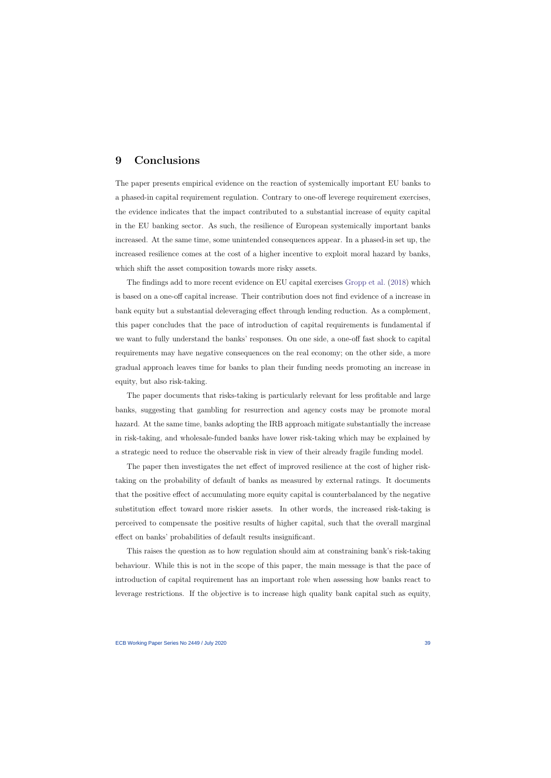## 9 Conclusions

The paper presents empirical evidence on the reaction of systemically important EU banks to a phased-in capital requirement regulation. Contrary to one-off leverege requirement exercises, the evidence indicates that the impact contributed to a substantial increase of equity capital in the EU banking sector. As such, the resilience of European systemically important banks increased. At the same time, some unintended consequences appear. In a phased-in set up, the increased resilience comes at the cost of a higher incentive to exploit moral hazard by banks, which shift the asset composition towards more risky assets.

The findings add to more recent evidence on EU capital exercises [Gropp et al.](#page-43-0) [\(2018\)](#page-43-0) which is based on a one-off capital increase. Their contribution does not find evidence of a increase in bank equity but a substantial deleveraging effect through lending reduction. As a complement, this paper concludes that the pace of introduction of capital requirements is fundamental if we want to fully understand the banks' responses. On one side, a one-off fast shock to capital requirements may have negative consequences on the real economy; on the other side, a more gradual approach leaves time for banks to plan their funding needs promoting an increase in equity, but also risk-taking.

The paper documents that risks-taking is particularly relevant for less profitable and large banks, suggesting that gambling for resurrection and agency costs may be promote moral hazard. At the same time, banks adopting the IRB approach mitigate substantially the increase in risk-taking, and wholesale-funded banks have lower risk-taking which may be explained by a strategic need to reduce the observable risk in view of their already fragile funding model.

The paper then investigates the net effect of improved resilience at the cost of higher risktaking on the probability of default of banks as measured by external ratings. It documents that the positive effect of accumulating more equity capital is counterbalanced by the negative substitution effect toward more riskier assets. In other words, the increased risk-taking is perceived to compensate the positive results of higher capital, such that the overall marginal effect on banks' probabilities of default results insignificant.

This raises the question as to how regulation should aim at constraining bank's risk-taking behaviour. While this is not in the scope of this paper, the main message is that the pace of introduction of capital requirement has an important role when assessing how banks react to leverage restrictions. If the objective is to increase high quality bank capital such as equity,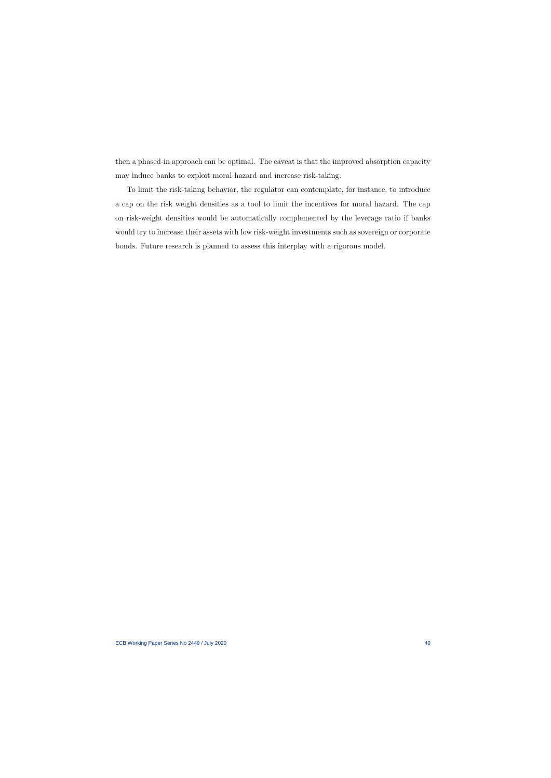then a phased-in approach can be optimal. The caveat is that the improved absorption capacity may induce banks to exploit moral hazard and increase risk-taking.

To limit the risk-taking behavior, the regulator can contemplate, for instance, to introduce a cap on the risk weight densities as a tool to limit the incentives for moral hazard. The cap on risk-weight densities would be automatically complemented by the leverage ratio if banks would try to increase their assets with low risk-weight investments such as sovereign or corporate bonds. Future research is planned to assess this interplay with a rigorous model.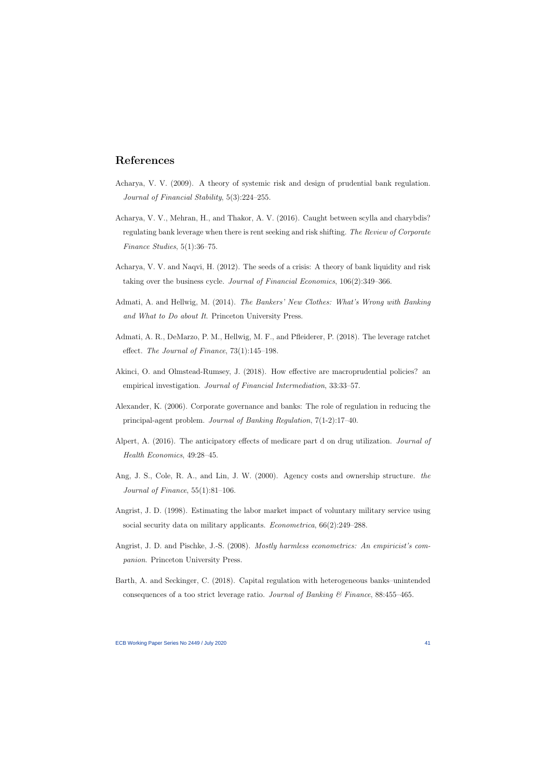# References

- Acharya, V. V. (2009). A theory of systemic risk and design of prudential bank regulation. Journal of Financial Stability, 5(3):224–255.
- Acharya, V. V., Mehran, H., and Thakor, A. V. (2016). Caught between scylla and charybdis? regulating bank leverage when there is rent seeking and risk shifting. The Review of Corporate Finance Studies, 5(1):36–75.
- Acharya, V. V. and Naqvi, H. (2012). The seeds of a crisis: A theory of bank liquidity and risk taking over the business cycle. Journal of Financial Economics, 106(2):349–366.
- Admati, A. and Hellwig, M. (2014). The Bankers' New Clothes: What's Wrong with Banking and What to Do about It. Princeton University Press.
- Admati, A. R., DeMarzo, P. M., Hellwig, M. F., and Pfleiderer, P. (2018). The leverage ratchet effect. The Journal of Finance, 73(1):145–198.
- Akinci, O. and Olmstead-Rumsey, J. (2018). How effective are macroprudential policies? an empirical investigation. Journal of Financial Intermediation, 33:33–57.
- Alexander, K. (2006). Corporate governance and banks: The role of regulation in reducing the principal-agent problem. Journal of Banking Regulation, 7(1-2):17–40.
- Alpert, A. (2016). The anticipatory effects of medicare part d on drug utilization. Journal of Health Economics, 49:28–45.
- Ang, J. S., Cole, R. A., and Lin, J. W. (2000). Agency costs and ownership structure. the Journal of Finance,  $55(1):81-106$ .
- Angrist, J. D. (1998). Estimating the labor market impact of voluntary military service using social security data on military applicants. Econometrica, 66(2):249–288.
- Angrist, J. D. and Pischke, J.-S. (2008). Mostly harmless econometrics: An empiricist's companion. Princeton University Press.
- Barth, A. and Seckinger, C. (2018). Capital regulation with heterogeneous banks–unintended consequences of a too strict leverage ratio. Journal of Banking & Finance, 88:455–465.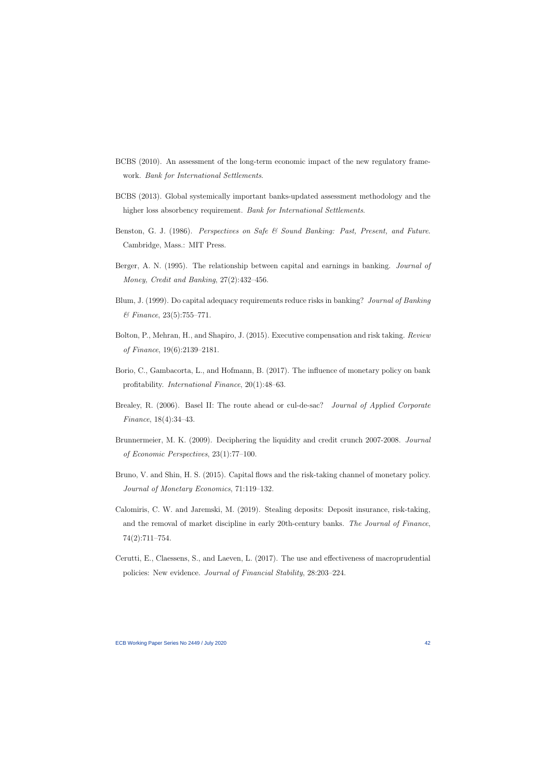- BCBS (2010). An assessment of the long-term economic impact of the new regulatory framework. Bank for International Settlements.
- BCBS (2013). Global systemically important banks-updated assessment methodology and the higher loss absorbency requirement. Bank for International Settlements.
- Benston, G. J. (1986). Perspectives on Safe & Sound Banking: Past, Present, and Future. Cambridge, Mass.: MIT Press.
- Berger, A. N. (1995). The relationship between capital and earnings in banking. *Journal of* Money, Credit and Banking, 27(2):432–456.
- Blum, J. (1999). Do capital adequacy requirements reduce risks in banking? Journal of Banking  $\&\ Finance$ , 23(5):755-771.
- Bolton, P., Mehran, H., and Shapiro, J. (2015). Executive compensation and risk taking. Review of Finance, 19(6):2139–2181.
- Borio, C., Gambacorta, L., and Hofmann, B. (2017). The influence of monetary policy on bank profitability. International Finance, 20(1):48–63.
- Brealey, R. (2006). Basel II: The route ahead or cul-de-sac? *Journal of Applied Corporate* Finance, 18(4):34–43.
- Brunnermeier, M. K. (2009). Deciphering the liquidity and credit crunch 2007-2008. Journal of Economic Perspectives, 23(1):77–100.
- Bruno, V. and Shin, H. S. (2015). Capital flows and the risk-taking channel of monetary policy. Journal of Monetary Economics, 71:119–132.
- Calomiris, C. W. and Jaremski, M. (2019). Stealing deposits: Deposit insurance, risk-taking, and the removal of market discipline in early 20th-century banks. The Journal of Finance, 74(2):711–754.
- Cerutti, E., Claessens, S., and Laeven, L. (2017). The use and effectiveness of macroprudential policies: New evidence. Journal of Financial Stability, 28:203–224.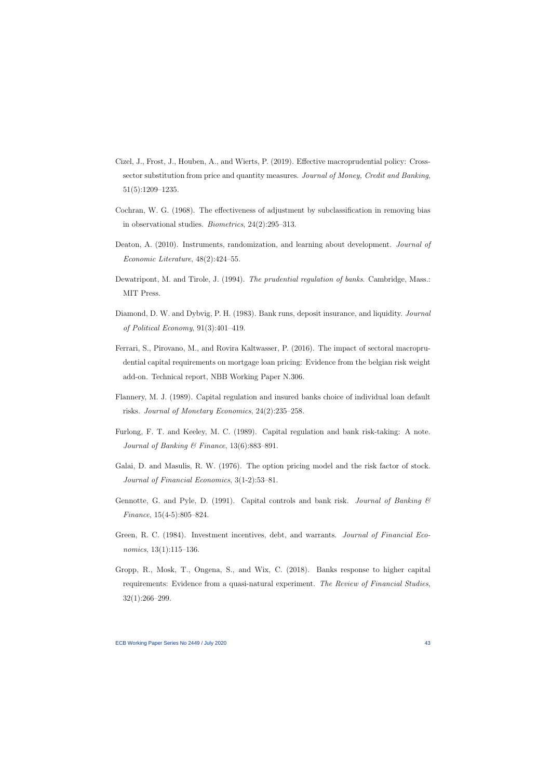- Cizel, J., Frost, J., Houben, A., and Wierts, P. (2019). Effective macroprudential policy: Crosssector substitution from price and quantity measures. Journal of Money, Credit and Banking, 51(5):1209–1235.
- Cochran, W. G. (1968). The effectiveness of adjustment by subclassification in removing bias in observational studies. Biometrics, 24(2):295–313.
- Deaton, A. (2010). Instruments, randomization, and learning about development. *Journal of* Economic Literature, 48(2):424–55.
- Dewatripont, M. and Tirole, J. (1994). The prudential regulation of banks. Cambridge, Mass.: MIT Press.
- Diamond, D. W. and Dybvig, P. H. (1983). Bank runs, deposit insurance, and liquidity. Journal of Political Economy, 91(3):401–419.
- Ferrari, S., Pirovano, M., and Rovira Kaltwasser, P. (2016). The impact of sectoral macroprudential capital requirements on mortgage loan pricing: Evidence from the belgian risk weight add-on. Technical report, NBB Working Paper N.306.
- Flannery, M. J. (1989). Capital regulation and insured banks choice of individual loan default risks. Journal of Monetary Economics, 24(2):235–258.
- Furlong, F. T. and Keeley, M. C. (1989). Capital regulation and bank risk-taking: A note. Journal of Banking & Finance,  $13(6)$ :883-891.
- Galai, D. and Masulis, R. W. (1976). The option pricing model and the risk factor of stock. Journal of Financial Economics, 3(1-2):53–81.
- Gennotte, G. and Pyle, D. (1991). Capital controls and bank risk. Journal of Banking  $\mathcal C$ Finance, 15(4-5):805–824.
- Green, R. C. (1984). Investment incentives, debt, and warrants. *Journal of Financial Eco*nomics, 13(1):115–136.
- <span id="page-43-0"></span>Gropp, R., Mosk, T., Ongena, S., and Wix, C. (2018). Banks response to higher capital requirements: Evidence from a quasi-natural experiment. The Review of Financial Studies, 32(1):266–299.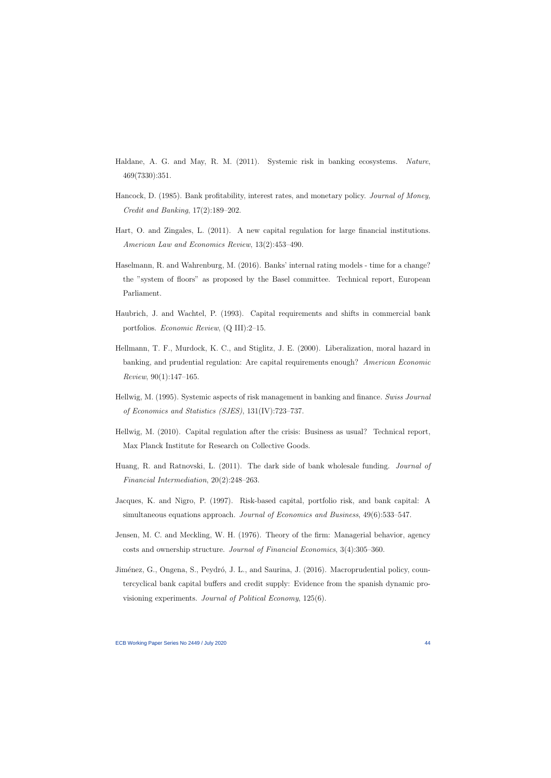- Haldane, A. G. and May, R. M. (2011). Systemic risk in banking ecosystems. Nature, 469(7330):351.
- Hancock, D. (1985). Bank profitability, interest rates, and monetary policy. *Journal of Money*, Credit and Banking, 17(2):189–202.
- Hart, O. and Zingales, L. (2011). A new capital regulation for large financial institutions. American Law and Economics Review, 13(2):453–490.
- Haselmann, R. and Wahrenburg, M. (2016). Banks' internal rating models time for a change? the "system of floors" as proposed by the Basel committee. Technical report, European Parliament.
- Haubrich, J. and Wachtel, P. (1993). Capital requirements and shifts in commercial bank portfolios. Economic Review, (Q III):2–15.
- Hellmann, T. F., Murdock, K. C., and Stiglitz, J. E. (2000). Liberalization, moral hazard in banking, and prudential regulation: Are capital requirements enough? American Economic Review, 90(1):147–165.
- Hellwig, M. (1995). Systemic aspects of risk management in banking and finance. Swiss Journal of Economics and Statistics (SJES), 131(IV):723–737.
- Hellwig, M. (2010). Capital regulation after the crisis: Business as usual? Technical report, Max Planck Institute for Research on Collective Goods.
- Huang, R. and Ratnovski, L. (2011). The dark side of bank wholesale funding. Journal of Financial Intermediation, 20(2):248–263.
- Jacques, K. and Nigro, P. (1997). Risk-based capital, portfolio risk, and bank capital: A simultaneous equations approach. Journal of Economics and Business, 49(6):533–547.
- Jensen, M. C. and Meckling, W. H. (1976). Theory of the firm: Managerial behavior, agency costs and ownership structure. Journal of Financial Economics, 3(4):305–360.
- Jiménez, G., Ongena, S., Peydró, J. L., and Saurina, J. (2016). Macroprudential policy, countercyclical bank capital buffers and credit supply: Evidence from the spanish dynamic provisioning experiments. Journal of Political Economy, 125(6).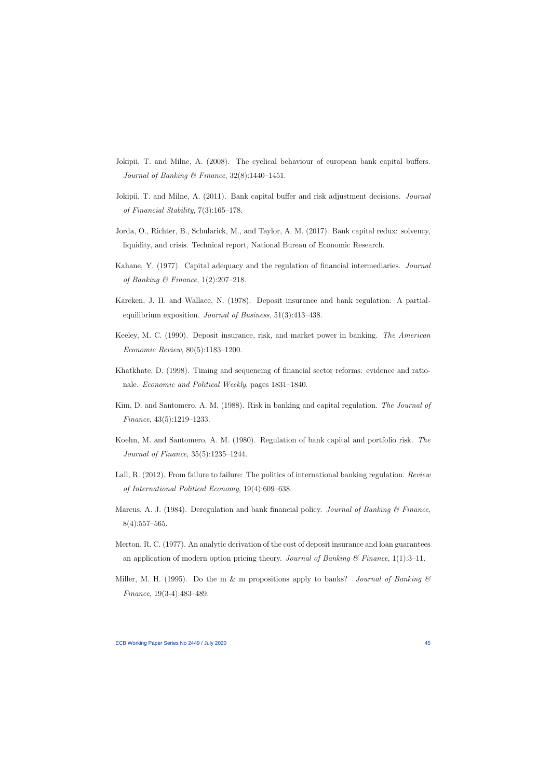- Jokipii, T. and Milne, A. (2008). The cyclical behaviour of european bank capital buffers. Journal of Banking & Finance,  $32(8)$ :1440-1451.
- Jokipii, T. and Milne, A. (2011). Bank capital buffer and risk adjustment decisions. Journal of Financial Stability, 7(3):165–178.
- Jorda, O., Richter, B., Schularick, M., and Taylor, A. M. (2017). Bank capital redux: solvency, liquidity, and crisis. Technical report, National Bureau of Economic Research.
- Kahane, Y. (1977). Capital adequacy and the regulation of financial intermediaries. Journal of Banking & Finance,  $1(2):207-218$ .
- Kareken, J. H. and Wallace, N. (1978). Deposit insurance and bank regulation: A partialequilibrium exposition. Journal of Business, 51(3):413–438.
- Keeley, M. C. (1990). Deposit insurance, risk, and market power in banking. The American Economic Review, 80(5):1183–1200.
- Khatkhate, D. (1998). Timing and sequencing of financial sector reforms: evidence and rationale. Economic and Political Weekly, pages 1831–1840.
- Kim, D. and Santomero, A. M. (1988). Risk in banking and capital regulation. The Journal of Finance, 43(5):1219–1233.
- Koehn, M. and Santomero, A. M. (1980). Regulation of bank capital and portfolio risk. The Journal of Finance, 35(5):1235–1244.
- Lall, R. (2012). From failure to failure: The politics of international banking regulation. Review of International Political Economy, 19(4):609–638.
- Marcus, A. J. (1984). Deregulation and bank financial policy. Journal of Banking  $\mathscr B$  Finance,  $8(4):557-565.$
- Merton, R. C. (1977). An analytic derivation of the cost of deposit insurance and loan guarantees an application of modern option pricing theory. Journal of Banking  $\mathcal C$  Finance, 1(1):3–11.
- Miller, M. H. (1995). Do the m & m propositions apply to banks? Journal of Banking  $\mathcal C$ Finance, 19(3-4):483–489.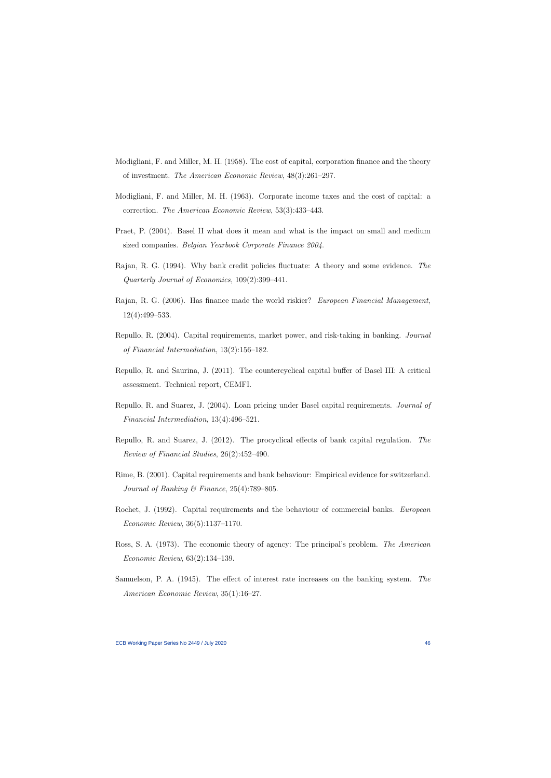- Modigliani, F. and Miller, M. H. (1958). The cost of capital, corporation finance and the theory of investment. The American Economic Review, 48(3):261–297.
- Modigliani, F. and Miller, M. H. (1963). Corporate income taxes and the cost of capital: a correction. The American Economic Review, 53(3):433–443.
- Praet, P. (2004). Basel II what does it mean and what is the impact on small and medium sized companies. Belgian Yearbook Corporate Finance 2004.
- Rajan, R. G. (1994). Why bank credit policies fluctuate: A theory and some evidence. The Quarterly Journal of Economics, 109(2):399–441.
- Rajan, R. G. (2006). Has finance made the world riskier? European Financial Management, 12(4):499–533.
- Repullo, R. (2004). Capital requirements, market power, and risk-taking in banking. Journal of Financial Intermediation, 13(2):156–182.
- Repullo, R. and Saurina, J. (2011). The countercyclical capital buffer of Basel III: A critical assessment. Technical report, CEMFI.
- Repullo, R. and Suarez, J. (2004). Loan pricing under Basel capital requirements. Journal of Financial Intermediation, 13(4):496–521.
- Repullo, R. and Suarez, J. (2012). The procyclical effects of bank capital regulation. The Review of Financial Studies, 26(2):452–490.
- Rime, B. (2001). Capital requirements and bank behaviour: Empirical evidence for switzerland. Journal of Banking & Finance,  $25(4)$ :789–805.
- Rochet, J. (1992). Capital requirements and the behaviour of commercial banks. European Economic Review, 36(5):1137–1170.
- Ross, S. A. (1973). The economic theory of agency: The principal's problem. The American Economic Review, 63(2):134–139.
- Samuelson, P. A. (1945). The effect of interest rate increases on the banking system. The American Economic Review, 35(1):16–27.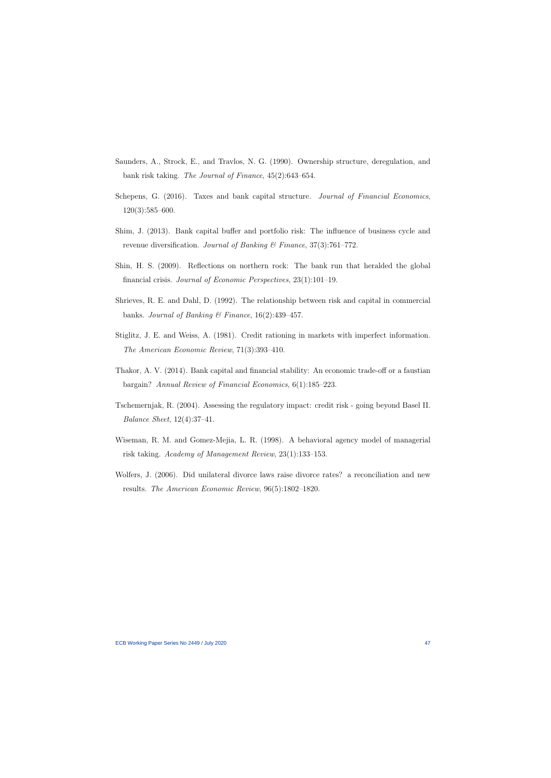- Saunders, A., Strock, E., and Travlos, N. G. (1990). Ownership structure, deregulation, and bank risk taking. The Journal of Finance, 45(2):643–654.
- Schepens, G. (2016). Taxes and bank capital structure. *Journal of Financial Economics*, 120(3):585–600.
- Shim, J. (2013). Bank capital buffer and portfolio risk: The influence of business cycle and revenue diversification. Journal of Banking & Finance,  $37(3)$ :761–772.
- Shin, H. S. (2009). Reflections on northern rock: The bank run that heralded the global financial crisis. Journal of Economic Perspectives, 23(1):101–19.
- Shrieves, R. E. and Dahl, D. (1992). The relationship between risk and capital in commercial banks. Journal of Banking & Finance,  $16(2):439-457$ .
- Stiglitz, J. E. and Weiss, A. (1981). Credit rationing in markets with imperfect information. The American Economic Review, 71(3):393–410.
- Thakor, A. V. (2014). Bank capital and financial stability: An economic trade-off or a faustian bargain? Annual Review of Financial Economics, 6(1):185–223.
- Tschemernjak, R. (2004). Assessing the regulatory impact: credit risk going beyond Basel II. Balance Sheet, 12(4):37–41.
- Wiseman, R. M. and Gomez-Mejia, L. R. (1998). A behavioral agency model of managerial risk taking. Academy of Management Review, 23(1):133–153.
- Wolfers, J. (2006). Did unilateral divorce laws raise divorce rates? a reconciliation and new results. The American Economic Review, 96(5):1802–1820.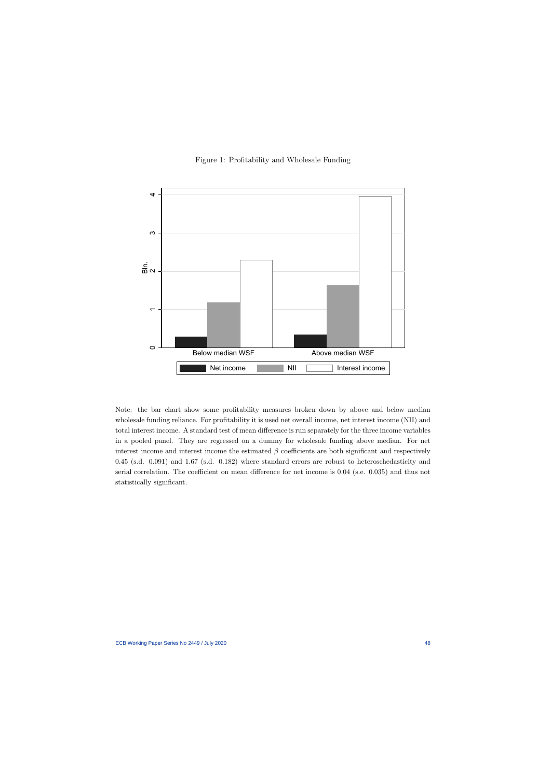



Note: the bar chart show some profitability measures broken down by above and below median wholesale funding reliance. For profitability it is used net overall income, net interest income (NII) and total interest income. A standard test of mean difference is run separately for the three income variables in a pooled panel. They are regressed on a dummy for wholesale funding above median. For net interest income and interest income the estimated  $\beta$  coefficients are both significant and respectively 0.45 (s.d. 0.091) and 1.67 (s.d. 0.182) where standard errors are robust to heteroschedasticity and serial correlation. The coefficient on mean difference for net income is 0.04 (s.e. 0.035) and thus not statistically significant.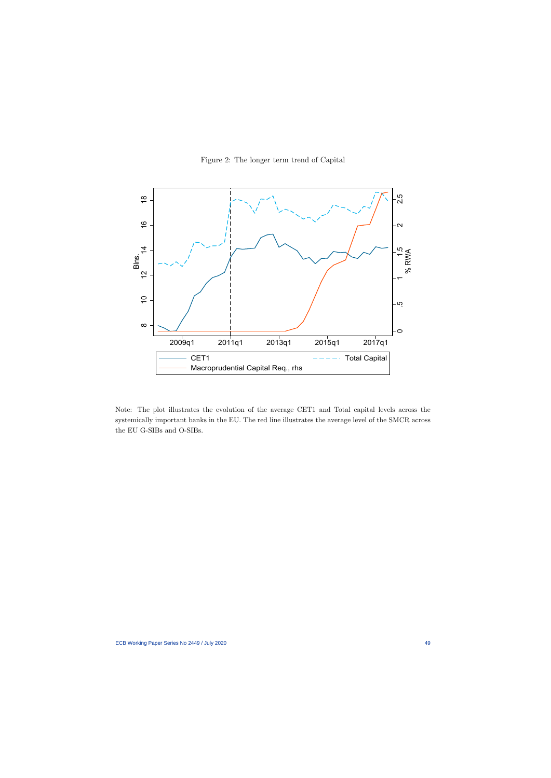

Figure 2: The longer term trend of Capital

Note: The plot illustrates the evolution of the average CET1 and Total capital levels across the systemically important banks in the EU. The red line illustrates the average level of the SMCR across the EU G-SIBs and O-SIBs.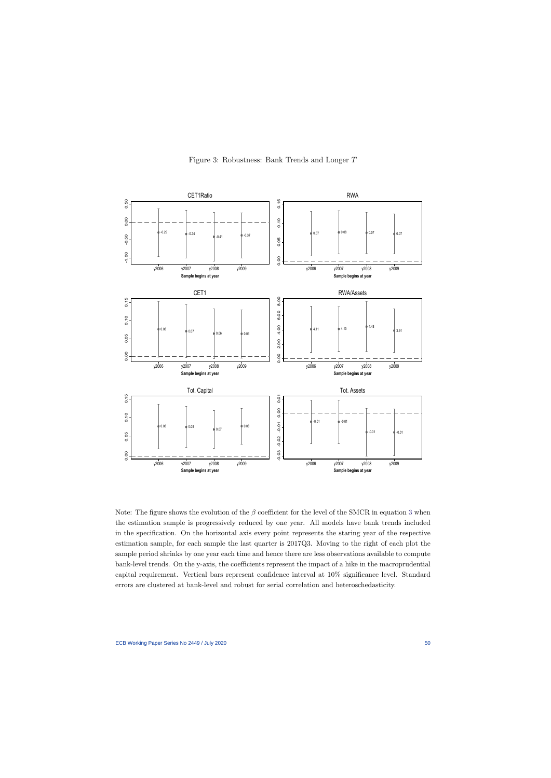

Figure 3: Robustness: Bank Trends and Longer T

Note: The figure shows the evolution of the  $\beta$  coefficient for the level of the SMCR in equation [3](#page-31-1) when the estimation sample is progressively reduced by one year. All models have bank trends included in the specification. On the horizontal axis every point represents the staring year of the respective estimation sample, for each sample the last quarter is 2017Q3. Moving to the right of each plot the sample period shrinks by one year each time and hence there are less observations available to compute bank-level trends. On the y-axis, the coefficients represent the impact of a hike in the macroprudential capital requirement. Vertical bars represent confidence interval at 10% significance level. Standard errors are clustered at bank-level and robust for serial correlation and heteroschedasticity.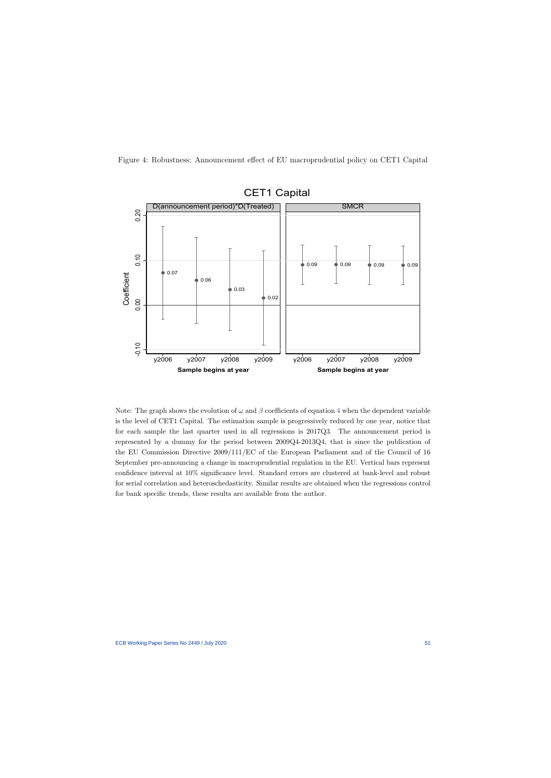Figure 4: Robustness: Announcement effect of EU macroprudential policy on CET1 Capital



Note: The graph shows the evolution of  $\omega$  and  $\beta$  coefficients of equation [4](#page-34-0) when the dependent variable is the level of CET1 Capital. The estimation sample is progressively reduced by one year, notice that for each sample the last quarter used in all regressions is 2017Q3. The announcement period is represented by a dummy for the period between 2009Q4-2013Q4, that is since the publication of the EU Commission Directive 2009/111/EC of the European Parliament and of the Council of 16 September pre-announcing a change in macroprudential regulation in the EU. Vertical bars represent confidence interval at 10% significance level. Standard errors are clustered at bank-level and robust for serial correlation and heteroschedasticity. Similar results are obtained when the regressions control for bank specific trends, these results are available from the author.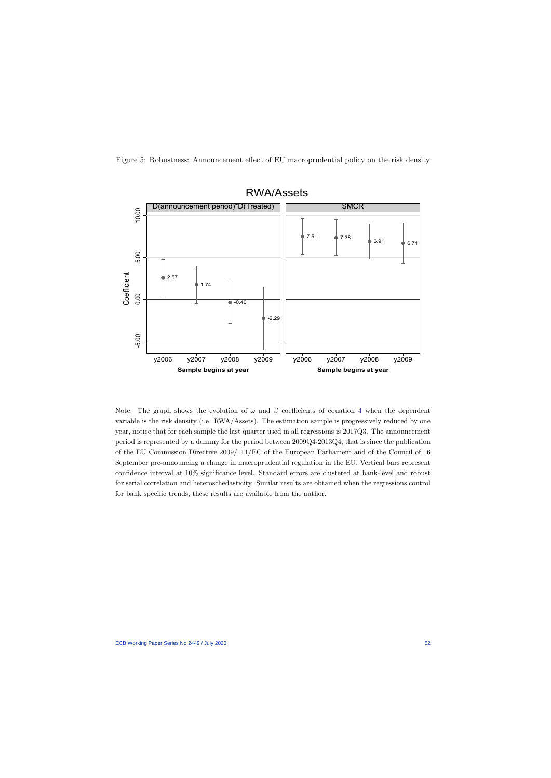Figure 5: Robustness: Announcement effect of EU macroprudential policy on the risk density



Note: The graph shows the evolution of  $\omega$  and  $\beta$  coefficients of equation [4](#page-34-0) when the dependent variable is the risk density (i.e. RWA/Assets). The estimation sample is progressively reduced by one year, notice that for each sample the last quarter used in all regressions is 2017Q3. The announcement period is represented by a dummy for the period between 2009Q4-2013Q4, that is since the publication of the EU Commission Directive 2009/111/EC of the European Parliament and of the Council of 16 September pre-announcing a change in macroprudential regulation in the EU. Vertical bars represent confidence interval at 10% significance level. Standard errors are clustered at bank-level and robust for serial correlation and heteroschedasticity. Similar results are obtained when the regressions control for bank specific trends, these results are available from the author.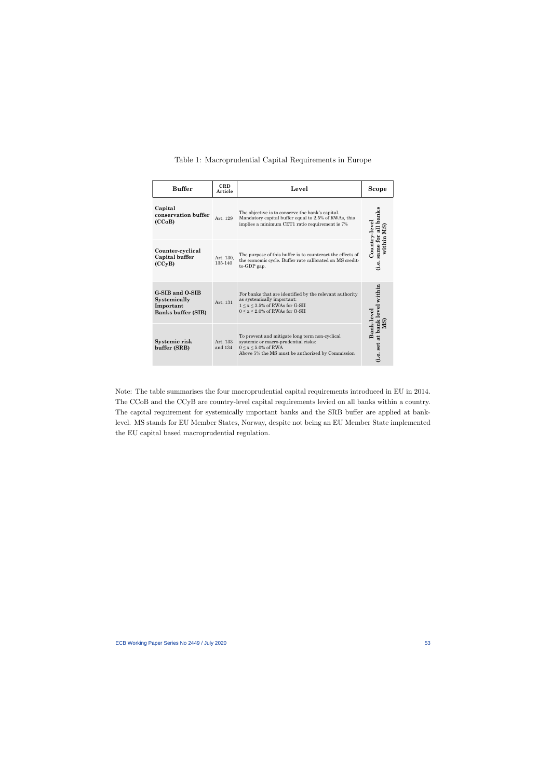|  | Table 1: Macroprudential Capital Requirements in Europe |  |  |  |  |
|--|---------------------------------------------------------|--|--|--|--|
|--|---------------------------------------------------------|--|--|--|--|

| <b>Buffer</b>                                                             | <b>CRD</b><br>Article | Level                                                                                                                                                                     | Scope                                                |
|---------------------------------------------------------------------------|-----------------------|---------------------------------------------------------------------------------------------------------------------------------------------------------------------------|------------------------------------------------------|
| Capital<br>conservation buffer<br>(CCoB)                                  | Art. 129              | The objective is to conserve the bank's capital.<br>Mandatory capital buffer equal to 2.5% of RWAs, this<br>implies a minimum CET1 ratio requirement is 7%                | same for all banks<br>$\operatorname{Country-level}$ |
| Counter-cyclical<br>Capital buffer<br>(CCyB)                              | Art. 130,<br>135-140  | The purpose of this buffer is to counteract the effects of<br>the economic cycle. Buffer rate calibrated on MS credit-<br>to-GDP gap.                                     | within MS<br>(i.e.                                   |
| G-SIB and O-SIB<br>Systemically<br>Important<br><b>Banks buffer (SIB)</b> | Art. 131              | For banks that are identified by the relevant authority<br>as systemically important:<br>$1 \leq x \leq 3.5\%$ of RWAs for G-SII<br>$0 \le x \le 2.0\%$ of RWAs for O-SII | (i.e. set at bank level within<br>Bank-level         |
| Systemic risk<br>buffer (SRB)                                             | Art. 133<br>and $134$ | To prevent and mitigate long term non-cyclical<br>systemic or macro-prudential risks:<br>$0 \le x \le 5.0\%$ of RWA<br>Above 5% the MS must be authorized by Commission   | M <sub>S</sub>                                       |

Note: The table summarises the four macroprudential capital requirements introduced in EU in 2014. The CCoB and the CCyB are country-level capital requirements levied on all banks within a country. The capital requirement for systemically important banks and the SRB buffer are applied at banklevel. MS stands for EU Member States, Norway, despite not being an EU Member State implemented the EU capital based macroprudential regulation.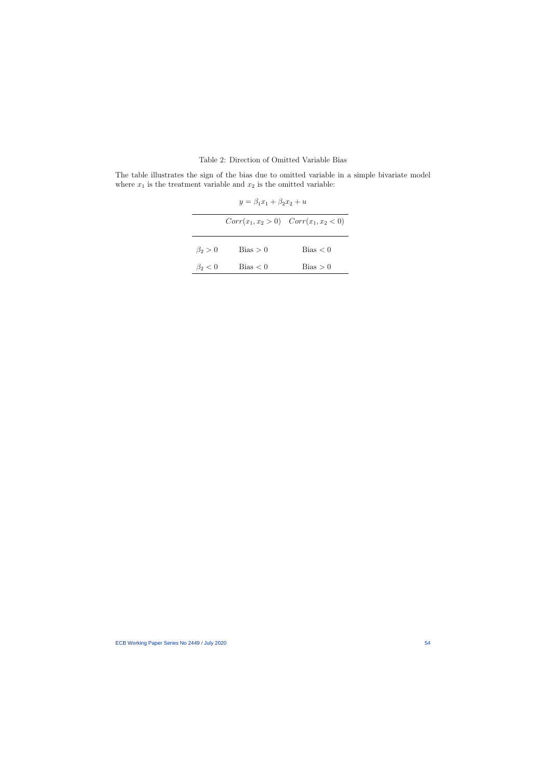## Table 2: Direction of Omitted Variable Bias

The table illustrates the sign of the bias due to omitted variable in a simple bivariate model where  $x_1$  is the treatment variable and  $x_2$  is the omitted variable:

|               | $y = \beta_1 x_1 + \beta_2 x_2 + u$ |                                           |
|---------------|-------------------------------------|-------------------------------------------|
|               |                                     | $Corr(x_1, x_2 > 0)$ $Corr(x_1, x_2 < 0)$ |
| $\beta_2>0$   | Bias > 0                            | Bias < 0                                  |
| $\beta_2 < 0$ | Bias < 0                            | Bias > 0                                  |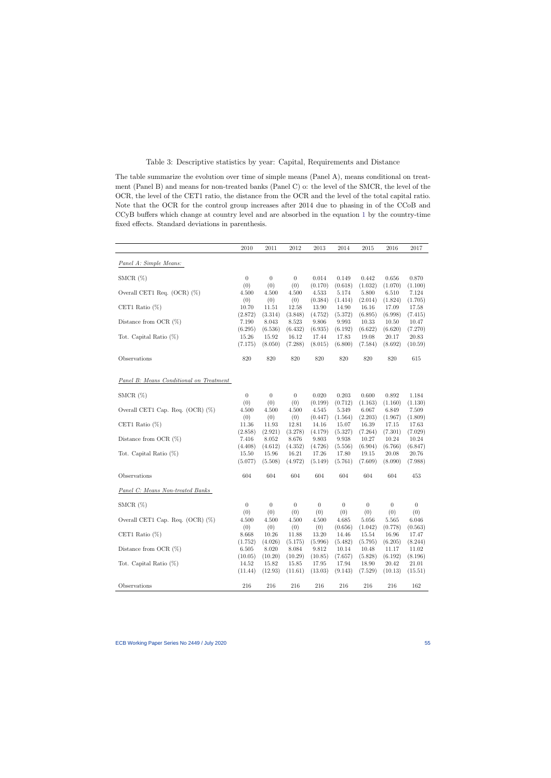### Table 3: Descriptive statistics by year: Capital, Requirements and Distance

The table summarize the evolution over time of simple means (Panel A), means conditional on treatment (Panel B) and means for non-treated banks (Panel C) o: the level of the SMCR, the level of the OCR, the level of the CET1 ratio, the distance from the OCR and the level of the total capital ratio. Note that the OCR for the control group increases after 2014 due to phasing in of the CCoB and CCyB buffers which change at country level and are absorbed in the equation [1](#page-14-1) by the country-time fixed effects. Standard deviations in parenthesis.

|                                         | 2010             | $2011\,$             | 2012             | 2013             | 2014             | 2015                 | 2016             | 2017             |
|-----------------------------------------|------------------|----------------------|------------------|------------------|------------------|----------------------|------------------|------------------|
| Panel A: Simple Means:                  |                  |                      |                  |                  |                  |                      |                  |                  |
| SMCR $(\%)$                             | $\overline{0}$   | $\theta$             | $\overline{0}$   | 0.014            | 0.149            | 0.442                | 0.656            | 0.870            |
|                                         | (0)              | (0)                  | (0)              | (0.170)          | (0.618)          | (1.032)              | (1.070)          | (1.100)          |
| Overall CET1 Req. $(OCR)$ $(\%)$        | 4.500            | 4.500                | 4.500            | 4.533            | 5.174            | 5.800                | 6.510            | 7.124            |
|                                         | (0)              | (0)                  | (0)              | (0.384)          | (1.414)          | (2.014)              | (1.824)          | (1.705)          |
| CET1 Ratio $(\%)$                       | 10.70<br>(2.872) | 11.51<br>(3.314)     | 12.58<br>(3.848) | 13.90<br>(4.752) | 14.90<br>(5.372) | 16.16<br>(6.895)     | 17.09<br>(6.998) | 17.58<br>(7.415) |
| Distance from OCR $(\%)$                | 7.190            | 8.043                | 8.523            | 9.806            | 9.993            | 10.33                | 10.50            | 10.47            |
|                                         | (6.295)          | (6.536)              | (6.432)          | (6.935)          | (6.192)          | (6.622)              | (6.620)          | (7.270)          |
| Tot. Capital Ratio $(\%)$               | 15.26            | 15.92                | 16.12            | 17.44            | 17.83            | 19.08                | 20.17            | 20.83            |
|                                         | (7.175)          | (8.050)              | (7.288)          | (8.015)          | (6.800)          | (7.584)              | (8.692)          | (10.59)          |
| Observations                            | 820              | 820                  | 820              | 820              | $820\,$          | 820                  | 820              | 615              |
| Panel B: Means Conditional on Treatment |                  |                      |                  |                  |                  |                      |                  |                  |
|                                         |                  |                      |                  |                  |                  |                      |                  |                  |
| SMCR $(\%)$                             | $\boldsymbol{0}$ | $\overline{0}$       | $\overline{0}$   | 0.020            | 0.203            | 0.600                | 0.892            | 1.184            |
| Overall CET1 Cap. Req. $(OCR)$ $(\%)$   | (0)<br>4.500     | (0)<br>4.500         | (0)<br>4.500     | (0.199)<br>4.545 | (0.712)<br>5.349 | (1.163)<br>6.067     | (1.160)<br>6.849 | (1.130)<br>7.509 |
|                                         | (0)              | (0)                  | (0)              | (0.447)          | (1.564)          | (2.203)              | (1.967)          | (1.809)          |
| CET1 Ratio $(\%)$                       | 11.36            | 11.93                | 12.81            | 14.16            | 15.07            | 16.39                | 17.15            | 17.63            |
|                                         | (2.858)          | (2.921)              | (3.278)          | (4.179)          | (5.327)          | (7.264)              | (7.301)          | (7.029)          |
| Distance from OCR $(\%)$                | 7.416            | 8.052                | 8.676            | 9.803            | 9.938            | 10.27                | 10.24            | 10.24            |
|                                         | (4.408)          | (4.612)              | (4.352)          | (4.726)          | (5.556)          | (6.904)              | (6.766)          | (6.847)          |
| Tot. Capital Ratio $(\%)$               | 15.50<br>(5.077) | 15.96<br>(5.508)     | 16.21<br>(4.972) | 17.26<br>(5.149) | 17.80<br>(5.761) | 19.15<br>(7.609)     | 20.08<br>(8.090) | 20.76<br>(7.988) |
|                                         |                  |                      |                  |                  |                  |                      |                  |                  |
| Observations                            | $604\,$          | 604                  | 604              | 604              | 604              | 604                  | 604              | 453              |
| <b>Panel C:</b> Means Non-treated Banks |                  |                      |                  |                  |                  |                      |                  |                  |
| SMCR $(\%)$                             | $\boldsymbol{0}$ | $\overline{0}$       | $\overline{0}$   | $\theta$         | $\theta$         | 0                    | $\theta$         | $\theta$         |
|                                         | (0)              | (0)                  | (0)              | (0)              | (0)              | (0)                  | (0)              | (0)              |
| Overall CET1 Cap. Req. $(OCR)$ $(\%)$   | 4.500            | 4.500                | 4.500            | 4.500            | 4.685            | 5.056                | 5.565            | 6.046            |
|                                         | (0)<br>8.668     | (0)                  | (0)              | (0)              | (0.656)          | (1.042)<br>$15.54\,$ | (0.778)          | (0.563)          |
| CET1 Ratio $(\%)$                       | (1.752)          | $10.26\,$<br>(4.026) | 11.88<br>(5.175) | 13.20<br>(5.996) | 14.46<br>(5.482) | (5.795)              | 16.96<br>(6.205) | 17.47<br>(8.244) |
| Distance from OCR $(\%)$                | 6.505            | 8.020                | 8.084            | 9.812            | 10.14            | 10.48                | 11.17            | 11.02            |
|                                         | (10.05)          | (10.20)              | (10.29)          | (10.85)          | (7.657)          | (5.828)              | (6.192)          | (8.196)          |
| Tot. Capital Ratio $(\%)$               | 14.52            | 15.82                | 15.85            | 17.95            | 17.94            | 18.90                | 20.42            | 21.01            |
|                                         | (11.44)          | (12.93)              | (11.61)          | (13.03)          | (9.143)          | (7.529)              | (10.13)          | (15.51)          |
| Observations                            | $216\,$          | $216\,$              | 216              | 216              | 216              | 216                  | 216              | 162              |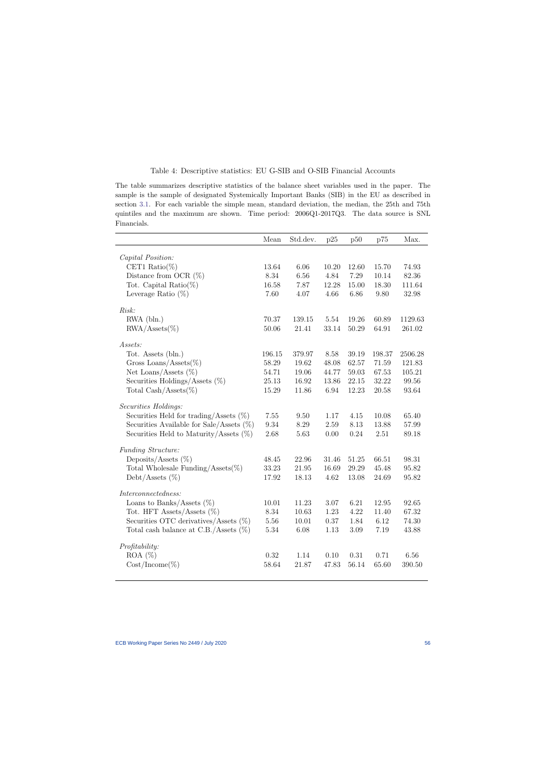#### Table 4: Descriptive statistics: EU G-SIB and O-SIB Financial Accounts

The table summarizes descriptive statistics of the balance sheet variables used in the paper. The sample is the sample of designated Systemically Important Banks (SIB) in the EU as described in section [3.1.](#page-11-0) For each variable the simple mean, standard deviation, the median, the 25th and 75th quintiles and the maximum are shown. Time period: 2006Q1-2017Q3. The data source is SNL Financials.

|                                                       | Mean     | Std.dev. | p25       | p50   | p75    | Max.    |
|-------------------------------------------------------|----------|----------|-----------|-------|--------|---------|
| Capital Position:                                     |          |          |           |       |        |         |
| CET1 Ratio(%)                                         | 13.64    | 6.06     | 10.20     | 12.60 | 15.70  | 74.93   |
| Distance from OCR $(\%)$                              | 8.34     | 6.56     | 4.84      | 7.29  | 10.14  | 82.36   |
| Tot. Capital Ratio $(\%)$                             | 16.58    | 7.87     | 12.28     | 15.00 | 18.30  | 111.64  |
| Leverage Ratio $(\%)$                                 | 7.60     | 4.07     | 4.66      | 6.86  | 9.80   | 32.98   |
| Risk:                                                 |          |          |           |       |        |         |
| $RWA$ (bln.)                                          | 70.37    | 139.15   | 5.54      | 19.26 | 60.89  | 1129.63 |
| $\text{RWA}/\text{Assets}(\%)$                        | 50.06    | 21.41    | $33.14\,$ | 50.29 | 64.91  | 261.02  |
| Assets:                                               |          |          |           |       |        |         |
| Tot. Assets (bln.)                                    | 196.15   | 379.97   | 8.58      | 39.19 | 198.37 | 2506.28 |
| Gross Loans/Assets $(\%)$                             | 58.29    | 19.62    | 48.08     | 62.57 | 71.59  | 121.83  |
| Net Loans/Assets $(\%)$                               | 54.71    | 19.06    | 44.77     | 59.03 | 67.53  | 105.21  |
| Securities Holdings/Assets $(\%)$                     | 25.13    | 16.92    | 13.86     | 22.15 | 32.22  | 99.56   |
| Total $\operatorname{Cash}/\operatorname{Assets}(\%)$ | 15.29    | 11.86    | 6.94      | 12.23 | 20.58  | 93.64   |
| Securities Holdings:                                  |          |          |           |       |        |         |
| Securities Held for trading/Assets $(\%)$             | 7.55     | 9.50     | 1.17      | 4.15  | 10.08  | 65.40   |
| Securities Available for Sale/Assets $(\%)$           | 9.34     | 8.29     | 2.59      | 8.13  | 13.88  | 57.99   |
| Securities Held to Maturity/Assets $(\%)$             | 2.68     | 5.63     | 0.00      | 0.24  | 2.51   | 89.18   |
| Funding Structure:                                    |          |          |           |       |        |         |
| Deposits/Assets $(\%)$                                | 48.45    | 22.96    | 31.46     | 51.25 | 66.51  | 98.31   |
| Total Wholesale Funding/Assets $(\%)$                 | 33.23    | 21.95    | 16.69     | 29.29 | 45.48  | 95.82   |
| Debt/Assets $(\%)$                                    | 17.92    | 18.13    | 4.62      | 13.08 | 24.69  | 95.82   |
| Interconnectedness:                                   |          |          |           |       |        |         |
| Loans to Banks/Assets $(\%)$                          | 10.01    | 11.23    | 3.07      | 6.21  | 12.95  | 92.65   |
| Tot. HFT Assets/Assets $(\%)$                         | 8.34     | 10.63    | 1.23      | 4.22  | 11.40  | 67.32   |
| Securities OTC derivatives/Assets $(\%)$              | 5.56     | 10.01    | 0.37      | 1.84  | 6.12   | 74.30   |
| Total cash balance at C.B./Assets $(\%)$              | 5.34     | 6.08     | 1.13      | 3.09  | 7.19   | 43.88   |
| Profitability:                                        |          |          |           |       |        |         |
| $ROA (\%)$                                            | $0.32\,$ | 1.14     | 0.10      | 0.31  | 0.71   | 6.56    |
| $Cost/ Income (\%)$                                   | 58.64    | 21.87    | 47.83     | 56.14 | 65.60  | 390.50  |
|                                                       |          |          |           |       |        |         |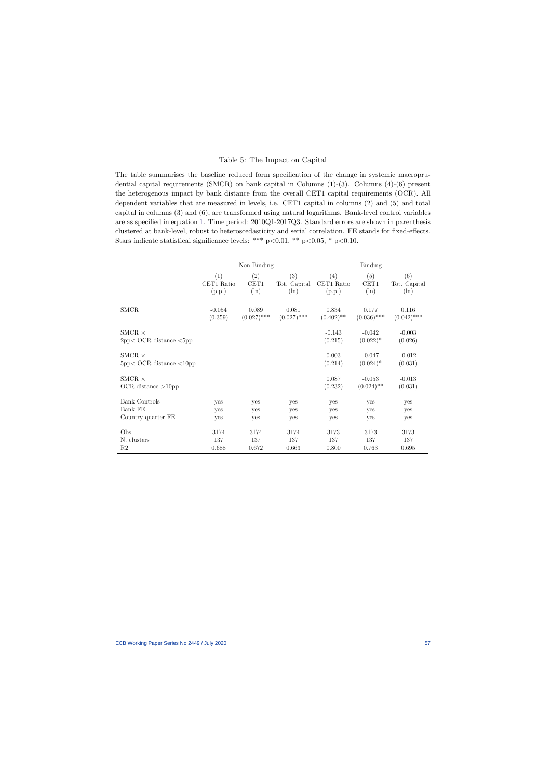#### Table 5: The Impact on Capital

The table summarises the baseline reduced form specification of the change in systemic macroprudential capital requirements (SMCR) on bank capital in Columns (1)-(3). Columns (4)-(6) present the heterogenous impact by bank distance from the overall CET1 capital requirements (OCR). All dependent variables that are measured in levels, i.e. CET1 capital in columns (2) and (5) and total capital in columns (3) and (6), are transformed using natural logarithms. Bank-level control variables are as specified in equation [1.](#page-14-1) Time period: 2010Q1-2017Q3. Standard errors are shown in parenthesis clustered at bank-level, robust to heteroscedasticity and serial correlation. FE stands for fixed-effects. Stars indicate statistical significance levels: \*\*\*  $p<0.01$ , \*\*  $p<0.05$ , \*  $p<0.10$ .

|                                                     |            | Non-Binding   |               | Binding             |                          |                     |  |
|-----------------------------------------------------|------------|---------------|---------------|---------------------|--------------------------|---------------------|--|
|                                                     | (1)        | (2)           | (3)           | (4)                 | (5)                      | (6)                 |  |
|                                                     | CET1 Ratio | CET1          | Tot. Capital  | CET1 Ratio          | CET1                     | Tot. Capital        |  |
|                                                     | (p.p.)     | $(\ln)$       | $(\ln)$       | (p.p.)              | $(\ln)$                  | $(\ln)$             |  |
| <b>SMCR</b>                                         | $-0.054$   | 0.089         | 0.081         | 0.834               | 0.177                    | 0.116               |  |
|                                                     | (0.359)    | $(0.027)$ *** | $(0.027)$ *** | $(0.402)$ **        | $(0.036)$ ***            | $(0.042)$ ***       |  |
| SMCR $\times$<br>$2pp<$ OCR distance $<$ 5pp        |            |               |               | $-0.143$<br>(0.215) | $-0.042$<br>$(0.022)^*$  | $-0.003$<br>(0.026) |  |
| SMCR $\times$<br>$5pp<$ OCR distance $\langle 10pp$ |            |               |               | 0.003<br>(0.214)    | $-0.047$<br>$(0.024)^*$  | $-0.012$<br>(0.031) |  |
| SMCR $\times$<br>$OCR$ distance $>10$ pp            |            |               |               | 0.087<br>(0.232)    | $-0.053$<br>$(0.024)$ ** | $-0.013$<br>(0.031) |  |
| Bank Controls                                       | yes        | yes           | yes           | yes                 | yes                      | yes                 |  |
| Bank FE                                             | yes        | yes           | yes           | yes                 | yes                      | yes                 |  |
| Country-quarter FE                                  | yes        | yes           | yes           | yes                 | yes                      | yes                 |  |
| Obs.                                                | 3174       | 3174          | 3174          | 3173                | 3173                     | 3173                |  |
| N. clusters                                         | 137        | 137           | 137           | 137                 | 137                      | 137                 |  |
| R <sub>2</sub>                                      | 0.688      | 0.672         | 0.663         | 0.800               | 0.763                    | 0.695               |  |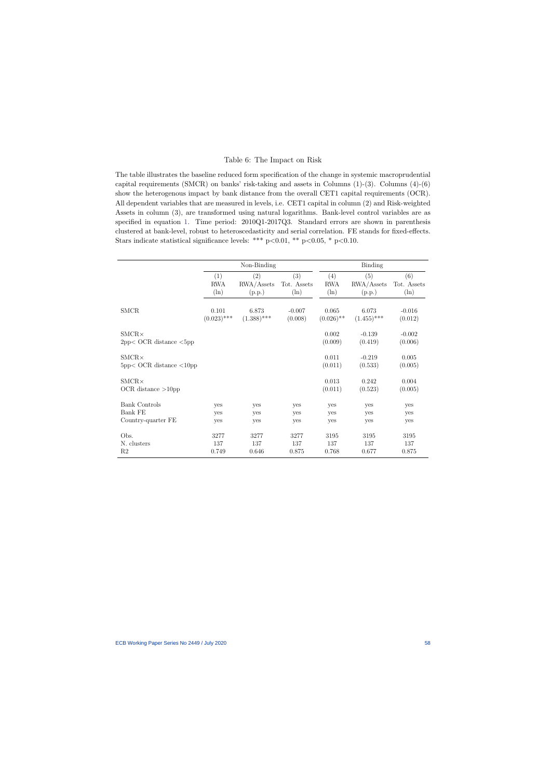#### Table 6: The Impact on Risk

The table illustrates the baseline reduced form specification of the change in systemic macroprudential capital requirements (SMCR) on banks' risk-taking and assets in Columns  $(1)-(3)$ . Columns  $(4)-(6)$ show the heterogenous impact by bank distance from the overall CET1 capital requirements (OCR). All dependent variables that are measured in levels, i.e. CET1 capital in column (2) and Risk-weighted Assets in column (3), are transformed using natural logarithms. Bank-level control variables are as specified in equation [1.](#page-14-1) Time period: 2010Q1-2017Q3. Standard errors are shown in parenthesis clustered at bank-level, robust to heteroscedasticity and serial correlation. FE stands for fixed-effects. Stars indicate statistical significance levels: \*\*\*  $p<0.01$ , \*\*  $p<0.05$ , \*  $p<0.10$ .

<span id="page-58-0"></span>

|                                               |               | Non-Binding   |             | <b>Binding</b>   |                     |                     |  |
|-----------------------------------------------|---------------|---------------|-------------|------------------|---------------------|---------------------|--|
|                                               | (1)           | (2)           | (3)         | (4)              | (5)                 | (6)                 |  |
|                                               | <b>RWA</b>    | RWA/Assets    | Tot. Assets | <b>RWA</b>       | RWA/Assets          | Tot. Assets         |  |
|                                               | $(\ln)$       | (p.p.)        | $(\ln)$     | $(\ln)$          | (p.p.)              | $(\ln)$             |  |
| <b>SMCR</b>                                   | 0.101         | 6.873         | $-0.007$    | 0.065            | 6.073               | $-0.016$            |  |
|                                               | $(0.023)$ *** | $(1.388)$ *** | (0.008)     | $(0.026)$ **     | $(1.455)$ ***       | (0.012)             |  |
| $SMCR \times$<br>$2pp<$ OCR distance $<$ 5pp  |               |               |             | 0.002<br>(0.009) | $-0.139$<br>(0.419) | $-0.002$<br>(0.006) |  |
| $SMCR \times$<br>$5pp < OCR$ distance $<10pp$ |               |               |             | 0.011<br>(0.011) | $-0.219$<br>(0.533) | 0.005<br>(0.005)    |  |
| $SMCR \times$<br>OCR distance $>10$ pp        |               |               |             | 0.013<br>(0.011) | 0.242<br>(0.523)    | 0.004<br>(0.005)    |  |
| <b>Bank Controls</b>                          | yes           | yes           | yes         | yes              | yes                 | yes                 |  |
| Bank FE                                       | yes           | yes           | yes         | yes              | yes                 | yes                 |  |
| Country-quarter FE                            | yes           | yes           | yes         | yes              | yes                 | yes                 |  |
| Obs.                                          | 3277          | 3277          | 3277        | 3195             | 3195                | 3195                |  |
| N. clusters                                   | 137           | 137           | 137         | 137              | 137                 | 137                 |  |
| R2                                            | 0.749         | 0.646         | 0.875       | 0.768            | 0.677               | 0.875               |  |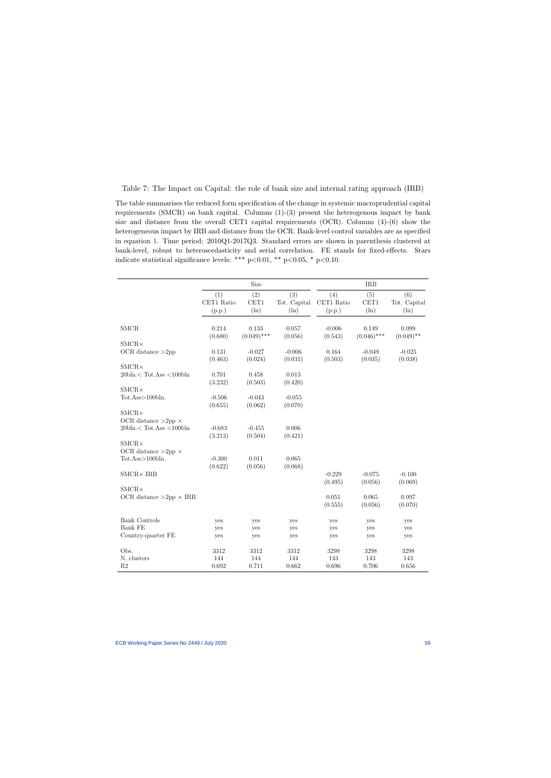Table 7: The Impact on Capital: the role of bank size and internal rating approach (IRB)

The table summarises the reduced form specification of the change in systemic macroprudential capital requirements (SMCR) on bank capital. Columns (1)-(3) present the heterogenous impact by bank size and distance from the overall CET1 capital requirements (OCR). Columns (4)-(6) show the heterogeneous impact by IRB and distance from the OCR. Bank-level control variables are as specified in equation [1.](#page-14-1) Time period: 2010Q1-2017Q3. Standard errors are shown in parenthesis clustered at bank-level, robust to heteroscedasticity and serial correlation. FE stands for fixed-effects. Stars indicate statistical significance levels: \*\*\*  $p<0.01$ , \*\*  $p<0.05$ , \*  $p<0.10$ .

|                                   |                  | Size                   |                  |                     | IRB                    |                       |
|-----------------------------------|------------------|------------------------|------------------|---------------------|------------------------|-----------------------|
|                                   | (1)              | (2)                    | (3)              | (4)                 | (5)                    | (6)                   |
|                                   | CET1 Ratio       | CET1                   | Tot. Capital     | CET1 Ratio          | CET1                   | Tot. Capital          |
|                                   | (p.p.)           | $(\ln)$                | $(\ln)$          | (p.p.)              | $(\ln)$                | $(\ln)$               |
|                                   |                  |                        |                  |                     |                        |                       |
| <b>SMCR</b>                       | 0.214<br>(0.680) | 0.133<br>$(0.049)$ *** | 0.057<br>(0.056) | $-0.006$<br>(0.543) | 0.149<br>$(0.046)$ *** | 0.099<br>$(0.049)$ ** |
| $\text{SMCR}\times$               |                  |                        |                  |                     |                        |                       |
| OCR distance $>\!\!2pp$           | 0.131            | $-0.027$               | $-0.006$         | 0.164               | $-0.049$               | $-0.025$              |
|                                   | (0.463)          | (0.024)                | (0.031)          | (0.503)             | (0.035)                | (0.038)               |
| $SMCR \times$                     |                  |                        |                  |                     |                        |                       |
| $20bh. <$ Tot.Ass $<$ 100 $bh$    | 0.701            | 0.458                  | $\,0.013\,$      |                     |                        |                       |
|                                   | (3.232)          | (0.503)                | (0.420)          |                     |                        |                       |
| $SMCR \times$                     |                  |                        |                  |                     |                        |                       |
| Tot.Ass>100bln.                   | $-0.506$         | $-0.043$               | $-0.055$         |                     |                        |                       |
|                                   | (0.655)          | (0.062)                | (0.070)          |                     |                        |                       |
| $\text{SMCR}\times$               |                  |                        |                  |                     |                        |                       |
| OCR distance $>2$ pp $\times$     |                  |                        |                  |                     |                        |                       |
| $20bh. <$ Tot.Ass $<$ 100 $bh$    | $-0.683$         | $-0.455$               | 0.006            |                     |                        |                       |
|                                   | (3.213)          | (0.504)                | (0.421)          |                     |                        |                       |
| $SMCR \times$                     |                  |                        |                  |                     |                        |                       |
| OCR distance $>2$ pp $\times$     |                  |                        |                  |                     |                        |                       |
| Tot.Ass>100bln.                   | $-0.300$         | 0.011                  | 0.065            |                     |                        |                       |
|                                   | (0.622)          | (0.056)                | (0.068)          |                     |                        |                       |
| $\text{SMCR} \times \text{IRB}$   |                  |                        |                  | $-0.229$            | $-0.075$               | $-0.100$              |
|                                   |                  |                        |                  | (0.495)             | (0.056)                | (0.069)               |
| $SMCR \times$                     |                  |                        |                  |                     |                        |                       |
| OCR distance $>2$ pp $\times$ IRB |                  |                        |                  | 0.051               | 0.065                  | 0.097                 |
|                                   |                  |                        |                  | (0.555)             | (0.056)                | (0.070)               |
| Bank Controls                     | yes              | yes                    | yes              | yes                 | yes                    | yes                   |
| Bank FE                           | yes              | yes                    | yes              | yes                 | yes                    | yes                   |
| Country-quarter FE                | yes              | yes                    | yes              | yes                 | yes                    | yes                   |
| Obs.                              | 3312             | 3312                   | $3312\,$         | 3298                | 3298                   | 3298                  |
| N. clusters                       | 144              | 144                    | 144              | 143                 | 143                    | 143                   |
| R2                                | 0.692            | 0.711                  | 0.662            | 0.696               | 0.706                  | 0.656                 |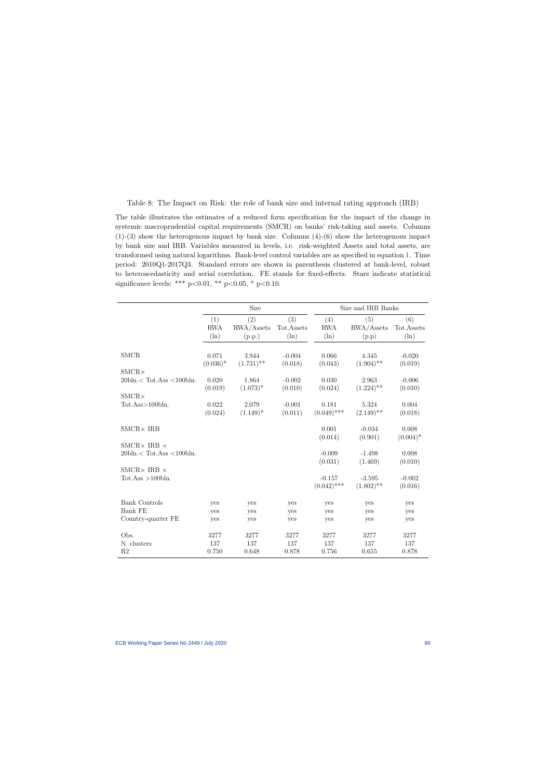Table 8: The Impact on Risk: the role of bank size and internal rating approach (IRB)

The table illustrates the estimates of a reduced form specification for the impact of the change in systemic macroprudential capital requirements (SMCR) on banks' risk-taking and assets. Columns  $(1)-(3)$  show the heterogenous impact by bank size. Columns  $(4)-(6)$  show the heterogenous impact by bank size and IRB. Variables measured in levels, i.e. risk-weighted Assets and total assets, are transformed using natural logarithms. Bank-level control variables are as specified in equation [1.](#page-14-1) Time period: 2010Q1-2017Q3. Standard errors are shown in parenthesis clustered at bank-level, robust to heteroscedasticity and serial correlation. FE stands for fixed-effects. Stars indicate statistical significance levels: \*\*\*  $p<0.01$ , \*\*  $p<0.05$ , \*  $p<0.10$ .

|                                                     |                              | Size                        |                              |                              | Size and IRB Banks         |                              |  |  |
|-----------------------------------------------------|------------------------------|-----------------------------|------------------------------|------------------------------|----------------------------|------------------------------|--|--|
|                                                     | (1)<br><b>RWA</b><br>$(\ln)$ | (2)<br>RWA/Assets<br>(p.p.) | (3)<br>Tot.Assets<br>$(\ln)$ | (4)<br><b>RWA</b><br>$(\ln)$ | (5)<br>RWA/Assets<br>(p.p) | (6)<br>Tot.Assets<br>$(\ln)$ |  |  |
| <b>SMCR</b>                                         | 0.071<br>$(0.036)^*$         | 3.944<br>$(1.731)$ **       | $-0.004$<br>(0.018)          | 0.066<br>(0.043)             | 4.345<br>$(1.904)$ **      | $-0.020$<br>(0.019)          |  |  |
| $SMCR \times$                                       |                              |                             |                              |                              |                            |                              |  |  |
| $20 \text{bh} <$ Tot.Ass $\lt 100 \text{bh}$ .      | 0.020                        | 1.864                       | $-0.002$                     | 0.030                        | 2.963                      | $-0.006$                     |  |  |
|                                                     | (0.019)                      | $(1.073)^*$                 | (0.010)                      | (0.024)                      | $(1.224)$ **               | (0.010)                      |  |  |
| $SMCR \times$                                       |                              |                             |                              |                              |                            |                              |  |  |
| Tot.Ass>100bln.                                     | 0.022<br>(0.024)             | 2.079<br>$(1.149)^*$        | $-0.001$<br>(0.011)          | 0.181<br>$(0.049)$ ***       | 5.324<br>$(2.149)$ **      | 0.004<br>(0.018)             |  |  |
|                                                     |                              |                             |                              |                              |                            |                              |  |  |
| $\text{SMCR}\times\,\text{IRB}$                     |                              |                             |                              | 0.001                        | $-0.034$                   | 0.008                        |  |  |
|                                                     |                              |                             |                              | (0.014)                      | (0.901)                    | $(0.004)*$                   |  |  |
| SMCR $\times$ IRB $\times$                          |                              |                             |                              |                              |                            |                              |  |  |
| $20 \text{bh} <$ Tot.Ass < 100 $\text{bh}$ .        |                              |                             |                              | $-0.009$                     | $-1.498$                   | 0.008                        |  |  |
|                                                     |                              |                             |                              | (0.031)                      | (1.469)                    | (0.010)                      |  |  |
| SMCR $\times$ IRB $\times$<br>$Tot. Ass > 100$ bln. |                              |                             |                              | $-0.157$                     | $-3.595$                   | $-0.002$                     |  |  |
|                                                     |                              |                             |                              | $(0.042)$ ***                | $(1.802)$ **               | (0.016)                      |  |  |
|                                                     |                              |                             |                              |                              |                            |                              |  |  |
| <b>Bank Controls</b>                                | yes                          | yes                         | yes                          | yes                          | yes                        | yes                          |  |  |
| <b>Bank FE</b>                                      | yes                          | yes                         | yes                          | yes                          | yes                        | yes                          |  |  |
| Country-quarter FE                                  | yes                          | yes                         | yes                          | yes                          | yes                        | yes                          |  |  |
| Obs.                                                | 3277                         | 3277                        | 3277                         | 3277                         | 3277                       | 3277                         |  |  |
| N. clusters                                         | 137                          | 137                         | 137                          | 137                          | 137                        | 137                          |  |  |
| R <sub>2</sub>                                      | 0.750                        | 0.648                       | 0.878                        | 0.756                        | 0.655                      | 0.878                        |  |  |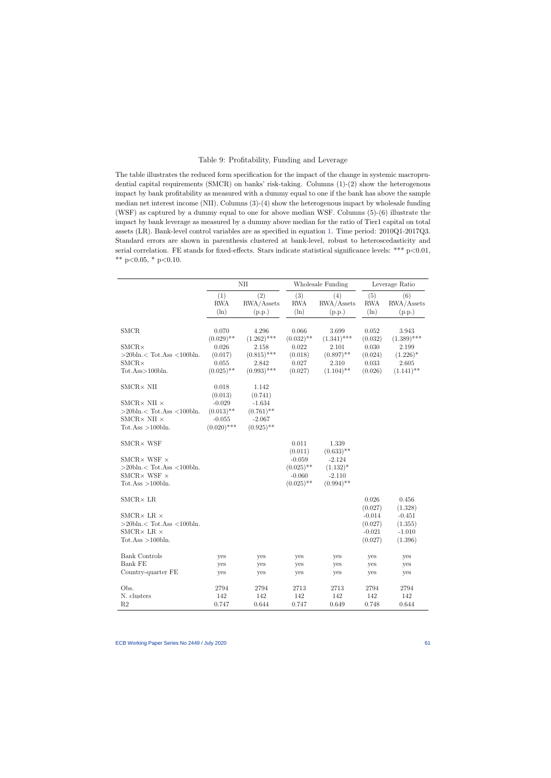#### Table 9: Profitability, Funding and Leverage

The table illustrates the reduced form specification for the impact of the change in systemic macroprudential capital requirements (SMCR) on banks' risk-taking. Columns (1)-(2) show the heterogenous impact by bank profitability as measured with a dummy equal to one if the bank has above the sample median net interest income (NII). Columns (3)-(4) show the heterogenous impact by wholesale funding (WSF) as captured by a dummy equal to one for above median WSF. Columns (5)-(6) illustrate the impact by bank leverage as measured by a dummy above median for the ratio of Tier1 capital on total assets (LR). Bank-level control variables are as specified in equation [1.](#page-14-1) Time period: 2010Q1-2017Q3. Standard errors are shown in parenthesis clustered at bank-level, robust to heteroscedasticity and serial correlation. FE stands for fixed-effects. Stars indicate statistical significance levels: \*\*\* p<0.01, \*\*  $p<0.05$ , \*  $p<0.10$ .

|                                                                                                       |                                                       | NII                                                  |                                                      | Wholesale Funding                                   |                                            | Leverage Ratio                             |
|-------------------------------------------------------------------------------------------------------|-------------------------------------------------------|------------------------------------------------------|------------------------------------------------------|-----------------------------------------------------|--------------------------------------------|--------------------------------------------|
|                                                                                                       | (1)<br><b>RWA</b><br>$(\ln)$                          | (2)<br>RWA/Assets<br>(p.p.)                          | (3)<br><b>RWA</b><br>$(\ln)$                         | (4)<br>RWA/Assets<br>(p.p.)                         | (5)<br>$\operatorname{RWA}$<br>$(\ln)$     | (6)<br>RWA/Assets<br>(p.p.)                |
| <b>SMCR</b>                                                                                           | 0.070<br>$(0.029)$ **                                 | 4.296<br>$(1.262)$ ***                               | 0.066<br>$(0.032)$ **                                | 3.699<br>$(1.341)$ ***                              | $0.052\,$<br>(0.032)                       | 3.943<br>$(1.389)$ ***                     |
| $SMCR \times$<br>$>$ 20bln. $<$ Tot.Ass $<$ 100bln.<br>$SMCR \times$                                  | 0.026<br>(0.017)<br>0.055                             | 2.158<br>$(0.815)$ ***<br>2.842                      | $0.022\,$<br>(0.018)<br>0.027                        | 2.101<br>$(0.897)$ **<br>2.310                      | $0.030\,$<br>(0.024)<br>0.033              | 2.199<br>$(1.226)^*$<br>2.605              |
| Tot.Ass>100bln.                                                                                       | $(0.025)$ **                                          | $(0.993)$ ***                                        | (0.027)                                              | $(1.104)$ **                                        | (0.026)                                    | $(1.141)$ **                               |
| $\text{SMCR}\times$ NII                                                                               | 0.018<br>(0.013)                                      | 1.142<br>(0.741)                                     |                                                      |                                                     |                                            |                                            |
| SMCR× NII $\times$<br>$>$ 20bln. $<$ Tot.Ass $<$ 100bln.<br>SMCR× NII $\times$<br>Tot.Ass $>100$ bln. | $-0.029$<br>$(0.013)$ **<br>$-0.055$<br>$(0.020)$ *** | $-1.634$<br>$(0.761)$ **<br>$-2.067$<br>$(0.925)$ ** |                                                      |                                                     |                                            |                                            |
| $SMCR \times WSF$                                                                                     |                                                       |                                                      | 0.011<br>(0.011)                                     | 1.339<br>$(0.633)$ **                               |                                            |                                            |
| SMCR× WSF $\times$<br>$>$ 20bln. $<$ Tot.Ass $<$ 100bln.<br>SMCR× WSF $\times$<br>Tot.Ass $>100$ bln. |                                                       |                                                      | $-0.059$<br>$(0.025)$ **<br>$-0.060$<br>$(0.025)$ ** | $-2.124$<br>$(1.132)^*$<br>$-2.110$<br>$(0.994)$ ** |                                            |                                            |
| $\text{SMCR} \times \text{LR}$                                                                        |                                                       |                                                      |                                                      |                                                     | 0.026<br>(0.027)                           | 0.456<br>(1.328)                           |
| SMCR× LR $\times$<br>$>$ 20bln. $<$ Tot.Ass $<$ 100bln.<br>SMCR× LR $\times$<br>Tot.Ass $>100$ bln.   |                                                       |                                                      |                                                      |                                                     | $-0.014$<br>(0.027)<br>$-0.021$<br>(0.027) | $-0.451$<br>(1.355)<br>$-1.010$<br>(1.396) |
| <b>Bank Controls</b><br><b>Bank FE</b>                                                                | yes<br>yes                                            | yes<br>yes                                           | yes<br>yes                                           | yes<br>yes                                          | yes<br>yes                                 | yes<br>yes                                 |
| Country-quarter FE                                                                                    | yes                                                   | yes                                                  | yes                                                  | yes                                                 | yes                                        | yes                                        |
| Obs.<br>N. clusters<br>R2                                                                             | 2794<br>142<br>0.747                                  | 2794<br>142<br>0.644                                 | 2713<br>142<br>0.747                                 | 2713<br>142<br>0.649                                | 2794<br>142<br>0.748                       | 2794<br>142<br>0.644                       |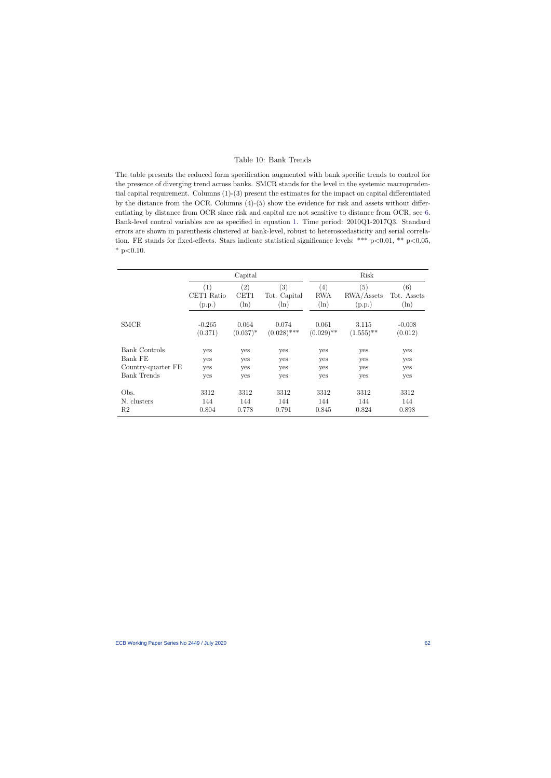#### Table 10: Bank Trends

The table presents the reduced form specification augmented with bank specific trends to control for the presence of diverging trend across banks. SMCR stands for the level in the systemic macroprudential capital requirement. Columns (1)-(3) present the estimates for the impact on capital differentiated by the distance from the OCR. Columns (4)-(5) show the evidence for risk and assets without differentiating by distance from OCR since risk and capital are not sensitive to distance from OCR, see [6.](#page-58-0) Bank-level control variables are as specified in equation [1.](#page-14-1) Time period: 2010Q1-2017Q3. Standard errors are shown in parenthesis clustered at bank-level, robust to heteroscedasticity and serial correlation. FE stands for fixed-effects. Stars indicate statistical significance levels: \*\*\*  $p<0.01$ , \*\*  $p<0.05$ ,  $*$  p<0.10.

|                    |                             | Capital                |                                |                              | Risk                        |                               |  |  |
|--------------------|-----------------------------|------------------------|--------------------------------|------------------------------|-----------------------------|-------------------------------|--|--|
|                    | (1)<br>CET1 Ratio<br>(p.p.) | (2)<br>CET1<br>$(\ln)$ | (3)<br>Tot. Capital<br>$(\ln)$ | (4)<br><b>RWA</b><br>$(\ln)$ | (5)<br>RWA/Assets<br>(p.p.) | (6)<br>Tot. Assets<br>$(\ln)$ |  |  |
| <b>SMCR</b>        | $-0.265$<br>(0.371)         | 0.064<br>$(0.037)^*$   | 0.074<br>$(0.028)$ ***         | 0.061<br>$(0.029)$ **        | 3.115<br>$(1.555)$ **       | $-0.008$<br>(0.012)           |  |  |
| Bank Controls      | yes                         | yes                    | yes                            | yes                          | yes                         | yes                           |  |  |
| Bank FE            | yes                         | yes                    | yes                            | yes                          | yes                         | yes                           |  |  |
| Country-quarter FE | yes                         | yes                    | yes                            | yes                          | yes                         | yes                           |  |  |
| <b>Bank Trends</b> | yes                         | yes                    | yes                            | yes                          | yes                         | yes                           |  |  |
| Obs.               | 3312                        | 3312                   | 3312                           | 3312                         | 3312                        | 3312                          |  |  |
| N. clusters        | 144                         | 144                    | 144                            | 144                          | 144                         | 144                           |  |  |
| R <sub>2</sub>     | 0.804                       | 0.778                  | 0.791                          | 0.845                        | 0.824                       | 0.898                         |  |  |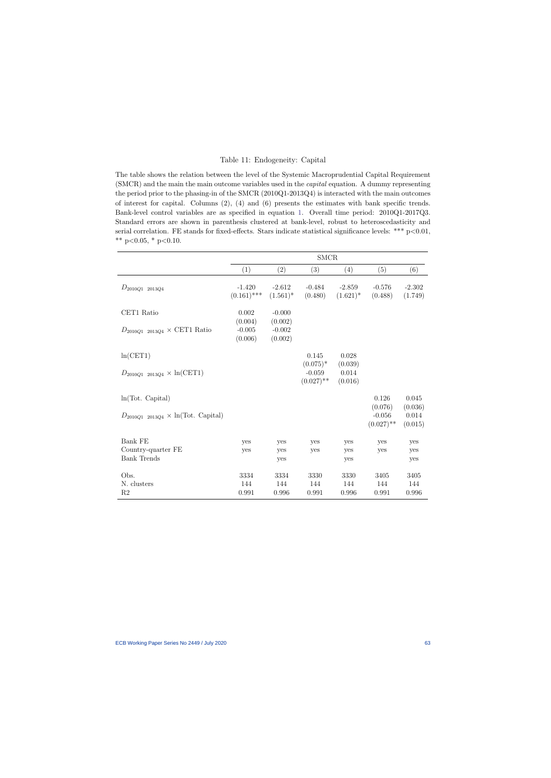#### Table 11: Endogeneity: Capital

The table shows the relation between the level of the Systemic Macroprudential Capital Requirement (SMCR) and the main the main outcome variables used in the capital equation. A dummy representing the period prior to the phasing-in of the SMCR (2010Q1-2013Q4) is interacted with the main outcomes of interest for capital. Columns (2), (4) and (6) presents the estimates with bank specific trends. Bank-level control variables are as specified in equation [1.](#page-14-1) Overall time period: 2010Q1-2017Q3. Standard errors are shown in parenthesis clustered at bank-level, robust to heteroscedasticity and serial correlation. FE stands for fixed-effects. Stars indicate statistical significance levels: \*\*\* p<0.01, \*\*  $p<0.05$ , \*  $p<0.10$ .

<span id="page-63-0"></span>

|                                               |                                |                                | <b>SMCR</b>                             |                             |                                     |                             |
|-----------------------------------------------|--------------------------------|--------------------------------|-----------------------------------------|-----------------------------|-------------------------------------|-----------------------------|
|                                               | (1)                            | (2)                            | (3)                                     | (4)                         | (5)                                 | (6)                         |
| $D_{2010Q1}$ 2013Q4                           | $-1.420$<br>$(0.161)$ ***      | $-2.612$<br>$(1.561)^*$        | $-0.484$<br>(0.480)                     | $-2.859$<br>$(1.621)^*$     | $-0.576$<br>(0.488)                 | $-2.302$<br>(1.749)         |
| CET1 Ratio                                    | 0.002                          | $-0.000$                       |                                         |                             |                                     |                             |
| $D_{2010Q1}$ 2013 $Q_4 \times$ CET1 Ratio     | (0.004)<br>$-0.005$<br>(0.006) | (0.002)<br>$-0.002$<br>(0.002) |                                         |                             |                                     |                             |
| ln(CET1)                                      |                                |                                | 0.145                                   | 0.028                       |                                     |                             |
| $D_{2010Q1}$ 2013Q4 $\times$ ln(CET1)         |                                |                                | $(0.075)^*$<br>$-0.059$<br>$(0.027)$ ** | (0.039)<br>0.014<br>(0.016) |                                     |                             |
| ln(Tot. Capital)                              |                                |                                |                                         |                             | 0.126                               | 0.045                       |
| $D_{2010Q1}$ 2013Q4 $\times$ ln(Tot. Capital) |                                |                                |                                         |                             | (0.076)<br>$-0.056$<br>$(0.027)$ ** | (0.036)<br>0.014<br>(0.015) |
| Bank FE                                       | yes                            | yes                            | yes                                     | yes                         | yes                                 | yes                         |
| Country-quarter FE                            | yes                            | yes                            | yes                                     | yes                         | yes                                 | yes                         |
| <b>Bank Trends</b>                            |                                | yes                            |                                         | yes                         |                                     | yes                         |
| Obs.                                          | 3334                           | 3334                           | 3330                                    | 3330                        | 3405                                | 3405                        |
| N. clusters<br>R <sub>2</sub>                 | 144<br>0.991                   | 144<br>0.996                   | 144<br>0.991                            | 144<br>0.996                | 144<br>0.991                        | 144<br>0.996                |
|                                               |                                |                                |                                         |                             |                                     |                             |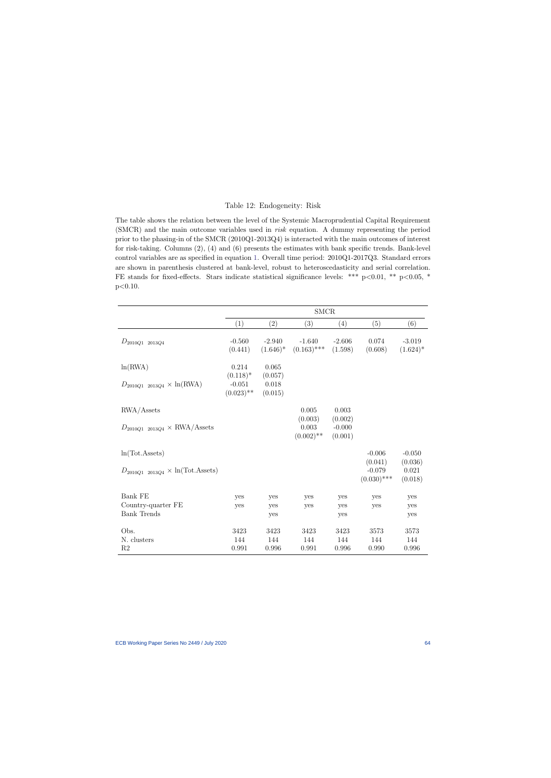#### Table 12: Endogeneity: Risk

The table shows the relation between the level of the Systemic Macroprudential Capital Requirement (SMCR) and the main outcome variables used in risk equation. A dummy representing the period prior to the phasing-in of the SMCR (2010Q1-2013Q4) is interacted with the main outcomes of interest for risk-taking. Columns (2), (4) and (6) presents the estimates with bank specific trends. Bank-level control variables are as specified in equation [1.](#page-14-1) Overall time period: 2010Q1-2017Q3. Standard errors are shown in parenthesis clustered at bank-level, robust to heteroscedasticity and serial correlation. FE stands for fixed-effects. Stars indicate statistical significance levels: \*\*\* p<0.01, \*\* p<0.05, \*  $p<0.10$ .

<span id="page-64-0"></span>

|                                                              |                                         |                             | $\operatorname{SMCR}$            |                                |                                      |                             |
|--------------------------------------------------------------|-----------------------------------------|-----------------------------|----------------------------------|--------------------------------|--------------------------------------|-----------------------------|
|                                                              | (1)                                     | (2)                         | (3)                              | (4)                            | (5)                                  | (6)                         |
| $D_{2010Q1}$ 2013Q4                                          | $-0.560$<br>(0.441)                     | $-2.940$<br>$(1.646)^*$     | $-1.640$<br>$(0.163)$ ***        | $-2.606$<br>(1.598)            | 0.074<br>(0.608)                     | $-3.019$<br>$(1.624)^*$     |
| ln(RWA)                                                      | 0.214                                   | 0.065                       |                                  |                                |                                      |                             |
| $D_{2010Q1}$ 2013 $Q_4 \times \ln(\text{RWA})$               | $(0.118)^*$<br>$-0.051$<br>$(0.023)$ ** | (0.057)<br>0.018<br>(0.015) |                                  |                                |                                      |                             |
| $\text{RWA}/\text{Assets}$                                   |                                         |                             | 0.005                            | 0.003                          |                                      |                             |
| $D_{2010Q1}$ 2013 $Q_4 \times$ RWA/Assets                    |                                         |                             | (0.003)<br>0.003<br>$(0.002)$ ** | (0.002)<br>$-0.000$<br>(0.001) |                                      |                             |
| ln(Tot. Assets)                                              |                                         |                             |                                  |                                | $-0.006$                             | $-0.050$                    |
| $D_{2010Q1}$ 2013 $Q_4 \times \ln(\text{Tot}.\text{Assets})$ |                                         |                             |                                  |                                | (0.041)<br>$-0.079$<br>$(0.030)$ *** | (0.036)<br>0.021<br>(0.018) |
| <b>Bank FE</b>                                               | yes                                     | yes                         | yes                              | yes                            | yes                                  | yes                         |
| Country-quarter FE<br><b>Bank Trends</b>                     | yes                                     | yes<br>yes                  | yes                              | yes<br>yes                     | yes                                  | yes<br>yes                  |
| Obs.                                                         | 3423                                    | 3423                        | 3423                             | 3423                           | 3573                                 | 3573                        |
| N. clusters<br>R <sub>2</sub>                                | 144<br>0.991                            | 144<br>0.996                | 144<br>0.991                     | 144<br>0.996                   | 144<br>0.990                         | 144<br>0.996                |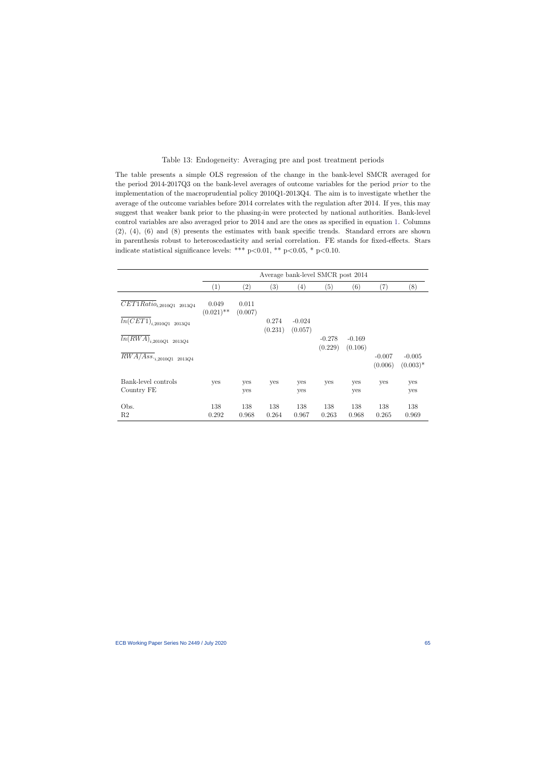#### Table 13: Endogeneity: Averaging pre and post treatment periods

The table presents a simple OLS regression of the change in the bank-level SMCR averaged for the period 2014-2017Q3 on the bank-level averages of outcome variables for the period prior to the implementation of the macroprudential policy 2010Q1-2013Q4. The aim is to investigate whether the average of the outcome variables before 2014 correlates with the regulation after 2014. If yes, this may suggest that weaker bank prior to the phasing-in were protected by national authorities. Bank-level control variables are also averaged prior to 2014 and are the ones as specified in equation [1.](#page-14-1) Columns (2), (4), (6) and (8) presents the estimates with bank specific trends. Standard errors are shown in parenthesis robust to heteroscedasticity and serial correlation. FE stands for fixed-effects. Stars indicate statistical significance levels: \*\*\*  $p<0.01$ , \*\*  $p<0.05$ , \*  $p<0.10$ .

<span id="page-65-0"></span>

|                                                                                     |                       |                   | Average bank-level SMCR post 2014 |                     |                     |                     |                     |                        |
|-------------------------------------------------------------------------------------|-----------------------|-------------------|-----------------------------------|---------------------|---------------------|---------------------|---------------------|------------------------|
|                                                                                     | (1)                   | $\left( 2\right)$ | $\left( 3\right)$                 | $\left( 4\right)$   | (5)                 | (6)                 | (7)                 | (8)                    |
| $\overline{CET1Rati}$ <i>o</i> <sub><i>i</i></sub> ,2010 <i>Q</i> 1 2013 <i>Q</i> 4 | 0.049<br>$(0.021)$ ** | 0.011<br>(0.007)  |                                   |                     |                     |                     |                     |                        |
| $\overline{ln(CET1)}_{i,2010Q1}$ 2013<br>Q4                                         |                       |                   | 0.274<br>(0.231)                  | $-0.024$<br>(0.057) |                     |                     |                     |                        |
| $\overline{ln(RWA)}_{i,2010Q1}$ 2013Q4                                              |                       |                   |                                   |                     | $-0.278$<br>(0.229) | $-0.169$<br>(0.106) |                     |                        |
| $\overline{RWA/}Ass._{i, 2010Q1}$ 2013<br>Q4                                        |                       |                   |                                   |                     |                     |                     | $-0.007$<br>(0.006) | $-0.005$<br>$(0.003)*$ |
| Bank-level controls<br>Country FE                                                   | yes                   | yes<br>yes        | yes                               | yes<br>yes          | yes                 | yes<br>yes          | yes                 | yes<br>yes             |
| Obs.<br>R2                                                                          | 138<br>0.292          | 138<br>0.968      | 138<br>0.264                      | 138<br>0.967        | 138<br>0.263        | 138<br>0.968        | 138<br>0.265        | 138<br>0.969           |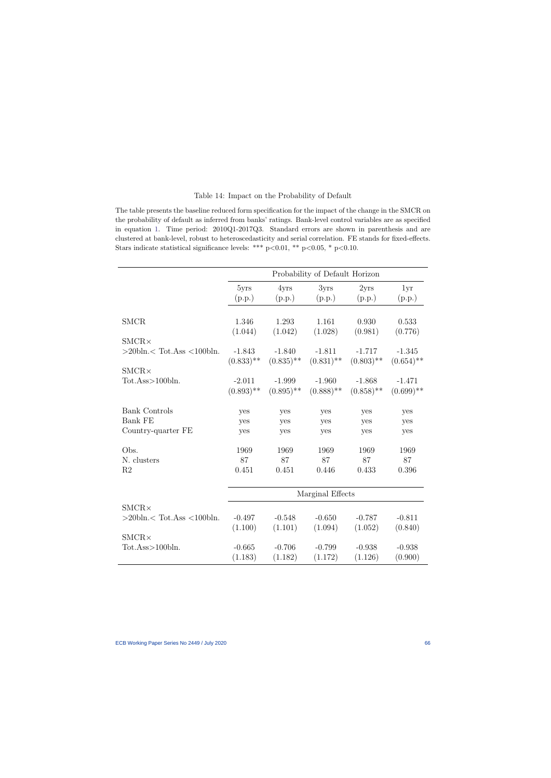#### Table 14: Impact on the Probability of Default

The table presents the baseline reduced form specification for the impact of the change in the SMCR on the probability of default as inferred from banks' ratings. Bank-level control variables are as specified in equation [1.](#page-14-1) Time period: 2010Q1-2017Q3. Standard errors are shown in parenthesis and are clustered at bank-level, robust to heteroscedasticity and serial correlation. FE stands for fixed-effects. Stars indicate statistical significance levels: \*\*\* p<0.01, \*\* p<0.05, \* p<0.10.

<span id="page-66-0"></span>

|                                    | Probability of Default Horizon |              |              |              |              |  |  |  |
|------------------------------------|--------------------------------|--------------|--------------|--------------|--------------|--|--|--|
|                                    | 5yrs                           | 4yrs         | 3yrs         | 2yrs         | 1yr          |  |  |  |
|                                    | (p.p.)                         | (p.p.)       | (p.p.)       | (p.p.)       | (p.p.)       |  |  |  |
|                                    |                                |              |              |              |              |  |  |  |
| <b>SMCR</b>                        | 1.346                          | 1.293        | 1.161        | 0.930        | 0.533        |  |  |  |
|                                    | (1.044)                        | (1.042)      | (1.028)      | (0.981)      | (0.776)      |  |  |  |
| $SMCR \times$                      |                                |              |              |              |              |  |  |  |
| $>$ 20bln. $<$ Tot.Ass $<$ 100bln. | $-1.843$                       | $-1.840$     | $-1.811$     | $-1.717$     | $-1.345$     |  |  |  |
|                                    | $(0.833)$ **                   | $(0.835)$ ** | $(0.831)$ ** | $(0.803)$ ** | $(0.654)$ ** |  |  |  |
| $SMCR \times$                      |                                |              |              |              |              |  |  |  |
| Tot.Ass>100bln.                    | $-2.011$                       | $-1.999$     | $-1.960$     | $-1.868$     | $-1.471$     |  |  |  |
|                                    | $(0.893)$ **                   | $(0.895)$ ** | $(0.888)$ ** | $(0.858)$ ** | $(0.699)$ ** |  |  |  |
|                                    |                                |              |              |              |              |  |  |  |
| <b>Bank Controls</b>               | yes                            | yes          | yes          | yes          | yes          |  |  |  |
| <b>Bank FE</b>                     | yes                            | yes          | yes          | yes          | yes          |  |  |  |
| Country-quarter FE                 | yes                            | yes          | yes          | yes          | yes          |  |  |  |
| Obs.                               | 1969                           | 1969         | 1969         | 1969         | 1969         |  |  |  |
| N. clusters                        | 87                             | 87           | 87           | 87           | 87           |  |  |  |
| R <sub>2</sub>                     | 0.451                          | 0.451        | 0.446        | 0.433        | 0.396        |  |  |  |
|                                    |                                |              |              |              |              |  |  |  |
|                                    | Marginal Effects               |              |              |              |              |  |  |  |
| $SMCR \times$                      |                                |              |              |              |              |  |  |  |
| $>$ 20bln. $<$ Tot.Ass $<$ 100bln. | $-0.497$                       | $-0.548$     | $-0.650$     | $-0.787$     | $-0.811$     |  |  |  |
|                                    | (1.100)                        | (1.101)      | (1.094)      | (1.052)      | (0.840)      |  |  |  |
| $SMCR \times$                      |                                |              |              |              |              |  |  |  |
| Tot.Ass>100bln.                    | $-0.665$                       | $-0.706$     | $-0.799$     | $-0.938$     | $-0.938$     |  |  |  |
|                                    | (1.183)                        | (1.182)      | (1.172)      | (1.126)      | (0.900)      |  |  |  |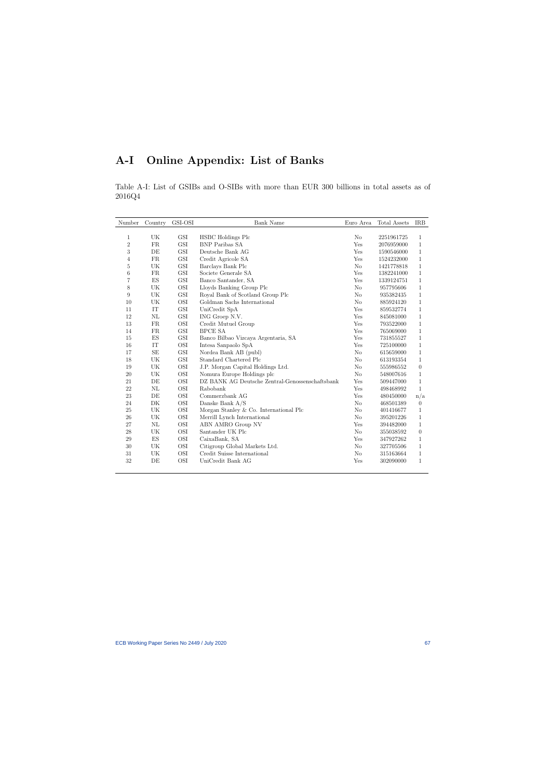# A-I Online Appendix: List of Banks

Table A-I: List of GSIBs and O-SIBs with more than EUR 300 billions in total assets as of 2016Q4

| Number         | Country                  | GSI-OSI              | <b>Bank Name</b>                                | Euro Area      | Total Assets | <b>IRB</b>     |
|----------------|--------------------------|----------------------|-------------------------------------------------|----------------|--------------|----------------|
| 1              | UK                       | GSI                  | <b>HSBC</b> Holdings Plc                        | No             | 2251961725   | 1              |
| $\overline{2}$ | FR                       | GSI                  | <b>BNP</b> Paribas SA                           | Yes            | 2076959000   | 1              |
| 3              | DE                       | GSI                  | Deutsche Bank AG                                | Yes            | 1590546000   | $\mathbf 1$    |
| $\overline{4}$ | FR                       | $\operatorname{GSI}$ | Credit Agricole SA                              | Yes            | 1524232000   | 1              |
| 5              | UK                       | GSI                  | Barclays Bank Plc                               | No             | 1421778818   | $\mathbf{1}$   |
| 6              | FR                       | $\operatorname{GSI}$ | Societe Generale SA                             | Yes            | 1382241000   | $\mathbf{1}$   |
| $\overline{7}$ | $\mathop{\hbox{\rm ES}}$ | GSI                  | Banco Santander, SA                             | Yes            | 1339124751   | $\mathbf{1}$   |
| 8              | UK                       | OSI                  | Lloyds Banking Group Plc                        | N <sub>o</sub> | 957795606    | $\mathbf{1}$   |
| 9              | UK                       | GSI                  | Royal Bank of Scotland Group Plc                | No             | 935382435    | $\mathbf{1}$   |
| 10             | UK                       | OSI                  | Goldman Sachs International                     | N <sub>o</sub> | 885924120    | $\mathbf{1}$   |
| 11             | $\operatorname{IT}$      | $\operatorname{GSI}$ | UniCredit SpA                                   | Yes            | 859532774    | $\mathbf{1}$   |
| 12             | NL                       | $\operatorname{GSI}$ | ING Groep N.V.                                  | Yes            | 845081000    | $\mathbf{1}$   |
| 13             | FR                       | OSI                  | Credit Mutuel Group                             | Yes            | 793522000    | $\mathbf{1}$   |
| 14             | FR                       | $\operatorname{GSI}$ | <b>BPCE SA</b>                                  | Yes            | 765069000    | $\mathbf{1}$   |
| 15             | $\mathop{\hbox{\rm ES}}$ | $\operatorname{GSI}$ | Banco Bilbao Vizcaya Argentaria, SA             | Yes            | 731855527    | $\mathbf{1}$   |
| 16             | $\operatorname{IT}$      | OSI                  | Intesa Sanpaolo SpA                             | Yes            | 725100000    | $\mathbf{1}$   |
| 17             | <b>SE</b>                | $\operatorname{GSI}$ | Nordea Bank AB (publ)                           | N <sub>o</sub> | 615659000    | $\mathbf{1}$   |
| 18             | UK                       | $\operatorname{GSI}$ | Standard Chartered Plc                          | $\rm No$       | 613193354    | $\mathbf{1}$   |
| 19             | UK                       | OSI                  | J.P. Morgan Capital Holdings Ltd.               | N <sub>o</sub> | 555986552    | $\theta$       |
| 20             | UK                       | OSI                  | Nomura Europe Holdings plc                      | $\rm No$       | 548007616    | $\mathbf{1}$   |
| 21             | DE                       | OSI                  | DZ BANK AG Deutsche Zentral-Genossenschaftsbank | Yes            | 509447000    | 1              |
| 22             | NL                       | OSI                  | Rabobank                                        | Yes            | 498468992    | $\mathbf{1}$   |
| 23             | DE                       | <b>OSI</b>           | Commerzbank AG                                  | Yes            | 480450000    | n/a            |
| 24             | DK                       | OSI                  | Danske Bank $A/S$                               | N <sub>o</sub> | 468501389    | $\overline{0}$ |
| 25             | UK                       | OSI                  | Morgan Stanley & Co. International Plc          | No             | 401416677    | 1              |
| 26             | UK                       | OSI                  | Merrill Lynch International                     | N <sub>o</sub> | 395201226    | $\mathbf 1$    |
| 27             | NL                       | OSI                  | ABN AMRO Group NV                               | Yes            | 394482000    | $\mathbf{1}$   |
| 28             | UK                       | OSI                  | Santander UK Plc                                | N <sub>o</sub> | 355038592    | $\theta$       |
| 29             | $\mathop{\hbox{\rm ES}}$ | OSI                  | CaixaBank, SA                                   | Yes            | 347927262    | 1              |
| 30             | UK                       | OSI                  | Citigroup Global Markets Ltd.                   | $\rm No$       | 327705506    | $\mathbf{1}$   |
| 31             | UK                       | OSI                  | Credit Suisse International                     | N <sub>o</sub> | 315163664    | 1              |
| 32             | DE                       | OSI                  | UniCredit Bank AG                               | Yes            | 302090000    | $\mathbf{1}$   |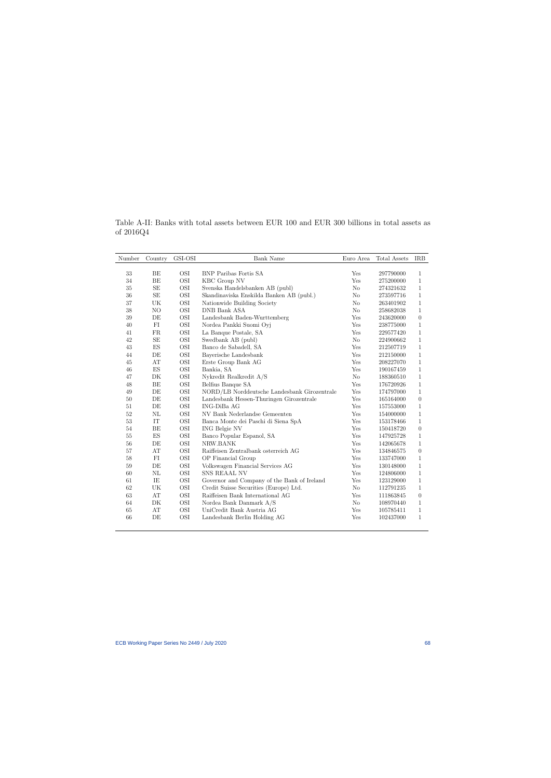| Number       | Country                  | GSI-OSI           | Bank Name                                    | Euro Area      | Total Assets | <b>IRB</b>       |
|--------------|--------------------------|-------------------|----------------------------------------------|----------------|--------------|------------------|
|              |                          |                   |                                              |                |              |                  |
| 33<br>$34\,$ | BE<br>BE                 | OSI<br><b>OSI</b> | <b>BNP</b> Paribas Fortis SA                 | Yes<br>Yes     | 297790000    | $\mathbf{1}$     |
|              |                          |                   | KBC Group NV                                 |                | 275200000    | $\mathbf{1}$     |
| 35           | SE                       | OSI               | Svenska Handelsbanken AB (publ)              | N <sub>o</sub> | 274321632    | $\mathbf{1}$     |
| 36           | $\operatorname{SE}$      | OSI               | Skandinaviska Enskilda Banken AB (publ.)     | N <sub>o</sub> | 273597716    | $\mathbf{1}$     |
| 37           | UK                       | OSI               | Nationwide Building Society                  | N <sub>o</sub> | 263401902    | $\mathbf{1}$     |
| 38           | NO                       | <b>OSI</b>        | DNB Bank ASA                                 | N <sub>o</sub> | 258682038    | $\mathbf{1}$     |
| $39\,$       | DE                       | OSI               | Landesbank Baden-Wurttemberg                 | Yes            | 243620000    | $\boldsymbol{0}$ |
| $40\,$       | ${\rm FI}$               | OSI               | Nordea Pankki Suomi Oyj                      | Yes            | 238775000    | $\mathbf{1}$     |
| 41           | FR                       | OSI               | La Banque Postale, SA                        | Yes            | 229577420    | $\mathbf{1}$     |
| 42           | $\operatorname{SE}$      | OSI               | Swedbank AB (publ)                           | $\rm No$       | 224900662    | $\mathbf{1}$     |
| 43           | $\mathop{\hbox{\rm ES}}$ | OSI               | Banco de Sabadell, SA                        | Yes            | 212507719    | $\mathbf{1}$     |
| 44           | DE                       | OSI               | Bayerische Landesbank                        | Yes            | 212150000    | $\mathbf{1}$     |
| 45           | $\mathbf{A}\mathbf{T}$   | OSI               | Erste Group Bank AG                          | Yes            | 208227070    | $\mathbf{1}$     |
| 46           | $\mathop{\hbox{\rm ES}}$ | OSI               | Bankia, SA                                   | Yes            | 190167459    | $\mathbf{1}$     |
| 47           | DK                       | OSI               | Nykredit Realkredit A/S                      | $\rm No$       | 188360510    | $\mathbf{1}$     |
| 48           | BE                       | OSI               | Belfius Banque SA                            | Yes            | 176720926    | $\mathbf{1}$     |
| 49           | DE                       | OSI               | NORD/LB Norddeutsche Landesbank Girozentrale | Yes            | 174797000    | $\mathbf{1}$     |
| $50\,$       | DE                       | OSI               | Landesbank Hessen-Thuringen Girozentrale     | Yes            | 165164000    | $\theta$         |
| 51           | DE                       | OSI               | $ING-DiBaAG$                                 | Yes            | 157553000    | $\mathbf{1}$     |
| 52           | NL                       | <b>OSI</b>        | NV Bank Nederlandse Gemeenten                | Yes            | 154000000    | $\mathbf{1}$     |
| $53\,$       | IT                       | OSI               | Banca Monte dei Paschi di Siena SpA          | Yes            | 153178466    | 1                |
| 54           | BE                       | OSI               | <b>ING Belgie NV</b>                         | Yes            | 150418720    | $\boldsymbol{0}$ |
| 55           | $\mathop{\hbox{\rm ES}}$ | OSI               | Banco Popular Espanol, SA                    | Yes            | 147925728    | $\mathbf{1}$     |
| 56           | DE                       | OSI               | NRW.BANK                                     | Yes            | 142065678    | $\mathbf{1}$     |
| 57           | AT                       | OSI               | Raiffeisen Zentralbank osterreich AG         | Yes            | 134846575    | $\theta$         |
| 58           | FI                       | OSI               | OP Financial Group                           | Yes            | 133747000    | $\mathbf{1}$     |
| 59           | DE                       | <b>OSI</b>        | Volkswagen Financial Services AG             | Yes            | 130148000    | $\mathbf{1}$     |
| 60           | $\rm NL$                 | OSI               | SNS REAAL NV                                 | Yes            | 124806000    | $\mathbf{1}$     |
| 61           | IE                       | OSI               | Governor and Company of the Bank of Ireland  | Yes            | 123129000    | $\mathbf{1}$     |
| 62           | UK                       | OSI               | Credit Suisse Securities (Europe) Ltd.       | N <sub>o</sub> | 112791235    | $\mathbf{1}$     |
| 63           | AT                       | OSI               | Raiffeisen Bank International AG             | Yes            | 111863845    | $\boldsymbol{0}$ |
| 64           | DK                       | $\rm OSI$         | Nordea Bank Danmark A/S                      | $\rm No$       | 108970440    | $\mathbf{1}$     |
| $65\,$       | $\mathbf{A}\mathbf{T}$   | $\rm OSI$         | UniCredit Bank Austria AG                    | Yes            | 105785411    | $\mathbf{1}$     |
| 66           | DE                       | OSI               | Landesbank Berlin Holding AG                 | Yes            | 102437000    | 1                |
|              |                          |                   |                                              |                |              |                  |

Table A-II: Banks with total assets between EUR 100 and EUR 300 billions in total assets as of 2016Q4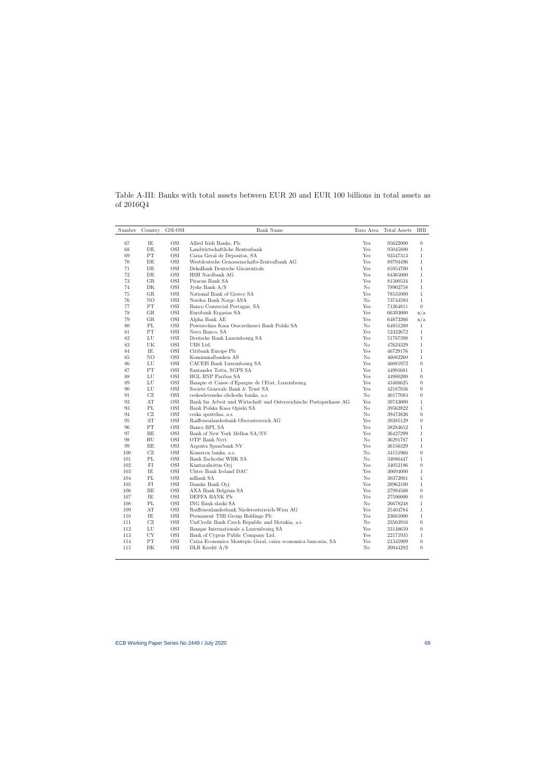Table A-III: Banks with total assets between EUR 20 and EUR 100 billions in total assets as of 2016Q4

| Yes<br>67<br>IE<br>OSI<br>Allied Irish Banks, Plc<br>95622000<br>$\overline{0}$<br>68<br>DE<br>OSI<br>Yes<br>Landwirtschaftliche Rentenbank<br>95045800<br>$\mathbf{1}$<br>PT<br>OSI<br>Yes<br>69<br>Caixa Geral de Depositos, SA<br>93547313<br>$\mathbf{1}$<br>DE<br>OSI<br>Westdeutsche Genossenschafts-Zentralbank AG<br>Yes<br>70<br>$\mathbf{1}$<br>89794496<br>71<br>DE<br>OSI<br>Yes<br>DekaBank Deutsche Girozentrale<br>$\mathbf{1}$<br>85954700<br>OSI<br>72<br>DE<br>HSH Nordbank AG<br>Yes<br>$\mathbf{1}$<br>84365000<br>OSI<br>Yes<br>73<br>GR<br>Piraeus Bank SA<br>$\mathbf{1}$<br>81500534<br><b>OSI</b><br>No<br>74<br>DK<br>Jyske Bank $A/S$<br>$\mathbf{1}$<br>78902758<br>OSI<br>GR<br>National Bank of Greece SA<br>Yes<br>$\mathbf{1}$<br>75<br>78531000<br>76<br>NO<br>OSI<br>Nordea Bank Norge ASA<br>No<br>$\mathbf{1}$<br>73744593<br>PT<br>OSI<br>Yes<br>$\overline{0}$<br>Banco Comercial Portugus, SA<br>77<br>71264811<br>OSI<br>78<br>$_{\rm GR}$<br>Eurobank Ergasias SA<br>Yes<br>n/a<br>66393000<br>79<br>OSI<br>Alpha Bank AE<br>Yes<br>GR<br>64872266<br>n/a<br>PL<br>OSI<br>Powszechna Kasa Oszczednosci Bank Polski SA<br>N <sub>o</sub><br>80<br>64851280<br>$\mathbf{1}$<br>PT<br>OSI<br>Yes<br>81<br>Novo Banco, SA<br>52332672<br>$\mathbf{1}$<br>OSI<br>Yes<br>82<br>LU<br>Deutsche Bank Luxembourg SA<br>$\mathbf{1}$<br>51787398<br>83<br>UK<br>OSI<br>No<br>UBS Ltd.<br>$\mathbf{1}$<br>47624329<br>OSI<br>84<br>IE<br>Citibank Europe Plc<br>Yes<br>$\mathbf{1}$<br>46729176<br>OSI<br>N <sub>o</sub><br>85<br>NO<br>Kommunalbanken AS<br>$\mathbf{1}$<br>46082260<br>OSI<br>Yes<br>$\overline{0}$<br>LU<br>CACEIS Bank Luxembourg SA<br>86<br>46081972<br>PT<br>OSI<br>Santander Totta, SGPS SA<br>Yes<br>87<br>$\mathbf{1}$<br>44991681<br>OSI<br>88<br>LU<br><b>BGL BNP Paribas SA</b><br>Yes<br>$\theta$<br>44980200<br>OSI<br>Banque et Caisse d'Epargne de l'Etat, Luxembourg<br>Yes<br>$\overline{0}$<br>89<br>LU<br>43468625<br>$\boldsymbol{0}$<br>LU<br>OSI<br>Societe Generale Bank & Trust SA<br>Yes<br>90<br>42187856<br>OSI<br>91<br>CZ<br>No<br>$\boldsymbol{0}$<br>ceskoslovenska obchodn banka, a.s.<br>40177083<br>92<br>AT<br>OSI<br>Bank fur Arbeit und Wirtschaft und Osterreichische Postsparkasse AG<br>Yes<br>$\mathbf{1}$<br>39743000<br>PL<br>OSI<br>No<br>93<br>Bank Polska Kasa Opieki SA<br>39562822<br>$\mathbf{1}$<br>CZ<br>OSI<br>No<br>$\boldsymbol{0}$<br>94<br>ceska spoitelna, a.s.<br>39473826<br>OSI<br>Raiffeisenlandesbank Oberosterreich AG<br>Yes<br>$\boldsymbol{0}$<br>95<br>AT<br>39385129<br>PT<br>OSI<br>Yes<br>96<br>Banco BPI, SA<br>$\mathbf{1}$<br>38284652<br>97<br>ВE<br>OSI<br>Bank of New York Mellon SA/NV<br>Yes<br>$\mathbf{1}$<br>36427299<br>HU<br>OSI<br>OTP Bank Nyrt.<br>No<br>$\mathbf{1}$<br>98<br>36291787<br>BE<br><b>OSI</b><br>99<br>Argenta Spaarbank NV<br>Yes<br>$\mathbf{1}$<br>36156329<br>OSI<br>100<br>CZ<br>Komercn banka, a.s.<br>No<br>$\overline{0}$<br>34151966<br>OSI<br>101<br>PL<br>Bank Zachodni WBK SA<br>No<br>$\mathbf{1}$<br>34086447<br>OSI<br>102<br>FI<br>Kuntarahoitus Oyj<br>Yes<br>$\boldsymbol{0}$<br>34052186<br>103<br>IE<br>OSI<br>Ulster Bank Ireland DAC<br>Yes<br>$\mathbf{1}$<br>30694000<br>PL<br>OSI<br>N <sub>o</sub><br>104<br>mBank SA<br>$\mathbf{1}$<br>30372081<br>OSI<br>Yes<br>105<br>FI<br>Danske Bank Oyj<br>$\mathbf{1}$<br>28962100<br>BE<br>OSI<br>Yes<br>$\boldsymbol{0}$<br>106<br>AXA Bank Belgium SA<br>27994508<br>IE<br>OSI<br>Yes<br>$\boldsymbol{0}$<br>107<br>DEPFA BANK Plc<br>27596000 | Number | Country | GSI-OSI | Bank Name | Euro Area | Total Assets | <b>IRB</b> |
|--------------------------------------------------------------------------------------------------------------------------------------------------------------------------------------------------------------------------------------------------------------------------------------------------------------------------------------------------------------------------------------------------------------------------------------------------------------------------------------------------------------------------------------------------------------------------------------------------------------------------------------------------------------------------------------------------------------------------------------------------------------------------------------------------------------------------------------------------------------------------------------------------------------------------------------------------------------------------------------------------------------------------------------------------------------------------------------------------------------------------------------------------------------------------------------------------------------------------------------------------------------------------------------------------------------------------------------------------------------------------------------------------------------------------------------------------------------------------------------------------------------------------------------------------------------------------------------------------------------------------------------------------------------------------------------------------------------------------------------------------------------------------------------------------------------------------------------------------------------------------------------------------------------------------------------------------------------------------------------------------------------------------------------------------------------------------------------------------------------------------------------------------------------------------------------------------------------------------------------------------------------------------------------------------------------------------------------------------------------------------------------------------------------------------------------------------------------------------------------------------------------------------------------------------------------------------------------------------------------------------------------------------------------------------------------------------------------------------------------------------------------------------------------------------------------------------------------------------------------------------------------------------------------------------------------------------------------------------------------------------------------------------------------------------------------------------------------------------------------------------------------------------------------------------------------------------------------------------------------------------------------------------------------------------------------------------------------------------------------------------------------------------------------------------------------------------------------------------------------------------------------------------------------------------------------------------|--------|---------|---------|-----------|-----------|--------------|------------|
|                                                                                                                                                                                                                                                                                                                                                                                                                                                                                                                                                                                                                                                                                                                                                                                                                                                                                                                                                                                                                                                                                                                                                                                                                                                                                                                                                                                                                                                                                                                                                                                                                                                                                                                                                                                                                                                                                                                                                                                                                                                                                                                                                                                                                                                                                                                                                                                                                                                                                                                                                                                                                                                                                                                                                                                                                                                                                                                                                                                                                                                                                                                                                                                                                                                                                                                                                                                                                                                                                                                                                                          |        |         |         |           |           |              |            |
|                                                                                                                                                                                                                                                                                                                                                                                                                                                                                                                                                                                                                                                                                                                                                                                                                                                                                                                                                                                                                                                                                                                                                                                                                                                                                                                                                                                                                                                                                                                                                                                                                                                                                                                                                                                                                                                                                                                                                                                                                                                                                                                                                                                                                                                                                                                                                                                                                                                                                                                                                                                                                                                                                                                                                                                                                                                                                                                                                                                                                                                                                                                                                                                                                                                                                                                                                                                                                                                                                                                                                                          |        |         |         |           |           |              |            |
|                                                                                                                                                                                                                                                                                                                                                                                                                                                                                                                                                                                                                                                                                                                                                                                                                                                                                                                                                                                                                                                                                                                                                                                                                                                                                                                                                                                                                                                                                                                                                                                                                                                                                                                                                                                                                                                                                                                                                                                                                                                                                                                                                                                                                                                                                                                                                                                                                                                                                                                                                                                                                                                                                                                                                                                                                                                                                                                                                                                                                                                                                                                                                                                                                                                                                                                                                                                                                                                                                                                                                                          |        |         |         |           |           |              |            |
|                                                                                                                                                                                                                                                                                                                                                                                                                                                                                                                                                                                                                                                                                                                                                                                                                                                                                                                                                                                                                                                                                                                                                                                                                                                                                                                                                                                                                                                                                                                                                                                                                                                                                                                                                                                                                                                                                                                                                                                                                                                                                                                                                                                                                                                                                                                                                                                                                                                                                                                                                                                                                                                                                                                                                                                                                                                                                                                                                                                                                                                                                                                                                                                                                                                                                                                                                                                                                                                                                                                                                                          |        |         |         |           |           |              |            |
|                                                                                                                                                                                                                                                                                                                                                                                                                                                                                                                                                                                                                                                                                                                                                                                                                                                                                                                                                                                                                                                                                                                                                                                                                                                                                                                                                                                                                                                                                                                                                                                                                                                                                                                                                                                                                                                                                                                                                                                                                                                                                                                                                                                                                                                                                                                                                                                                                                                                                                                                                                                                                                                                                                                                                                                                                                                                                                                                                                                                                                                                                                                                                                                                                                                                                                                                                                                                                                                                                                                                                                          |        |         |         |           |           |              |            |
|                                                                                                                                                                                                                                                                                                                                                                                                                                                                                                                                                                                                                                                                                                                                                                                                                                                                                                                                                                                                                                                                                                                                                                                                                                                                                                                                                                                                                                                                                                                                                                                                                                                                                                                                                                                                                                                                                                                                                                                                                                                                                                                                                                                                                                                                                                                                                                                                                                                                                                                                                                                                                                                                                                                                                                                                                                                                                                                                                                                                                                                                                                                                                                                                                                                                                                                                                                                                                                                                                                                                                                          |        |         |         |           |           |              |            |
|                                                                                                                                                                                                                                                                                                                                                                                                                                                                                                                                                                                                                                                                                                                                                                                                                                                                                                                                                                                                                                                                                                                                                                                                                                                                                                                                                                                                                                                                                                                                                                                                                                                                                                                                                                                                                                                                                                                                                                                                                                                                                                                                                                                                                                                                                                                                                                                                                                                                                                                                                                                                                                                                                                                                                                                                                                                                                                                                                                                                                                                                                                                                                                                                                                                                                                                                                                                                                                                                                                                                                                          |        |         |         |           |           |              |            |
|                                                                                                                                                                                                                                                                                                                                                                                                                                                                                                                                                                                                                                                                                                                                                                                                                                                                                                                                                                                                                                                                                                                                                                                                                                                                                                                                                                                                                                                                                                                                                                                                                                                                                                                                                                                                                                                                                                                                                                                                                                                                                                                                                                                                                                                                                                                                                                                                                                                                                                                                                                                                                                                                                                                                                                                                                                                                                                                                                                                                                                                                                                                                                                                                                                                                                                                                                                                                                                                                                                                                                                          |        |         |         |           |           |              |            |
|                                                                                                                                                                                                                                                                                                                                                                                                                                                                                                                                                                                                                                                                                                                                                                                                                                                                                                                                                                                                                                                                                                                                                                                                                                                                                                                                                                                                                                                                                                                                                                                                                                                                                                                                                                                                                                                                                                                                                                                                                                                                                                                                                                                                                                                                                                                                                                                                                                                                                                                                                                                                                                                                                                                                                                                                                                                                                                                                                                                                                                                                                                                                                                                                                                                                                                                                                                                                                                                                                                                                                                          |        |         |         |           |           |              |            |
|                                                                                                                                                                                                                                                                                                                                                                                                                                                                                                                                                                                                                                                                                                                                                                                                                                                                                                                                                                                                                                                                                                                                                                                                                                                                                                                                                                                                                                                                                                                                                                                                                                                                                                                                                                                                                                                                                                                                                                                                                                                                                                                                                                                                                                                                                                                                                                                                                                                                                                                                                                                                                                                                                                                                                                                                                                                                                                                                                                                                                                                                                                                                                                                                                                                                                                                                                                                                                                                                                                                                                                          |        |         |         |           |           |              |            |
|                                                                                                                                                                                                                                                                                                                                                                                                                                                                                                                                                                                                                                                                                                                                                                                                                                                                                                                                                                                                                                                                                                                                                                                                                                                                                                                                                                                                                                                                                                                                                                                                                                                                                                                                                                                                                                                                                                                                                                                                                                                                                                                                                                                                                                                                                                                                                                                                                                                                                                                                                                                                                                                                                                                                                                                                                                                                                                                                                                                                                                                                                                                                                                                                                                                                                                                                                                                                                                                                                                                                                                          |        |         |         |           |           |              |            |
|                                                                                                                                                                                                                                                                                                                                                                                                                                                                                                                                                                                                                                                                                                                                                                                                                                                                                                                                                                                                                                                                                                                                                                                                                                                                                                                                                                                                                                                                                                                                                                                                                                                                                                                                                                                                                                                                                                                                                                                                                                                                                                                                                                                                                                                                                                                                                                                                                                                                                                                                                                                                                                                                                                                                                                                                                                                                                                                                                                                                                                                                                                                                                                                                                                                                                                                                                                                                                                                                                                                                                                          |        |         |         |           |           |              |            |
|                                                                                                                                                                                                                                                                                                                                                                                                                                                                                                                                                                                                                                                                                                                                                                                                                                                                                                                                                                                                                                                                                                                                                                                                                                                                                                                                                                                                                                                                                                                                                                                                                                                                                                                                                                                                                                                                                                                                                                                                                                                                                                                                                                                                                                                                                                                                                                                                                                                                                                                                                                                                                                                                                                                                                                                                                                                                                                                                                                                                                                                                                                                                                                                                                                                                                                                                                                                                                                                                                                                                                                          |        |         |         |           |           |              |            |
|                                                                                                                                                                                                                                                                                                                                                                                                                                                                                                                                                                                                                                                                                                                                                                                                                                                                                                                                                                                                                                                                                                                                                                                                                                                                                                                                                                                                                                                                                                                                                                                                                                                                                                                                                                                                                                                                                                                                                                                                                                                                                                                                                                                                                                                                                                                                                                                                                                                                                                                                                                                                                                                                                                                                                                                                                                                                                                                                                                                                                                                                                                                                                                                                                                                                                                                                                                                                                                                                                                                                                                          |        |         |         |           |           |              |            |
|                                                                                                                                                                                                                                                                                                                                                                                                                                                                                                                                                                                                                                                                                                                                                                                                                                                                                                                                                                                                                                                                                                                                                                                                                                                                                                                                                                                                                                                                                                                                                                                                                                                                                                                                                                                                                                                                                                                                                                                                                                                                                                                                                                                                                                                                                                                                                                                                                                                                                                                                                                                                                                                                                                                                                                                                                                                                                                                                                                                                                                                                                                                                                                                                                                                                                                                                                                                                                                                                                                                                                                          |        |         |         |           |           |              |            |
|                                                                                                                                                                                                                                                                                                                                                                                                                                                                                                                                                                                                                                                                                                                                                                                                                                                                                                                                                                                                                                                                                                                                                                                                                                                                                                                                                                                                                                                                                                                                                                                                                                                                                                                                                                                                                                                                                                                                                                                                                                                                                                                                                                                                                                                                                                                                                                                                                                                                                                                                                                                                                                                                                                                                                                                                                                                                                                                                                                                                                                                                                                                                                                                                                                                                                                                                                                                                                                                                                                                                                                          |        |         |         |           |           |              |            |
|                                                                                                                                                                                                                                                                                                                                                                                                                                                                                                                                                                                                                                                                                                                                                                                                                                                                                                                                                                                                                                                                                                                                                                                                                                                                                                                                                                                                                                                                                                                                                                                                                                                                                                                                                                                                                                                                                                                                                                                                                                                                                                                                                                                                                                                                                                                                                                                                                                                                                                                                                                                                                                                                                                                                                                                                                                                                                                                                                                                                                                                                                                                                                                                                                                                                                                                                                                                                                                                                                                                                                                          |        |         |         |           |           |              |            |
|                                                                                                                                                                                                                                                                                                                                                                                                                                                                                                                                                                                                                                                                                                                                                                                                                                                                                                                                                                                                                                                                                                                                                                                                                                                                                                                                                                                                                                                                                                                                                                                                                                                                                                                                                                                                                                                                                                                                                                                                                                                                                                                                                                                                                                                                                                                                                                                                                                                                                                                                                                                                                                                                                                                                                                                                                                                                                                                                                                                                                                                                                                                                                                                                                                                                                                                                                                                                                                                                                                                                                                          |        |         |         |           |           |              |            |
|                                                                                                                                                                                                                                                                                                                                                                                                                                                                                                                                                                                                                                                                                                                                                                                                                                                                                                                                                                                                                                                                                                                                                                                                                                                                                                                                                                                                                                                                                                                                                                                                                                                                                                                                                                                                                                                                                                                                                                                                                                                                                                                                                                                                                                                                                                                                                                                                                                                                                                                                                                                                                                                                                                                                                                                                                                                                                                                                                                                                                                                                                                                                                                                                                                                                                                                                                                                                                                                                                                                                                                          |        |         |         |           |           |              |            |
|                                                                                                                                                                                                                                                                                                                                                                                                                                                                                                                                                                                                                                                                                                                                                                                                                                                                                                                                                                                                                                                                                                                                                                                                                                                                                                                                                                                                                                                                                                                                                                                                                                                                                                                                                                                                                                                                                                                                                                                                                                                                                                                                                                                                                                                                                                                                                                                                                                                                                                                                                                                                                                                                                                                                                                                                                                                                                                                                                                                                                                                                                                                                                                                                                                                                                                                                                                                                                                                                                                                                                                          |        |         |         |           |           |              |            |
|                                                                                                                                                                                                                                                                                                                                                                                                                                                                                                                                                                                                                                                                                                                                                                                                                                                                                                                                                                                                                                                                                                                                                                                                                                                                                                                                                                                                                                                                                                                                                                                                                                                                                                                                                                                                                                                                                                                                                                                                                                                                                                                                                                                                                                                                                                                                                                                                                                                                                                                                                                                                                                                                                                                                                                                                                                                                                                                                                                                                                                                                                                                                                                                                                                                                                                                                                                                                                                                                                                                                                                          |        |         |         |           |           |              |            |
|                                                                                                                                                                                                                                                                                                                                                                                                                                                                                                                                                                                                                                                                                                                                                                                                                                                                                                                                                                                                                                                                                                                                                                                                                                                                                                                                                                                                                                                                                                                                                                                                                                                                                                                                                                                                                                                                                                                                                                                                                                                                                                                                                                                                                                                                                                                                                                                                                                                                                                                                                                                                                                                                                                                                                                                                                                                                                                                                                                                                                                                                                                                                                                                                                                                                                                                                                                                                                                                                                                                                                                          |        |         |         |           |           |              |            |
|                                                                                                                                                                                                                                                                                                                                                                                                                                                                                                                                                                                                                                                                                                                                                                                                                                                                                                                                                                                                                                                                                                                                                                                                                                                                                                                                                                                                                                                                                                                                                                                                                                                                                                                                                                                                                                                                                                                                                                                                                                                                                                                                                                                                                                                                                                                                                                                                                                                                                                                                                                                                                                                                                                                                                                                                                                                                                                                                                                                                                                                                                                                                                                                                                                                                                                                                                                                                                                                                                                                                                                          |        |         |         |           |           |              |            |
|                                                                                                                                                                                                                                                                                                                                                                                                                                                                                                                                                                                                                                                                                                                                                                                                                                                                                                                                                                                                                                                                                                                                                                                                                                                                                                                                                                                                                                                                                                                                                                                                                                                                                                                                                                                                                                                                                                                                                                                                                                                                                                                                                                                                                                                                                                                                                                                                                                                                                                                                                                                                                                                                                                                                                                                                                                                                                                                                                                                                                                                                                                                                                                                                                                                                                                                                                                                                                                                                                                                                                                          |        |         |         |           |           |              |            |
|                                                                                                                                                                                                                                                                                                                                                                                                                                                                                                                                                                                                                                                                                                                                                                                                                                                                                                                                                                                                                                                                                                                                                                                                                                                                                                                                                                                                                                                                                                                                                                                                                                                                                                                                                                                                                                                                                                                                                                                                                                                                                                                                                                                                                                                                                                                                                                                                                                                                                                                                                                                                                                                                                                                                                                                                                                                                                                                                                                                                                                                                                                                                                                                                                                                                                                                                                                                                                                                                                                                                                                          |        |         |         |           |           |              |            |
|                                                                                                                                                                                                                                                                                                                                                                                                                                                                                                                                                                                                                                                                                                                                                                                                                                                                                                                                                                                                                                                                                                                                                                                                                                                                                                                                                                                                                                                                                                                                                                                                                                                                                                                                                                                                                                                                                                                                                                                                                                                                                                                                                                                                                                                                                                                                                                                                                                                                                                                                                                                                                                                                                                                                                                                                                                                                                                                                                                                                                                                                                                                                                                                                                                                                                                                                                                                                                                                                                                                                                                          |        |         |         |           |           |              |            |
|                                                                                                                                                                                                                                                                                                                                                                                                                                                                                                                                                                                                                                                                                                                                                                                                                                                                                                                                                                                                                                                                                                                                                                                                                                                                                                                                                                                                                                                                                                                                                                                                                                                                                                                                                                                                                                                                                                                                                                                                                                                                                                                                                                                                                                                                                                                                                                                                                                                                                                                                                                                                                                                                                                                                                                                                                                                                                                                                                                                                                                                                                                                                                                                                                                                                                                                                                                                                                                                                                                                                                                          |        |         |         |           |           |              |            |
|                                                                                                                                                                                                                                                                                                                                                                                                                                                                                                                                                                                                                                                                                                                                                                                                                                                                                                                                                                                                                                                                                                                                                                                                                                                                                                                                                                                                                                                                                                                                                                                                                                                                                                                                                                                                                                                                                                                                                                                                                                                                                                                                                                                                                                                                                                                                                                                                                                                                                                                                                                                                                                                                                                                                                                                                                                                                                                                                                                                                                                                                                                                                                                                                                                                                                                                                                                                                                                                                                                                                                                          |        |         |         |           |           |              |            |
|                                                                                                                                                                                                                                                                                                                                                                                                                                                                                                                                                                                                                                                                                                                                                                                                                                                                                                                                                                                                                                                                                                                                                                                                                                                                                                                                                                                                                                                                                                                                                                                                                                                                                                                                                                                                                                                                                                                                                                                                                                                                                                                                                                                                                                                                                                                                                                                                                                                                                                                                                                                                                                                                                                                                                                                                                                                                                                                                                                                                                                                                                                                                                                                                                                                                                                                                                                                                                                                                                                                                                                          |        |         |         |           |           |              |            |
|                                                                                                                                                                                                                                                                                                                                                                                                                                                                                                                                                                                                                                                                                                                                                                                                                                                                                                                                                                                                                                                                                                                                                                                                                                                                                                                                                                                                                                                                                                                                                                                                                                                                                                                                                                                                                                                                                                                                                                                                                                                                                                                                                                                                                                                                                                                                                                                                                                                                                                                                                                                                                                                                                                                                                                                                                                                                                                                                                                                                                                                                                                                                                                                                                                                                                                                                                                                                                                                                                                                                                                          |        |         |         |           |           |              |            |
|                                                                                                                                                                                                                                                                                                                                                                                                                                                                                                                                                                                                                                                                                                                                                                                                                                                                                                                                                                                                                                                                                                                                                                                                                                                                                                                                                                                                                                                                                                                                                                                                                                                                                                                                                                                                                                                                                                                                                                                                                                                                                                                                                                                                                                                                                                                                                                                                                                                                                                                                                                                                                                                                                                                                                                                                                                                                                                                                                                                                                                                                                                                                                                                                                                                                                                                                                                                                                                                                                                                                                                          |        |         |         |           |           |              |            |
|                                                                                                                                                                                                                                                                                                                                                                                                                                                                                                                                                                                                                                                                                                                                                                                                                                                                                                                                                                                                                                                                                                                                                                                                                                                                                                                                                                                                                                                                                                                                                                                                                                                                                                                                                                                                                                                                                                                                                                                                                                                                                                                                                                                                                                                                                                                                                                                                                                                                                                                                                                                                                                                                                                                                                                                                                                                                                                                                                                                                                                                                                                                                                                                                                                                                                                                                                                                                                                                                                                                                                                          |        |         |         |           |           |              |            |
|                                                                                                                                                                                                                                                                                                                                                                                                                                                                                                                                                                                                                                                                                                                                                                                                                                                                                                                                                                                                                                                                                                                                                                                                                                                                                                                                                                                                                                                                                                                                                                                                                                                                                                                                                                                                                                                                                                                                                                                                                                                                                                                                                                                                                                                                                                                                                                                                                                                                                                                                                                                                                                                                                                                                                                                                                                                                                                                                                                                                                                                                                                                                                                                                                                                                                                                                                                                                                                                                                                                                                                          |        |         |         |           |           |              |            |
|                                                                                                                                                                                                                                                                                                                                                                                                                                                                                                                                                                                                                                                                                                                                                                                                                                                                                                                                                                                                                                                                                                                                                                                                                                                                                                                                                                                                                                                                                                                                                                                                                                                                                                                                                                                                                                                                                                                                                                                                                                                                                                                                                                                                                                                                                                                                                                                                                                                                                                                                                                                                                                                                                                                                                                                                                                                                                                                                                                                                                                                                                                                                                                                                                                                                                                                                                                                                                                                                                                                                                                          |        |         |         |           |           |              |            |
|                                                                                                                                                                                                                                                                                                                                                                                                                                                                                                                                                                                                                                                                                                                                                                                                                                                                                                                                                                                                                                                                                                                                                                                                                                                                                                                                                                                                                                                                                                                                                                                                                                                                                                                                                                                                                                                                                                                                                                                                                                                                                                                                                                                                                                                                                                                                                                                                                                                                                                                                                                                                                                                                                                                                                                                                                                                                                                                                                                                                                                                                                                                                                                                                                                                                                                                                                                                                                                                                                                                                                                          |        |         |         |           |           |              |            |
|                                                                                                                                                                                                                                                                                                                                                                                                                                                                                                                                                                                                                                                                                                                                                                                                                                                                                                                                                                                                                                                                                                                                                                                                                                                                                                                                                                                                                                                                                                                                                                                                                                                                                                                                                                                                                                                                                                                                                                                                                                                                                                                                                                                                                                                                                                                                                                                                                                                                                                                                                                                                                                                                                                                                                                                                                                                                                                                                                                                                                                                                                                                                                                                                                                                                                                                                                                                                                                                                                                                                                                          |        |         |         |           |           |              |            |
|                                                                                                                                                                                                                                                                                                                                                                                                                                                                                                                                                                                                                                                                                                                                                                                                                                                                                                                                                                                                                                                                                                                                                                                                                                                                                                                                                                                                                                                                                                                                                                                                                                                                                                                                                                                                                                                                                                                                                                                                                                                                                                                                                                                                                                                                                                                                                                                                                                                                                                                                                                                                                                                                                                                                                                                                                                                                                                                                                                                                                                                                                                                                                                                                                                                                                                                                                                                                                                                                                                                                                                          |        |         |         |           |           |              |            |
|                                                                                                                                                                                                                                                                                                                                                                                                                                                                                                                                                                                                                                                                                                                                                                                                                                                                                                                                                                                                                                                                                                                                                                                                                                                                                                                                                                                                                                                                                                                                                                                                                                                                                                                                                                                                                                                                                                                                                                                                                                                                                                                                                                                                                                                                                                                                                                                                                                                                                                                                                                                                                                                                                                                                                                                                                                                                                                                                                                                                                                                                                                                                                                                                                                                                                                                                                                                                                                                                                                                                                                          |        |         |         |           |           |              |            |
|                                                                                                                                                                                                                                                                                                                                                                                                                                                                                                                                                                                                                                                                                                                                                                                                                                                                                                                                                                                                                                                                                                                                                                                                                                                                                                                                                                                                                                                                                                                                                                                                                                                                                                                                                                                                                                                                                                                                                                                                                                                                                                                                                                                                                                                                                                                                                                                                                                                                                                                                                                                                                                                                                                                                                                                                                                                                                                                                                                                                                                                                                                                                                                                                                                                                                                                                                                                                                                                                                                                                                                          |        |         |         |           |           |              |            |
|                                                                                                                                                                                                                                                                                                                                                                                                                                                                                                                                                                                                                                                                                                                                                                                                                                                                                                                                                                                                                                                                                                                                                                                                                                                                                                                                                                                                                                                                                                                                                                                                                                                                                                                                                                                                                                                                                                                                                                                                                                                                                                                                                                                                                                                                                                                                                                                                                                                                                                                                                                                                                                                                                                                                                                                                                                                                                                                                                                                                                                                                                                                                                                                                                                                                                                                                                                                                                                                                                                                                                                          |        |         |         |           |           |              |            |
|                                                                                                                                                                                                                                                                                                                                                                                                                                                                                                                                                                                                                                                                                                                                                                                                                                                                                                                                                                                                                                                                                                                                                                                                                                                                                                                                                                                                                                                                                                                                                                                                                                                                                                                                                                                                                                                                                                                                                                                                                                                                                                                                                                                                                                                                                                                                                                                                                                                                                                                                                                                                                                                                                                                                                                                                                                                                                                                                                                                                                                                                                                                                                                                                                                                                                                                                                                                                                                                                                                                                                                          |        |         |         |           |           |              |            |
| OSI<br>No<br>108<br>PL<br>ING Bank slaski SA<br>$\mathbf{1}$<br>26678248                                                                                                                                                                                                                                                                                                                                                                                                                                                                                                                                                                                                                                                                                                                                                                                                                                                                                                                                                                                                                                                                                                                                                                                                                                                                                                                                                                                                                                                                                                                                                                                                                                                                                                                                                                                                                                                                                                                                                                                                                                                                                                                                                                                                                                                                                                                                                                                                                                                                                                                                                                                                                                                                                                                                                                                                                                                                                                                                                                                                                                                                                                                                                                                                                                                                                                                                                                                                                                                                                                 |        |         |         |           |           |              |            |
| OSI<br>109<br>AT<br>Raiffeisenlandesbank Niederosterreich-Wien AG<br>Yes<br>$\mathbf{1}$<br>25404784                                                                                                                                                                                                                                                                                                                                                                                                                                                                                                                                                                                                                                                                                                                                                                                                                                                                                                                                                                                                                                                                                                                                                                                                                                                                                                                                                                                                                                                                                                                                                                                                                                                                                                                                                                                                                                                                                                                                                                                                                                                                                                                                                                                                                                                                                                                                                                                                                                                                                                                                                                                                                                                                                                                                                                                                                                                                                                                                                                                                                                                                                                                                                                                                                                                                                                                                                                                                                                                                     |        |         |         |           |           |              |            |
| OSI<br>IE<br>Permanent TSB Group Holdings Plc<br>Yes<br>110<br>23601000<br>$\mathbf{1}$                                                                                                                                                                                                                                                                                                                                                                                                                                                                                                                                                                                                                                                                                                                                                                                                                                                                                                                                                                                                                                                                                                                                                                                                                                                                                                                                                                                                                                                                                                                                                                                                                                                                                                                                                                                                                                                                                                                                                                                                                                                                                                                                                                                                                                                                                                                                                                                                                                                                                                                                                                                                                                                                                                                                                                                                                                                                                                                                                                                                                                                                                                                                                                                                                                                                                                                                                                                                                                                                                  |        |         |         |           |           |              |            |
| CZ<br>OSI<br>$\boldsymbol{0}$<br>111<br>UniCredit Bank Czech Republic and Slovakia, a.s.<br>No<br>23503916                                                                                                                                                                                                                                                                                                                                                                                                                                                                                                                                                                                                                                                                                                                                                                                                                                                                                                                                                                                                                                                                                                                                                                                                                                                                                                                                                                                                                                                                                                                                                                                                                                                                                                                                                                                                                                                                                                                                                                                                                                                                                                                                                                                                                                                                                                                                                                                                                                                                                                                                                                                                                                                                                                                                                                                                                                                                                                                                                                                                                                                                                                                                                                                                                                                                                                                                                                                                                                                               |        |         |         |           |           |              |            |
| OSI<br>112<br>LU<br>Banque Internationale a Luxembourg SA<br>Yes<br>$\boldsymbol{0}$<br>23148659                                                                                                                                                                                                                                                                                                                                                                                                                                                                                                                                                                                                                                                                                                                                                                                                                                                                                                                                                                                                                                                                                                                                                                                                                                                                                                                                                                                                                                                                                                                                                                                                                                                                                                                                                                                                                                                                                                                                                                                                                                                                                                                                                                                                                                                                                                                                                                                                                                                                                                                                                                                                                                                                                                                                                                                                                                                                                                                                                                                                                                                                                                                                                                                                                                                                                                                                                                                                                                                                         |        |         |         |           |           |              |            |
| 113<br>CY<br>OSI<br>Bank of Cyprus Public Company Ltd.<br>Yes<br>$\mathbf{1}$<br>22171935                                                                                                                                                                                                                                                                                                                                                                                                                                                                                                                                                                                                                                                                                                                                                                                                                                                                                                                                                                                                                                                                                                                                                                                                                                                                                                                                                                                                                                                                                                                                                                                                                                                                                                                                                                                                                                                                                                                                                                                                                                                                                                                                                                                                                                                                                                                                                                                                                                                                                                                                                                                                                                                                                                                                                                                                                                                                                                                                                                                                                                                                                                                                                                                                                                                                                                                                                                                                                                                                                |        |         |         |           |           |              |            |
| OSI<br>PT<br>Yes<br>$\boldsymbol{0}$<br>114<br>Caixa Economica Montepio Geral, caixa economica bancaria, SA<br>21345909                                                                                                                                                                                                                                                                                                                                                                                                                                                                                                                                                                                                                                                                                                                                                                                                                                                                                                                                                                                                                                                                                                                                                                                                                                                                                                                                                                                                                                                                                                                                                                                                                                                                                                                                                                                                                                                                                                                                                                                                                                                                                                                                                                                                                                                                                                                                                                                                                                                                                                                                                                                                                                                                                                                                                                                                                                                                                                                                                                                                                                                                                                                                                                                                                                                                                                                                                                                                                                                  |        |         |         |           |           |              |            |
| $\overline{0}$<br>DK<br>OSI<br>No<br>115<br>DLR Kredit A/S<br>20944292                                                                                                                                                                                                                                                                                                                                                                                                                                                                                                                                                                                                                                                                                                                                                                                                                                                                                                                                                                                                                                                                                                                                                                                                                                                                                                                                                                                                                                                                                                                                                                                                                                                                                                                                                                                                                                                                                                                                                                                                                                                                                                                                                                                                                                                                                                                                                                                                                                                                                                                                                                                                                                                                                                                                                                                                                                                                                                                                                                                                                                                                                                                                                                                                                                                                                                                                                                                                                                                                                                   |        |         |         |           |           |              |            |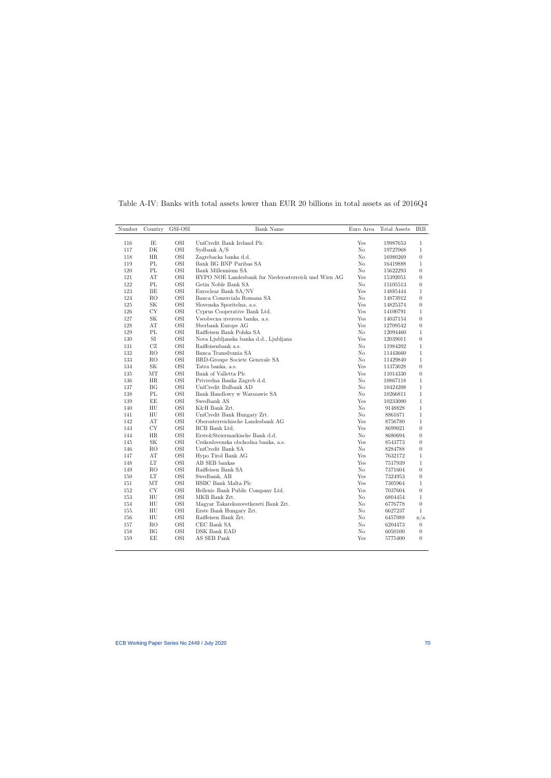| Number | Country                           | GSI-OSI    | Bank Name                                            | Euro Area      | Total Assets | IRB              |
|--------|-----------------------------------|------------|------------------------------------------------------|----------------|--------------|------------------|
| 116    | IE                                | <b>OSI</b> | UniCredit Bank Ireland Plc                           | Yes            | 19987653     | $\mathbf{1}$     |
| 117    | $\rm DK$                          | $\rm OSI$  | Sydbank A/S                                          | $\rm No$       | 19727068     | $\mathbf{1}$     |
| 118    | ΗR                                | $\rm OSI$  | Zagrebacka banka d.d.                                | No             | 16980269     | $\overline{0}$   |
| 119    | $\mathcal{P}\mathcal{L}$          | $\rm OSI$  | Bank BG BNP Paribas SA                               | No             | 16419888     | $\mathbf{1}$     |
| 120    | $\rm PL$                          | OSI        | Bank Millennium SA                                   | N <sub>o</sub> | 15622293     | $\theta$         |
| 121    | AT                                | $\rm OSI$  | HYPO NOE Landesbank fur Niederosterreich und Wien AG | Yes            | 15392051     | $\theta$         |
| 122    | PL                                | <b>OSI</b> | Getin Noble Bank SA                                  | $\rm No$       | 15105513     | $\overline{0}$   |
| 123    | $\rm BE$                          | $\rm OSI$  | Euroclear Bank SA/NV                                 | Yes            | 14885444     | $\mathbf{1}$     |
| 124    | RO                                | <b>OSI</b> | Banca Comerciala Romana SA                           | N <sub>o</sub> | 14873912     | $\theta$         |
| 125    | $\ensuremath{\mathbf{SK}}\xspace$ | $\rm OSI$  | Slovenska Sporitelna, a.s.                           | Yes            | 14825374     | $\overline{0}$   |
| 126    | CY                                | $\rm OSI$  | Cyprus Cooperative Bank Ltd.                         | Yes            | 14100791     | $\mathbf{1}$     |
| 127    | $\ensuremath{\mathbf{SK}}\xspace$ | $\rm OSI$  | Vseobecna uverova banka, a.s.                        | Yes            | 14037154     | $\theta$         |
| 128    | AT                                | $\rm OSI$  | Sberbank Europe AG                                   | Yes            | 12709542     | $\overline{0}$   |
| 129    | $\rm PL$                          | $\rm OSI$  | Raiffeisen Bank Polska SA                            | $\rm No$       | 12094460     | $\mathbf{1}$     |
| 130    | $\rm{SI}$                         | $\rm OSI$  | Nova Ljubljanska banka d.d., Ljubljana               | Yes            | 12039011     | $\overline{0}$   |
| 131    | $\operatorname{CZ}$               | $\rm OSI$  | Raiffeisenbank a.s.                                  | No             | 11984202     | $\mathbf{1}$     |
| 132    | RO                                | OSI        | Banca Transilvania SA                                | No             | 11443660     | $\mathbf{1}$     |
| 133    | $\rm{RO}$                         | $\rm OSI$  | BRD-Groupe Societe Generale SA                       | N <sub>o</sub> | 11429840     | $\mathbf{1}$     |
| 134    | SK                                | $\rm OSI$  | Tatra banka, a.s.                                    | Yes            | 11373028     | $\overline{0}$   |
| 135    | $\rm{MT}$                         | $\rm OSI$  | Bank of Valletta Plc                                 | Yes            | 11014330     | $\boldsymbol{0}$ |
| 136    | HR                                | <b>OSI</b> | Privredna Banka Zagreb d.d.                          | N <sub>o</sub> | 10867118     | $\mathbf{1}$     |
| 137    | BG                                | $\rm OSI$  | UniCredit Bulbank AD                                 | No             | 10424208     | $\mathbf{1}$     |
| 138    | $\mathcal{P}\mathcal{L}$          | $\rm OSI$  | Bank Handlowy w Warszawie SA                         | No             | 10266811     | $\mathbf{1}$     |
| 139    | ΕE                                | $\rm OSI$  | Swedbank AS                                          | Yes            | 10233000     | $\mathbf{1}$     |
| 140    | HU                                | $\rm OSI$  | K&H Bank Zrt.                                        | $\rm No$       | 9148828      | $\mathbf{1}$     |
| 141    | HU                                | OSI        | UniCredit Bank Hungary Zrt.                          | N <sub>o</sub> | 8861671      | $\mathbf{1}$     |
| 142    | AT                                | $\rm OSI$  | Oberosterreichische Landesbank AG                    | Yes            | 8756780      | $\mathbf{1}$     |
| 143    | CY                                | <b>OSI</b> | RCB Bank Ltd.                                        | Yes            | 8699021      | $\theta$         |
| 144    | $\rm{HR}$                         | $\rm OSI$  | Erste&Steiermarkische Bank d.d.                      | $\rm No$       | 8680694      | $\theta$         |
| 145    | $\ensuremath{\mathbf{SK}}\xspace$ | $\rm OSI$  | Ceskoslovenska obchodna banka, a.s.                  | Yes            | 8543773      | $\theta$         |
| 146    | RO                                | $\rm OSI$  | UniCredit Bank SA                                    | $\rm No$       | 8284788      | $\boldsymbol{0}$ |
| 147    | AT                                | $\rm OSI$  | Hypo Tirol Bank AG                                   | Yes            | 7632172      | $\mathbf{1}$     |
| 148    | LT                                | $\rm OSI$  | AB SEB bankas                                        | Yes            | 7517939      | $\mathbf{1}$     |
| 149    | RO                                | $\rm OSI$  | Raiffeisen Bank SA                                   | No             | 7371604      | $\theta$         |
| 150    | $\mathop{\rm LT}\nolimits$        | $\rm OSI$  | Swedbank, AB                                         | Yes            | 7324953      | $\theta$         |
| 151    | МT                                | $\rm OSI$  | HSBC Bank Malta Plc                                  | Yes            | 7305964      | $\mathbf{1}$     |
| 152    | CY                                | $\rm OSI$  | Hellenic Bank Public Company Ltd.                    | Yes            | 7037604      | $\overline{0}$   |
| 153    | HU                                | $\rm OSI$  | MKB Bank Zrt.                                        | No             | 6804454      | $\mathbf{1}$     |
| 154    | ${\rm H}{\rm U}$                  | $\rm OSI$  | Magyar Takarekszovetkezeti Bank Zrt.                 | N <sub>o</sub> | 6776778      | $\boldsymbol{0}$ |
| 155    | HU                                | <b>OSI</b> | Erste Bank Hungary Zrt.                              | No             | 6627237      | $\mathbf{1}$     |
| 156    | HU                                | $\rm OSI$  | Raiffeisen Bank Zrt.                                 | N <sub>o</sub> | 6457088      | n/a              |
| 157    | $\rm{RO}$                         | $\rm OSI$  | CEC Bank SA                                          | No             | 6204473      | $\overline{0}$   |
| 158    | BG                                | OSI        | DSK Bank EAD                                         | $\rm No$       | 6050100      | $\boldsymbol{0}$ |
| 159    | EE                                | OSI        | AS SEB Pank                                          | Yes            | 5775400      | $\theta$         |
|        |                                   |            |                                                      |                |              |                  |

Table A-IV: Banks with total assets lower than EUR 20 billions in total assets as of 2016Q4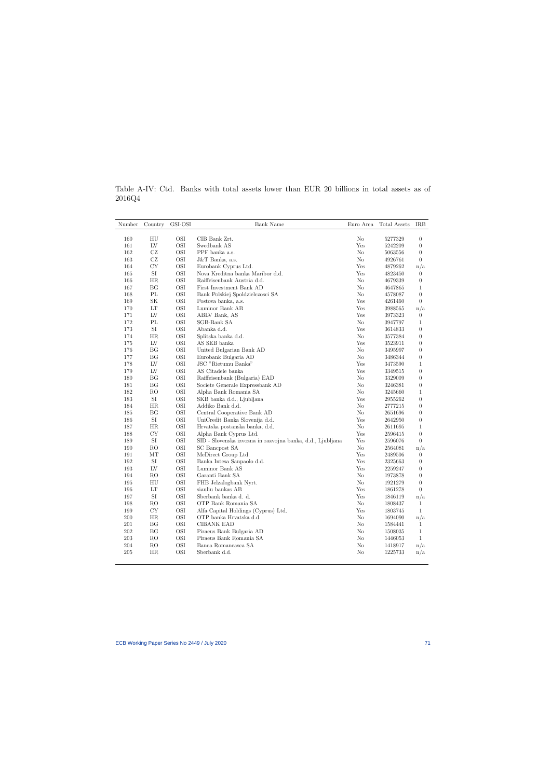Table A-IV: Ctd. Banks with total assets lower than EUR 20 billions in total assets as of 2016Q4

| Number | Country                    | GSI-OSI   | <b>Bank Name</b>                                           | Euro Area      | Total Assets | IRB              |
|--------|----------------------------|-----------|------------------------------------------------------------|----------------|--------------|------------------|
|        |                            |           |                                                            |                |              |                  |
| 160    | $\mathop{\rm HU}\nolimits$ | OSI       | CIB Bank Zrt.                                              | N <sub>o</sub> | 5277329      | $\boldsymbol{0}$ |
| 161    | LV                         | OSI       | Swedbank AS                                                | Yes            | 5242209      | $\overline{0}$   |
| 162    | CZ                         | OSI       | PPF banka a.s.                                             | $\rm No$       | 5063556      | $\boldsymbol{0}$ |
| 163    | CZ                         | OSI       | $J&T$ Banka, a.s.                                          | $\rm No$       | 4926761      | $\overline{0}$   |
| 164    | CY                         | OSI       | Eurobank Cyprus Ltd.                                       | Yes            | 4879262      | n/a              |
| 165    | SI                         | OSI       | Nova Kreditna banka Maribor d.d.                           | Yes            | 4823450      | $\overline{0}$   |
| 166    | HR                         | OSI       | Raiffeisenbank Austria d.d.                                | $\rm No$       | 4679339      | $\overline{0}$   |
| 167    | BG                         | OSI       | First Investment Bank AD                                   | No             | 4647865      | $\mathbf{1}$     |
| 168    | PL                         | $\rm OSI$ | Bank Polskiej Spoldzielczosci SA                           | N <sub>o</sub> | 4578087      | $\overline{0}$   |
| 169    | SK                         | OSI       | Postova banka, a.s.                                        | Yes            | 4261460      | $\overline{0}$   |
| 170    | LT                         | $\rm OSI$ | Luminor Bank AB                                            | Yes            | 3988565      | n/a              |
| 171    | LV                         | OSI       | ABLV Bank, AS                                              | Yes            | 3973323      | $\overline{0}$   |
| 172    | PL                         | OSI       | SGB-Bank SA                                                | No             | 3947797      | $\mathbf{1}$     |
| 173    | SI                         | OSI       | Abanka d.d.                                                | Yes            | 3614833      | $\overline{0}$   |
| 174    | HR                         | $\rm OSI$ | Splitska banka d.d.                                        | No             | 3577384      | $\overline{0}$   |
| 175    | LV                         | $\rm OSI$ | AS SEB banka                                               | Yes            | 3523911      | $\overline{0}$   |
| 176    | ΒG                         | $\rm OSI$ | United Bulgarian Bank AD                                   | $\rm No$       | 3495997      | $\overline{0}$   |
| 177    | ΒG                         | OSI       | Eurobank Bulgaria AD                                       | No             | 3486344      | $\overline{0}$   |
| 178    | LV                         | OSI       | JSC "Rietumu Banka"                                        | Yes            | 3473590      | 1                |
| 179    | LV                         | OSI       | AS Citadele banka                                          | Yes            | 3349515      | $\boldsymbol{0}$ |
| 180    | BG                         | OSI       | Raiffeisenbank (Bulgaria) EAD                              | $\rm No$       | 3329009      | $\boldsymbol{0}$ |
| 181    | BG                         | OSI       | Societe Generale Expressbank AD                            | N <sub>o</sub> | 3246381      | $\overline{0}$   |
| 182    | RO                         | OSI       | Alpha Bank Romania SA                                      | $\rm No$       | 3245660      | 1                |
| 183    | SI                         | OSI       | SKB banka d.d., Ljubljana                                  | Yes            | 2955262      | $\overline{0}$   |
| 184    | HR                         | $\rm OSI$ | Addiko Bank d.d.                                           | N <sub>o</sub> | 2777215      | $\overline{0}$   |
| 185    | BG                         | OSI       | Central Cooperative Bank AD                                | N <sub>o</sub> | 2651696      | $\overline{0}$   |
| 186    | $\rm SI$                   | OSI       | UniCredit Banka Slovenija d.d.                             | Yes            | 2642950      | $\boldsymbol{0}$ |
| 187    | HR                         | OSI       | Hrvatska postanska banka, d.d.                             | N <sub>o</sub> | 2611695      | $\mathbf{1}$     |
| 188    | CY                         | OSI       | Alpha Bank Cyprus Ltd.                                     | Yes            | 2596415      | $\boldsymbol{0}$ |
| 189    | SI                         | OSI       | SID - Slovenska izvozna in razvojna banka, d.d., Ljubljana | Yes            | 2596076      | $\overline{0}$   |
| 190    | RO                         | OSI       | SC Bancpost SA                                             | N <sub>o</sub> | 2564081      | n/a              |
| 191    | MT                         | OSI       | MeDirect Group Ltd.                                        | Yes            | 2489506      | $\overline{0}$   |
| 192    | $\rm{SI}$                  | $\rm OSI$ | Banka Intesa Sanpaolo d.d.                                 | Yes            | 2325663      | $\boldsymbol{0}$ |
| 193    | LV                         | OSI       | Luminor Bank AS                                            | Yes            | 2259247      | $\boldsymbol{0}$ |
| 194    | <b>RO</b>                  | OSI       | Garanti Bank SA                                            | $\rm No$       | 1973878      | $\overline{0}$   |
| 195    | HU                         | OSI       | FHB Jelzalogbank Nyrt.                                     | No             | 1921279      | $\overline{0}$   |
| 196    | LT                         | OSI       | siauliu bankas AB                                          | Yes            | 1861278      | $\theta$         |
| 197    | SI                         | OSI       | Sberbank banka d. d.                                       | Yes            | 1846119      | n/a              |
| 198    | RO                         | $\rm OSI$ | OTP Bank Romania SA                                        | No             | 1808437      | $\mathbf{1}$     |
| 199    | CY                         | OSI       | Alfa Capital Holdings (Cyprus) Ltd.                        | Yes            | 1803745      | $\mathbf{1}$     |
| 200    | HR                         | $\rm OSI$ | OTP banka Hrvatska d.d.                                    | No             | 1694090      | n/a              |
| 201    | BG                         | $\rm OSI$ | CIBANK EAD                                                 | No             | 1584441      | $\mathbf{1}$     |
| 202    | ΒG                         | $\rm OSI$ | Piraeus Bank Bulgaria AD                                   | No             | 1508035      | $\mathbf{1}$     |
| 203    | RO                         | OSI       | Piraeus Bank Romania SA                                    | $\rm No$       | 1446053      | $\mathbf{1}$     |
| 204    | RO                         | $\rm OSI$ | Banca Romaneasca SA                                        | N <sub>o</sub> | 1418917      | n/a              |
| 205    | HR                         | OSI       | Sberbank d.d.                                              | N <sub>o</sub> | 1225733      | n/a              |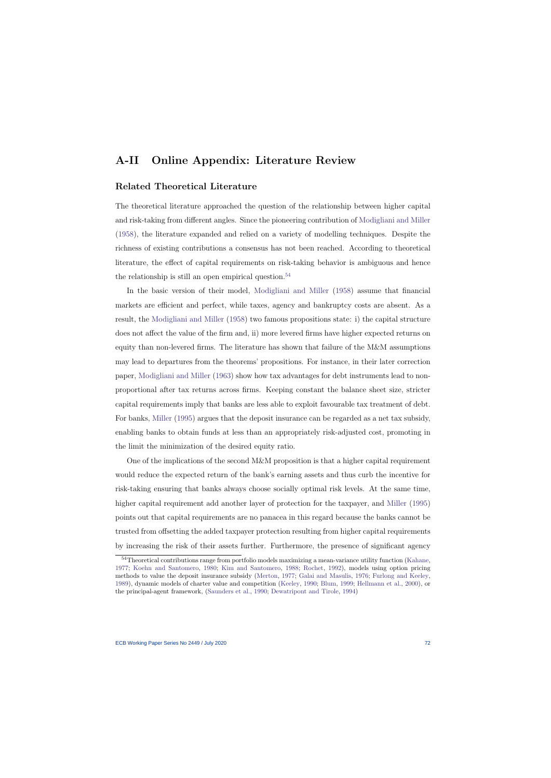# A-II Online Appendix: Literature Review

## Related Theoretical Literature

The theoretical literature approached the question of the relationship between higher capital and risk-taking from different angles. Since the pioneering contribution of [Modigliani and Miller](#page-46-0) [\(1958\)](#page-46-0), the literature expanded and relied on a variety of modelling techniques. Despite the richness of existing contributions a consensus has not been reached. According to theoretical literature, the effect of capital requirements on risk-taking behavior is ambiguous and hence the relationship is still an open empirical question.<sup>[54](#page-72-0)</sup>

In the basic version of their model, [Modigliani and Miller](#page-46-0) [\(1958\)](#page-46-0) assume that financial markets are efficient and perfect, while taxes, agency and bankruptcy costs are absent. As a result, the [Modigliani and Miller](#page-46-0) [\(1958\)](#page-46-0) two famous propositions state: i) the capital structure does not affect the value of the firm and, ii) more levered firms have higher expected returns on equity than non-levered firms. The literature has shown that failure of the M&M assumptions may lead to departures from the theorems' propositions. For instance, in their later correction paper, [Modigliani and Miller](#page-46-1) [\(1963\)](#page-46-1) show how tax advantages for debt instruments lead to nonproportional after tax returns across firms. Keeping constant the balance sheet size, stricter capital requirements imply that banks are less able to exploit favourable tax treatment of debt. For banks, [Miller](#page-45-0) [\(1995\)](#page-45-0) argues that the deposit insurance can be regarded as a net tax subsidy, enabling banks to obtain funds at less than an appropriately risk-adjusted cost, promoting in the limit the minimization of the desired equity ratio.

One of the implications of the second M&M proposition is that a higher capital requirement would reduce the expected return of the bank's earning assets and thus curb the incentive for risk-taking ensuring that banks always choose socially optimal risk levels. At the same time, higher capital requirement add another layer of protection for the taxpayer, and [Miller](#page-45-0) [\(1995\)](#page-45-0) points out that capital requirements are no panacea in this regard because the banks cannot be trusted from offsetting the added taxpayer protection resulting from higher capital requirements by increasing the risk of their assets further. Furthermore, the presence of significant agency

<span id="page-72-0"></span><sup>&</sup>lt;sup>54</sup>Theoretical contributions range from portfolio models maximizing a mean-variance utility function [\(Kahane,](#page-45-1) [1977;](#page-45-1) [Koehn and Santomero,](#page-45-2) [1980;](#page-45-2) [Kim and Santomero,](#page-45-3) [1988;](#page-45-3) [Rochet,](#page-46-2) [1992\)](#page-46-2), models using option pricing methods to value the deposit insurance subsidy [\(Merton,](#page-45-4) [1977;](#page-45-4) [Galai and Masulis,](#page-43-0) [1976;](#page-43-0) [Furlong and Keeley,](#page-43-1) [1989\)](#page-43-1), dynamic models of charter value and competition [\(Keeley,](#page-45-5) [1990;](#page-45-5) [Blum,](#page-42-0) [1999;](#page-42-0) [Hellmann et al.,](#page-44-0) [2000\)](#page-44-0), or the principal-agent framework, [\(Saunders et al.,](#page-47-0) [1990;](#page-47-0) [Dewatripont and Tirole,](#page-43-2) [1994\)](#page-43-2)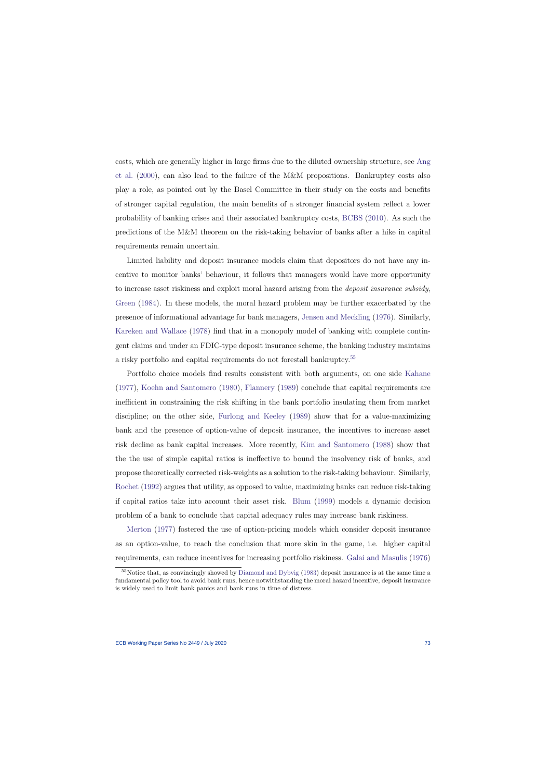costs, which are generally higher in large firms due to the diluted ownership structure, see [Ang](#page-41-0) [et al.](#page-41-0) [\(2000\)](#page-41-0), can also lead to the failure of the M&M propositions. Bankruptcy costs also play a role, as pointed out by the Basel Committee in their study on the costs and benefits of stronger capital regulation, the main benefits of a stronger financial system reflect a lower probability of banking crises and their associated bankruptcy costs, [BCBS](#page-42-1) [\(2010\)](#page-42-1). As such the predictions of the M&M theorem on the risk-taking behavior of banks after a hike in capital requirements remain uncertain.

Limited liability and deposit insurance models claim that depositors do not have any incentive to monitor banks' behaviour, it follows that managers would have more opportunity to increase asset riskiness and exploit moral hazard arising from the deposit insurance subsidy, [Green](#page-43-3) [\(1984\)](#page-43-3). In these models, the moral hazard problem may be further exacerbated by the presence of informational advantage for bank managers, [Jensen and Meckling](#page-44-1) [\(1976\)](#page-44-1). Similarly, [Kareken and Wallace](#page-45-6) [\(1978\)](#page-45-6) find that in a monopoly model of banking with complete contingent claims and under an FDIC-type deposit insurance scheme, the banking industry maintains a risky portfolio and capital requirements do not forestall bankruptcy.<sup>[55](#page-73-0)</sup>

Portfolio choice models find results consistent with both arguments, on one side [Kahane](#page-45-1) [\(1977\)](#page-45-1), [Koehn and Santomero](#page-45-2) [\(1980\)](#page-45-2), [Flannery](#page-43-4) [\(1989\)](#page-43-4) conclude that capital requirements are inefficient in constraining the risk shifting in the bank portfolio insulating them from market discipline; on the other side, [Furlong and Keeley](#page-43-1) [\(1989\)](#page-43-1) show that for a value-maximizing bank and the presence of option-value of deposit insurance, the incentives to increase asset risk decline as bank capital increases. More recently, [Kim and Santomero](#page-45-3) [\(1988\)](#page-45-3) show that the the use of simple capital ratios is ineffective to bound the insolvency risk of banks, and propose theoretically corrected risk-weights as a solution to the risk-taking behaviour. Similarly, [Rochet](#page-46-2) [\(1992\)](#page-46-2) argues that utility, as opposed to value, maximizing banks can reduce risk-taking if capital ratios take into account their asset risk. [Blum](#page-42-0) [\(1999\)](#page-42-0) models a dynamic decision problem of a bank to conclude that capital adequacy rules may increase bank riskiness.

[Merton](#page-45-4) [\(1977\)](#page-45-4) fostered the use of option-pricing models which consider deposit insurance as an option-value, to reach the conclusion that more skin in the game, i.e. higher capital requirements, can reduce incentives for increasing portfolio riskiness. [Galai and Masulis](#page-43-0) [\(1976\)](#page-43-0)

<span id="page-73-0"></span><sup>&</sup>lt;sup>55</sup>Notice that, as convincingly showed by [Diamond and Dybvig](#page-43-5) [\(1983\)](#page-43-5) deposit insurance is at the same time a fundamental policy tool to avoid bank runs, hence notwithstanding the moral hazard incentive, deposit insurance is widely used to limit bank panics and bank runs in time of distress.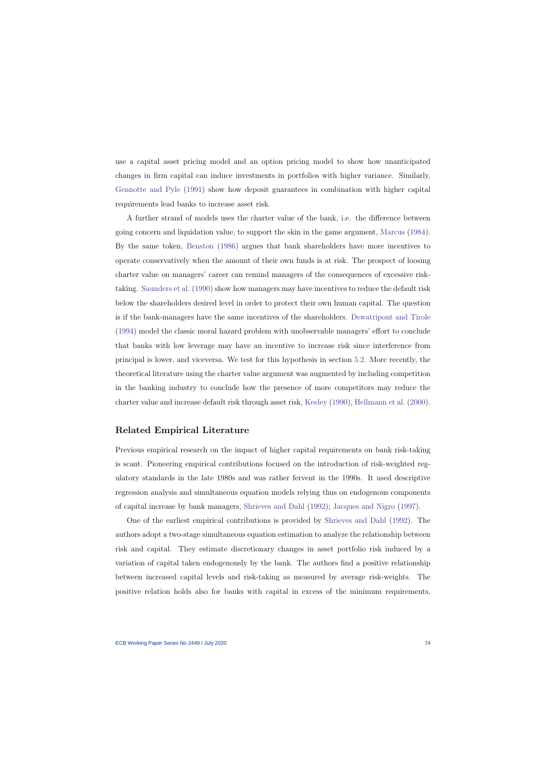use a capital asset pricing model and an option pricing model to show how unanticipated changes in firm capital can induce investments in portfolios with higher variance. Similarly, [Gennotte and Pyle](#page-43-6) [\(1991\)](#page-43-6) show how deposit guarantees in combination with higher capital requirements lead banks to increase asset risk.

A further strand of models uses the charter value of the bank, i.e. the difference between going concern and liquidation value, to support the skin in the game argument, [Marcus](#page-45-7) [\(1984\)](#page-45-7). By the same token, [Benston](#page-42-2) [\(1986\)](#page-42-2) argues that bank shareholders have more incentives to operate conservatively when the amount of their own funds is at risk. The prospect of loosing charter value on managers' career can remind managers of the consequences of excessive risktaking. [Saunders et al.](#page-47-0) [\(1990\)](#page-47-0) show how managers may have incentives to reduce the default risk below the shareholders desired level in order to protect their own human capital. The question is if the bank-managers have the same incentives of the shareholders. [Dewatripont and Tirole](#page-43-2) [\(1994\)](#page-43-2) model the classic moral hazard problem with unobservable managers' effort to conclude that banks with low leverage may have an incentive to increase risk since interference from principal is lower, and viceversa. We test for this hypothesis in section [5.2.](#page-27-0) More recently, the theoretical literature using the charter value argument was augmented by including competition in the banking industry to conclude how the presence of more competitors may reduce the charter value and increase default risk through asset risk, [Keeley](#page-45-5) [\(1990\)](#page-45-5), [Hellmann et al.](#page-44-0) [\(2000\)](#page-44-0).

### Related Empirical Literature

Previous empirical research on the impact of higher capital requirements on bank risk-taking is scant. Pioneering empirical contributions focused on the introduction of risk-weighted regulatory standards in the late 1980s and was rather fervent in the 1990s. It used descriptive regression analysis and simultaneous equation models relying thus on endogenous components of capital increase by bank managers, [Shrieves and Dahl](#page-47-1) [\(1992\)](#page-47-1); [Jacques and Nigro](#page-44-2) [\(1997\)](#page-44-2).

One of the earliest empirical contributions is provided by [Shrieves and Dahl](#page-47-1) [\(1992\)](#page-47-1). The authors adopt a two-stage simultaneous equation estimation to analyze the relationship between risk and capital. They estimate discretionary changes in asset portfolio risk induced by a variation of capital taken endogenously by the bank. The authors find a positive relationship between increased capital levels and risk-taking as measured by average risk-weights. The positive relation holds also for banks with capital in excess of the minimum requirements,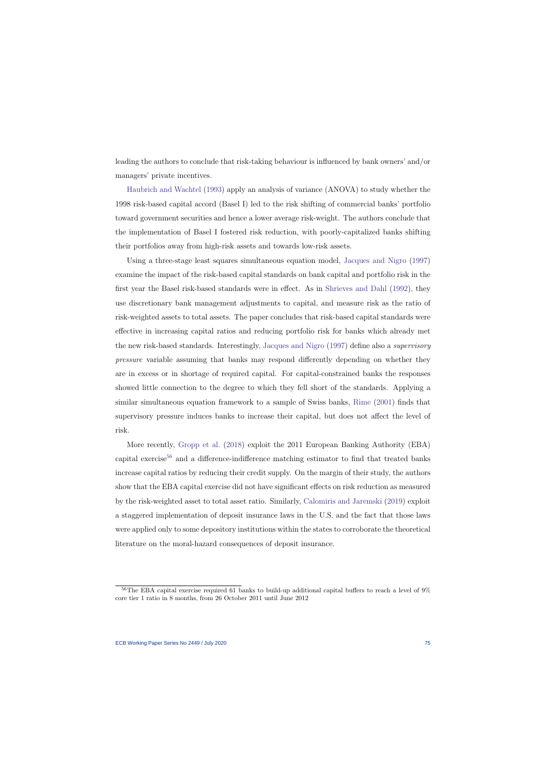leading the authors to conclude that risk-taking behaviour is influenced by bank owners' and/or managers' private incentives.

[Haubrich and Wachtel](#page-44-3) [\(1993\)](#page-44-3) apply an analysis of variance (ANOVA) to study whether the 1998 risk-based capital accord (Basel I) led to the risk shifting of commercial banks' portfolio toward government securities and hence a lower average risk-weight. The authors conclude that the implementation of Basel I fostered risk reduction, with poorly-capitalized banks shifting their portfolios away from high-risk assets and towards low-risk assets.

Using a three-stage least squares simultaneous equation model, [Jacques and Nigro](#page-44-2) [\(1997\)](#page-44-2) examine the impact of the risk-based capital standards on bank capital and portfolio risk in the first year the Basel risk-based standards were in effect. As in [Shrieves and Dahl](#page-47-1) [\(1992\)](#page-47-1), they use discretionary bank management adjustments to capital, and measure risk as the ratio of risk-weighted assets to total assets. The paper concludes that risk-based capital standards were effective in increasing capital ratios and reducing portfolio risk for banks which already met the new risk-based standards. Interestingly, [Jacques and Nigro](#page-44-2) [\(1997\)](#page-44-2) define also a supervisory pressure variable assuming that banks may respond differently depending on whether they are in excess or in shortage of required capital. For capital-constrained banks the responses showed little connection to the degree to which they fell short of the standards. Applying a similar simultaneous equation framework to a sample of Swiss banks, [Rime](#page-46-3) [\(2001\)](#page-46-3) finds that supervisory pressure induces banks to increase their capital, but does not affect the level of risk.

More recently, [Gropp et al.](#page-43-7) [\(2018\)](#page-43-7) exploit the 2011 European Banking Authority (EBA) capital exercise<sup>[56](#page-75-0)</sup> and a difference-indifference matching estimator to find that treated banks increase capital ratios by reducing their credit supply. On the margin of their study, the authors show that the EBA capital exercise did not have significant effects on risk reduction as measured by the risk-weighted asset to total asset ratio. Similarly, [Calomiris and Jaremski](#page-42-3) [\(2019\)](#page-42-3) exploit a staggered implementation of deposit insurance laws in the U.S. and the fact that those laws were applied only to some depository institutions within the states to corroborate the theoretical literature on the moral-hazard consequences of deposit insurance.

<span id="page-75-0"></span> $56$ The EBA capital exercise required 61 banks to build-up additional capital buffers to reach a level of  $9\%$ core tier 1 ratio in 8 months, from 26 October 2011 until June 2012